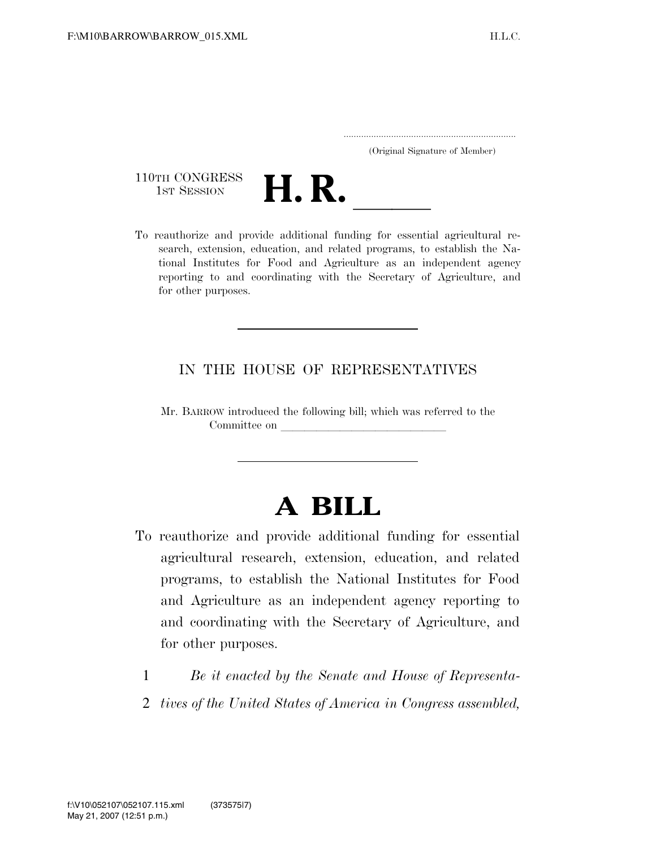| (Original Signature of Member) |  |
|--------------------------------|--|



search, extension, education, and related programs, to establish the National Institutes for Food and Agriculture as an independent agency reporting to and coordinating with the Secretary of Agriculture, and for other purposes.

# IN THE HOUSE OF REPRESENTATIVES

Mr. BARROW introduced the following bill; which was referred to the Committee on

# **A BILL**

- To reauthorize and provide additional funding for essential agricultural research, extension, education, and related programs, to establish the National Institutes for Food and Agriculture as an independent agency reporting to and coordinating with the Secretary of Agriculture, and for other purposes.
	- 1 *Be it enacted by the Senate and House of Representa-*
	- 2 *tives of the United States of America in Congress assembled,*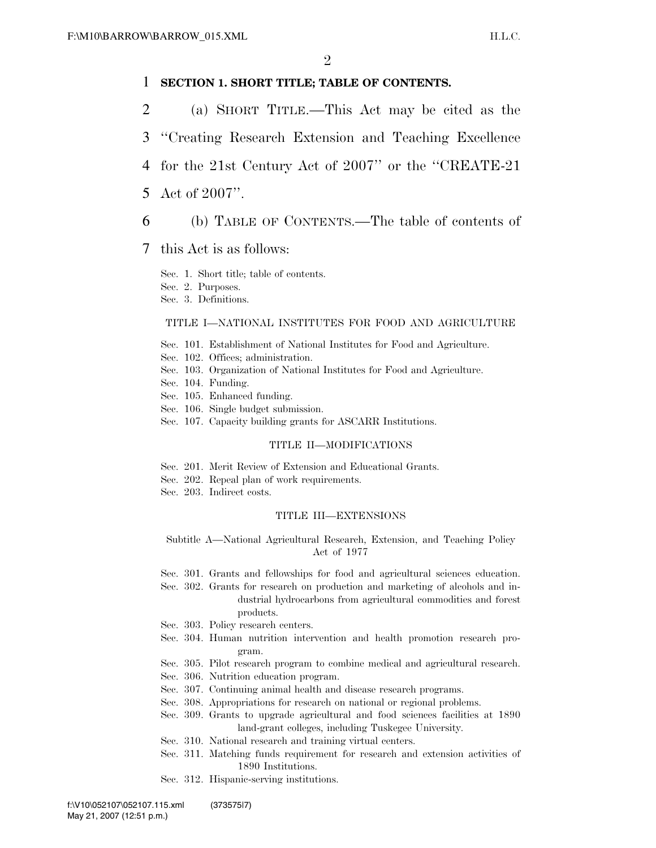# 1 **SECTION 1. SHORT TITLE; TABLE OF CONTENTS.**

- 2 (a) SHORT TITLE.—This Act may be cited as the
- 3 ''Creating Research Extension and Teaching Excellence
- 4 for the 21st Century Act of 2007'' or the ''CREATE-21
- 5 Act of 2007''.
- 6 (b) TABLE OF CONTENTS.—The table of contents of

# 7 this Act is as follows:

Sec. 1. Short title; table of contents.

- Sec. 2. Purposes.
- Sec. 3. Definitions.

# TITLE I—NATIONAL INSTITUTES FOR FOOD AND AGRICULTURE

- Sec. 101. Establishment of National Institutes for Food and Agriculture.
- Sec. 102. Offices; administration.
- Sec. 103. Organization of National Institutes for Food and Agriculture.
- Sec. 104. Funding.
- Sec. 105. Enhanced funding.
- Sec. 106. Single budget submission.
- Sec. 107. Capacity building grants for ASCARR Institutions.

## TITLE II—MODIFICATIONS

- Sec. 201. Merit Review of Extension and Educational Grants.
- Sec. 202. Repeal plan of work requirements.
- Sec. 203. Indirect costs.

## TITLE III—EXTENSIONS

Subtitle A—National Agricultural Research, Extension, and Teaching Policy Act of 1977

- Sec. 301. Grants and fellowships for food and agricultural sciences education.
- Sec. 302. Grants for research on production and marketing of alcohols and industrial hydrocarbons from agricultural commodities and forest products.
- Sec. 303. Policy research centers.
- Sec. 304. Human nutrition intervention and health promotion research program.
- Sec. 305. Pilot research program to combine medical and agricultural research.
- Sec. 306. Nutrition education program.
- Sec. 307. Continuing animal health and disease research programs.
- Sec. 308. Appropriations for research on national or regional problems.
- Sec. 309. Grants to upgrade agricultural and food sciences facilities at 1890 land-grant colleges, including Tuskegee University.
- Sec. 310. National research and training virtual centers.
- Sec. 311. Matching funds requirement for research and extension activities of 1890 Institutions.
- Sec. 312. Hispanic-serving institutions.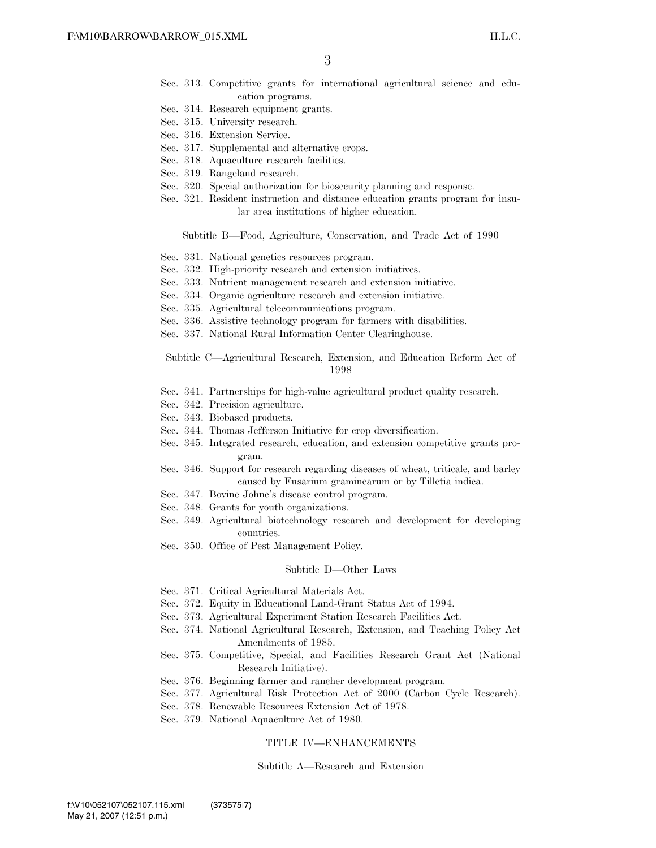- Sec. 313. Competitive grants for international agricultural science and education programs.
- Sec. 314. Research equipment grants.
- Sec. 315. University research.
- Sec. 316. Extension Service.
- Sec. 317. Supplemental and alternative crops.
- Sec. 318. Aquaculture research facilities.
- Sec. 319. Rangeland research.
- Sec. 320. Special authorization for biosecurity planning and response.
- Sec. 321. Resident instruction and distance education grants program for insular area institutions of higher education.

Subtitle B—Food, Agriculture, Conservation, and Trade Act of 1990

- Sec. 331. National genetics resources program.
- Sec. 332. High-priority research and extension initiatives.
- Sec. 333. Nutrient management research and extension initiative.
- Sec. 334. Organic agriculture research and extension initiative.
- Sec. 335. Agricultural telecommunications program.
- Sec. 336. Assistive technology program for farmers with disabilities.
- Sec. 337. National Rural Information Center Clearinghouse.

Subtitle C—Agricultural Research, Extension, and Education Reform Act of 1998

- Sec. 341. Partnerships for high-value agricultural product quality research.
- Sec. 342. Precision agriculture.
- Sec. 343. Biobased products.
- Sec. 344. Thomas Jefferson Initiative for crop diversification.
- Sec. 345. Integrated research, education, and extension competitive grants program.
- Sec. 346. Support for research regarding diseases of wheat, triticale, and barley caused by Fusarium graminearum or by Tilletia indica.
- Sec. 347. Bovine Johne's disease control program.
- Sec. 348. Grants for youth organizations.
- Sec. 349. Agricultural biotechnology research and development for developing countries.
- Sec. 350. Office of Pest Management Policy.

#### Subtitle D—Other Laws

- Sec. 371. Critical Agricultural Materials Act.
- Sec. 372. Equity in Educational Land-Grant Status Act of 1994.
- Sec. 373. Agricultural Experiment Station Research Facilities Act.
- Sec. 374. National Agricultural Research, Extension, and Teaching Policy Act Amendments of 1985.
- Sec. 375. Competitive, Special, and Facilities Research Grant Act (National Research Initiative).
- Sec. 376. Beginning farmer and rancher development program.
- Sec. 377. Agricultural Risk Protection Act of 2000 (Carbon Cycle Research).
- Sec. 378. Renewable Resources Extension Act of 1978.
- Sec. 379. National Aquaculture Act of 1980.

## TITLE IV—ENHANCEMENTS

## Subtitle A—Research and Extension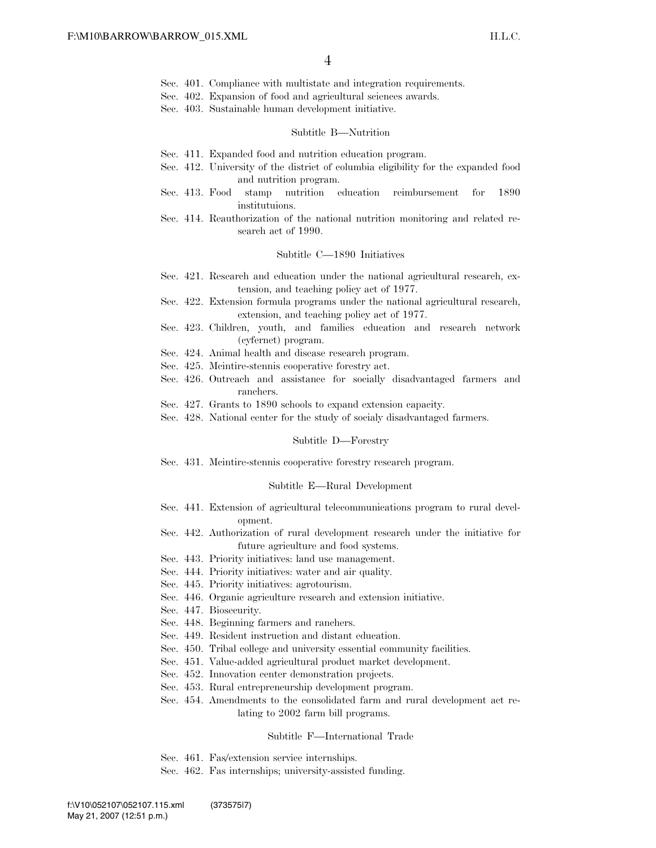- Sec. 401. Compliance with multistate and integration requirements.
- Sec. 402. Expansion of food and agricultural sciences awards.
- Sec. 403. Sustainable human development initiative.

#### Subtitle B—Nutrition

- Sec. 411. Expanded food and nutrition education program.
- Sec. 412. University of the district of columbia eligibility for the expanded food and nutrition program.
- Sec. 413. Food stamp nutrition education reimbursement for 1890 institutuions.
- Sec. 414. Reauthorization of the national nutrition monitoring and related research act of 1990.

### Subtitle C—1890 Initiatives

- Sec. 421. Research and education under the national agricultural research, extension, and teaching policy act of 1977.
- Sec. 422. Extension formula programs under the national agricultural research, extension, and teaching policy act of 1977.
- Sec. 423. Children, youth, and families education and research network (cyfernet) program.
- Sec. 424. Animal health and disease research program.
- Sec. 425. Mcintire-stennis cooperative forestry act.
- Sec. 426. Outreach and assistance for socially disadvantaged farmers and ranchers.
- Sec. 427. Grants to 1890 schools to expand extension capacity.
- Sec. 428. National center for the study of socialy disadvantaged farmers.

#### Subtitle D—Forestry

Sec. 431. Mcintire-stennis cooperative forestry research program.

#### Subtitle E—Rural Development

- Sec. 441. Extension of agricultural telecommunications program to rural development.
- Sec. 442. Authorization of rural development research under the initiative for future agriculture and food systems.
- Sec. 443. Priority initiatives: land use management.
- Sec. 444. Priority initiatives: water and air quality.
- Sec. 445. Priority initiatives: agrotourism.
- Sec. 446. Organic agriculture research and extension initiative.
- Sec. 447. Biosecurity.
- Sec. 448. Beginning farmers and ranchers.
- Sec. 449. Resident instruction and distant education.
- Sec. 450. Tribal college and university essential community facilities.
- Sec. 451. Value-added agricultural product market development.
- Sec. 452. Innovation center demonstration projects.
- Sec. 453. Rural entrepreneurship development program.
- Sec. 454. Amendments to the consolidated farm and rural development act relating to 2002 farm bill programs.

## Subtitle F—International Trade

- Sec. 461. Fas/extension service internships.
- Sec. 462. Fas internships; university-assisted funding.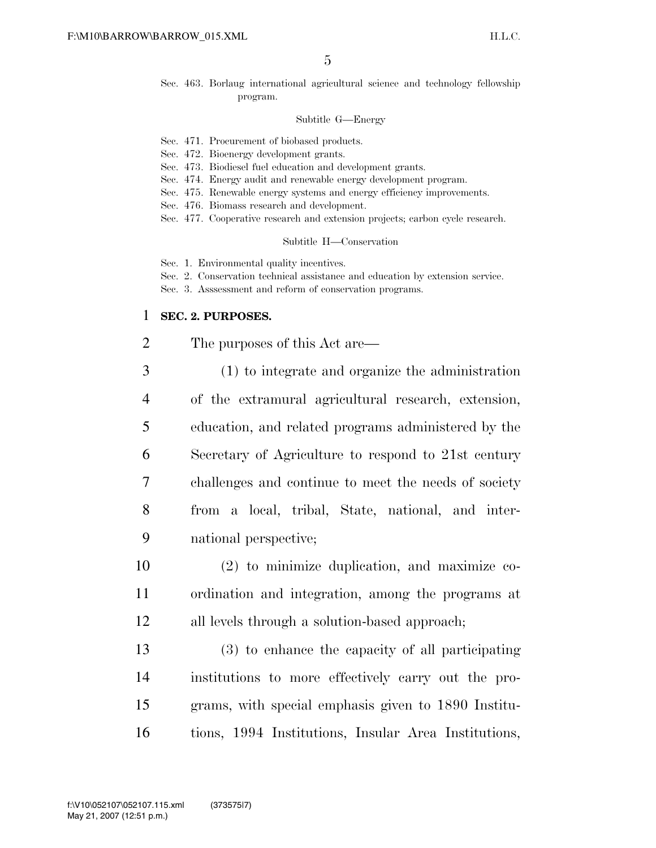Sec. 463. Borlaug international agricultural science and technology fellowship program.

## Subtitle G—Energy

- Sec. 471. Procurement of biobased products.
- Sec. 472. Bioenergy development grants.
- Sec. 473. Biodiesel fuel education and development grants.
- Sec. 474. Energy audit and renewable energy development program.
- Sec. 475. Renewable energy systems and energy efficiency improvements.
- Sec. 476. Biomass research and development.
- Sec. 477. Cooperative research and extension projects; carbon cycle research.

Subtitle H—Conservation

Sec. 1. Environmental quality incentives.

- Sec. 2. Conservation technical assistance and education by extension service.
- Sec. 3. Asssessment and reform of conservation programs.

# 1 **SEC. 2. PURPOSES.**

2 The purposes of this Act are—

 (1) to integrate and organize the administration of the extramural agricultural research, extension, education, and related programs administered by the Secretary of Agriculture to respond to 21st century challenges and continue to meet the needs of society from a local, tribal, State, national, and inter-national perspective;

10 (2) to minimize duplication, and maximize co-11 ordination and integration, among the programs at 12 all levels through a solution-based approach;

 (3) to enhance the capacity of all participating institutions to more effectively carry out the pro- grams, with special emphasis given to 1890 Institu-tions, 1994 Institutions, Insular Area Institutions,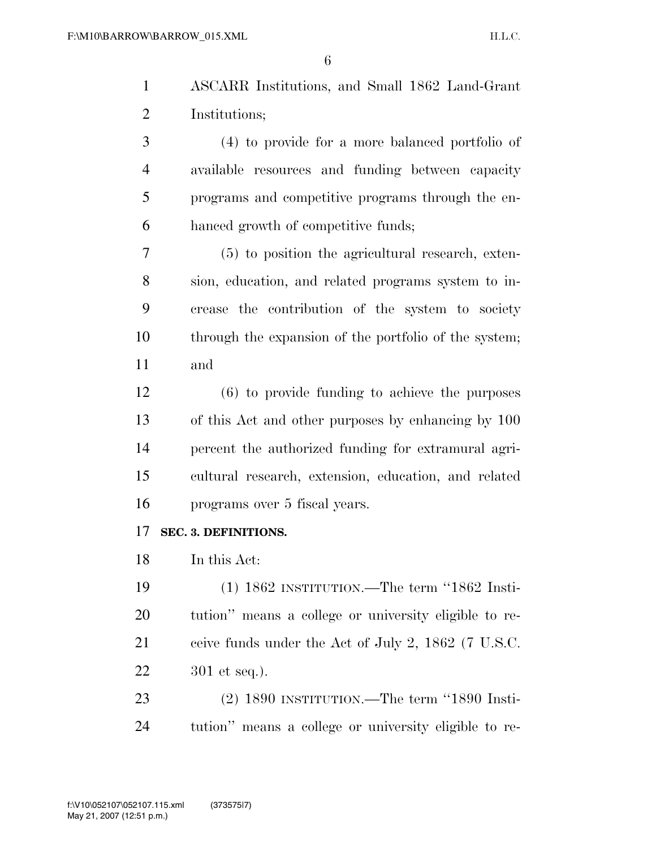- ASCARR Institutions, and Small 1862 Land-Grant Institutions;
- (4) to provide for a more balanced portfolio of available resources and funding between capacity programs and competitive programs through the en-hanced growth of competitive funds;
- (5) to position the agricultural research, exten- sion, education, and related programs system to in- crease the contribution of the system to society through the expansion of the portfolio of the system; and
- (6) to provide funding to achieve the purposes of this Act and other purposes by enhancing by 100 percent the authorized funding for extramural agri- cultural research, extension, education, and related programs over 5 fiscal years.

# **SEC. 3. DEFINITIONS.**

In this Act:

 (1) 1862 INSTITUTION.—The term ''1862 Insti- tution'' means a college or university eligible to re- ceive funds under the Act of July 2, 1862 (7 U.S.C. 301 et seq.).

 (2) 1890 INSTITUTION.—The term ''1890 Insti-tution'' means a college or university eligible to re-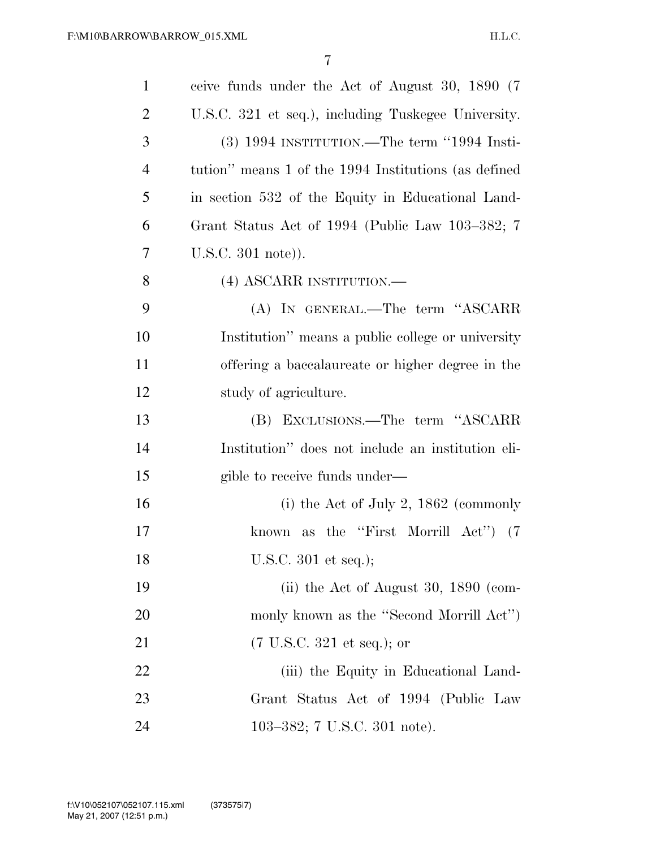| $\mathbf{1}$   | ceive funds under the Act of August 30, 1890 (7)     |
|----------------|------------------------------------------------------|
| $\overline{2}$ | U.S.C. 321 et seq.), including Tuskegee University.  |
| 3              | $(3)$ 1994 INSTITUTION.—The term "1994 Insti-        |
| $\overline{4}$ | tution" means 1 of the 1994 Institutions (as defined |
| 5              | in section 532 of the Equity in Educational Land-    |
| 6              | Grant Status Act of 1994 (Public Law 103–382; 7      |
| 7              | $U.S.C. 301 note)$ ).                                |
| 8              | (4) ASCARR INSTITUTION.—                             |
| 9              | (A) IN GENERAL.—The term "ASCARR                     |
| 10             | Institution" means a public college or university    |
| 11             | offering a baccalaureate or higher degree in the     |
| 12             | study of agriculture.                                |
| 13             | (B) EXCLUSIONS.—The term "ASCARR                     |
| 14             | Institution" does not include an institution eli-    |
| 15             | gible to receive funds under—                        |
| 16             | (i) the Act of July 2, $1862$ (commonly              |
| 17             | known as the "First Morrill Act") (7                 |
| 18             | U.S.C. 301 et seq.);                                 |
| 19             | (ii) the Act of August 30, $1890$ (com-              |
| 20             | monly known as the "Second Morrill Act")             |
| 21             | $(7 \text{ U.S.C. } 321 \text{ et seq.});$ or        |
| 22             | (iii) the Equity in Educational Land-                |
| 23             | Grant Status Act of 1994 (Public Law                 |
| 24             | 103-382; 7 U.S.C. 301 note).                         |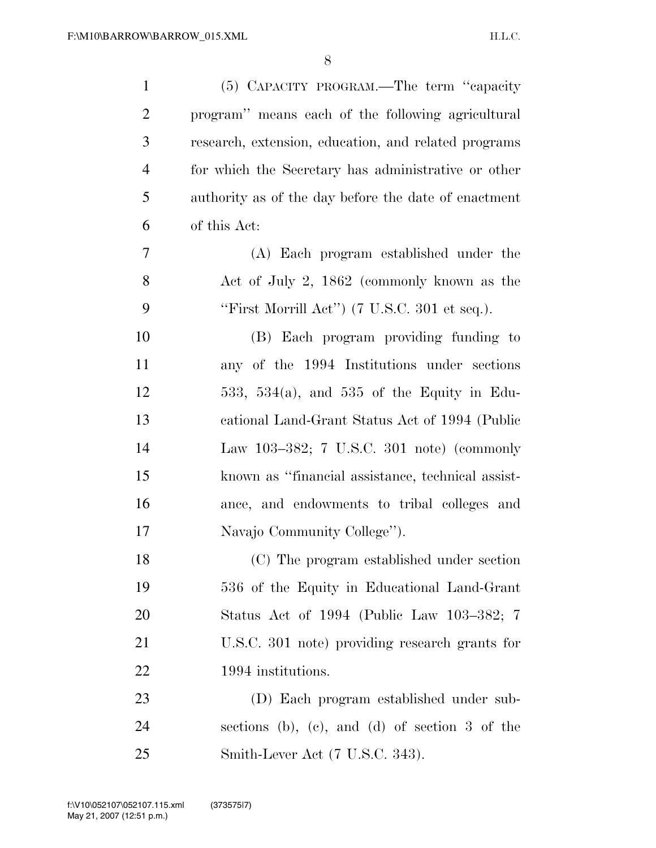| $\mathbf{1}$   | (5) CAPACITY PROGRAM.—The term "capacity                        |
|----------------|-----------------------------------------------------------------|
| $\overline{2}$ | program" means each of the following agricultural               |
| 3              | research, extension, education, and related programs            |
| $\overline{4}$ | for which the Secretary has administrative or other             |
| 5              | authority as of the day before the date of enactment            |
| 6              | of this Act:                                                    |
| 7              | (A) Each program established under the                          |
| 8              | Act of July 2, 1862 (commonly known as the                      |
| 9              | "First Morrill Act") $(7 \text{ U.S.C. } 301 \text{ et seq.}).$ |
| 10             | (B) Each program providing funding to                           |
| 11             | any of the 1994 Institutions under sections                     |
| 12             | 533, 534(a), and 535 of the Equity in Edu-                      |
| 13             | cational Land-Grant Status Act of 1994 (Public                  |
| 14             | Law 103-382; 7 U.S.C. 301 note) (commonly                       |
| 15             | known as "financial assistance, technical assist-               |
| 16             | ance, and endowments to tribal colleges and                     |
| 17             | Navajo Community College").                                     |
| 18             | (C) The program established under section                       |
| 19             | 536 of the Equity in Educational Land-Grant                     |
| 20             | Status Act of 1994 (Public Law 103–382; 7                       |
| 21             | U.S.C. 301 note) providing research grants for                  |
| 22             | 1994 institutions.                                              |
| 23             | (D) Each program established under sub-                         |
| 24             | sections (b), (c), and (d) of section $3$ of the                |
| 25             | Smith-Lever Act (7 U.S.C. 343).                                 |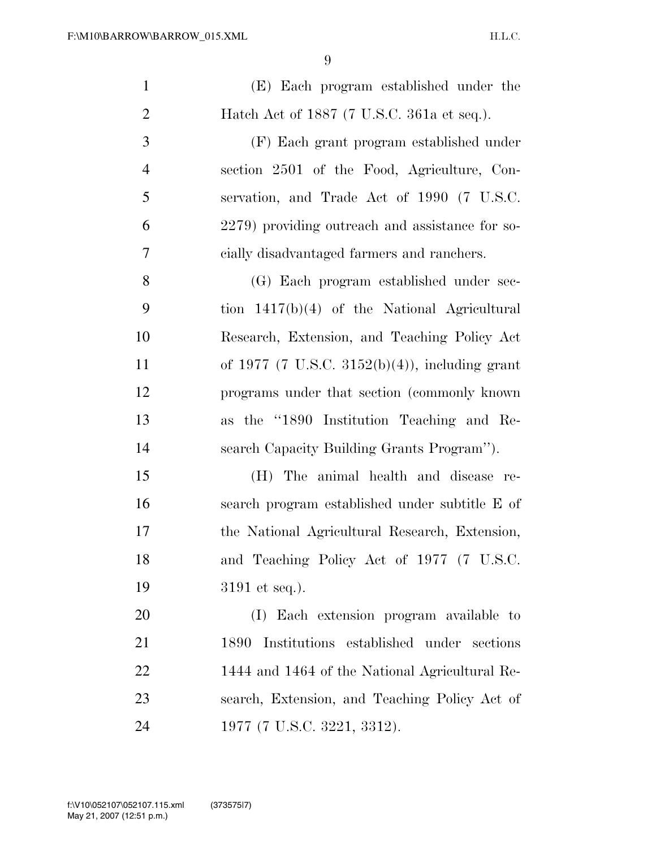| $\mathbf{1}$   | (E) Each program established under the          |
|----------------|-------------------------------------------------|
| $\overline{2}$ | Hatch Act of 1887 (7 U.S.C. 361a et seq.).      |
| 3              | (F) Each grant program established under        |
| $\overline{4}$ | section 2501 of the Food, Agriculture, Con-     |
| 5              | servation, and Trade Act of 1990 (7 U.S.C.      |
| 6              | 2279) providing outreach and assistance for so- |
| 7              | cially disadvantaged farmers and ranchers.      |
| 8              | (G) Each program established under sec-         |
| 9              | tion $1417(b)(4)$ of the National Agricultural  |
| 10             | Research, Extension, and Teaching Policy Act    |
| 11             | of 1977 (7 U.S.C. 3152(b)(4)), including grant  |
| 12             | programs under that section (commonly known)    |
| 13             | as the "1890 Institution Teaching and Re-       |
| 14             | search Capacity Building Grants Program").      |
| 15             | The animal health and disease re-<br>(H)        |
| 16             | search program established under subtitle E of  |
| 17             | the National Agricultural Research, Extension,  |
| 18             | and Teaching Policy Act of 1977 (7 U.S.C.       |
| 19             | $3191$ et seq.).                                |
| 20             | (I) Each extension program available to         |
| 21             | Institutions established under sections<br>1890 |
| 22             | 1444 and 1464 of the National Agricultural Re-  |
| 23             | search, Extension, and Teaching Policy Act of   |
| 24             | 1977 (7 U.S.C. 3221, 3312).                     |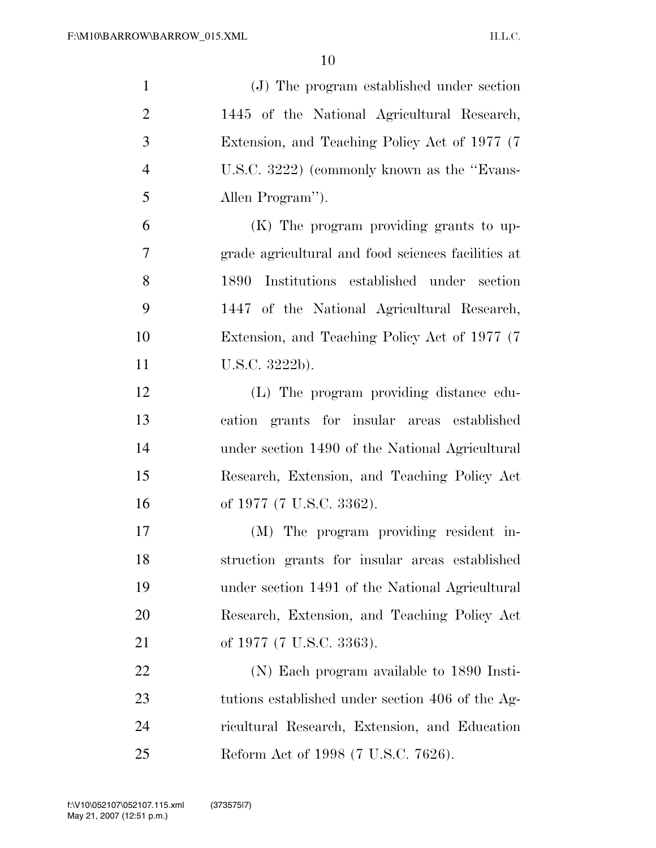| $\mathbf{1}$   | (J) The program established under section          |
|----------------|----------------------------------------------------|
| $\overline{2}$ | 1445 of the National Agricultural Research,        |
| 3              | Extension, and Teaching Policy Act of 1977 (7)     |
| $\overline{4}$ | U.S.C. 3222) (commonly known as the "Evans-        |
| 5              | Allen Program").                                   |
| 6              | (K) The program providing grants to up-            |
| $\overline{7}$ | grade agricultural and food sciences facilities at |
| 8              | Institutions established under section<br>1890     |
| 9              | 1447 of the National Agricultural Research,        |
| 10             | Extension, and Teaching Policy Act of 1977 (7)     |
| 11             | U.S.C. 3222b).                                     |
| 12             | (L) The program providing distance edu-            |
| 13             | cation grants for insular areas established        |
| 14             | under section 1490 of the National Agricultural    |
| 15             | Research, Extension, and Teaching Policy Act       |
| 16             | of 1977 (7 U.S.C. 3362).                           |
| 17             | (M) The program providing resident in-             |
| 18             | struction grants for insular areas established     |
| 19             | under section 1491 of the National Agricultural    |
| <b>20</b>      | Research, Extension, and Teaching Policy Act       |
| 21             | of 1977 (7 U.S.C. 3363).                           |
| 22             | (N) Each program available to 1890 Insti-          |
| 23             | tutions established under section 406 of the Ag-   |
| 24             | ricultural Research, Extension, and Education      |
| 25             | Reform Act of 1998 (7 U.S.C. 7626).                |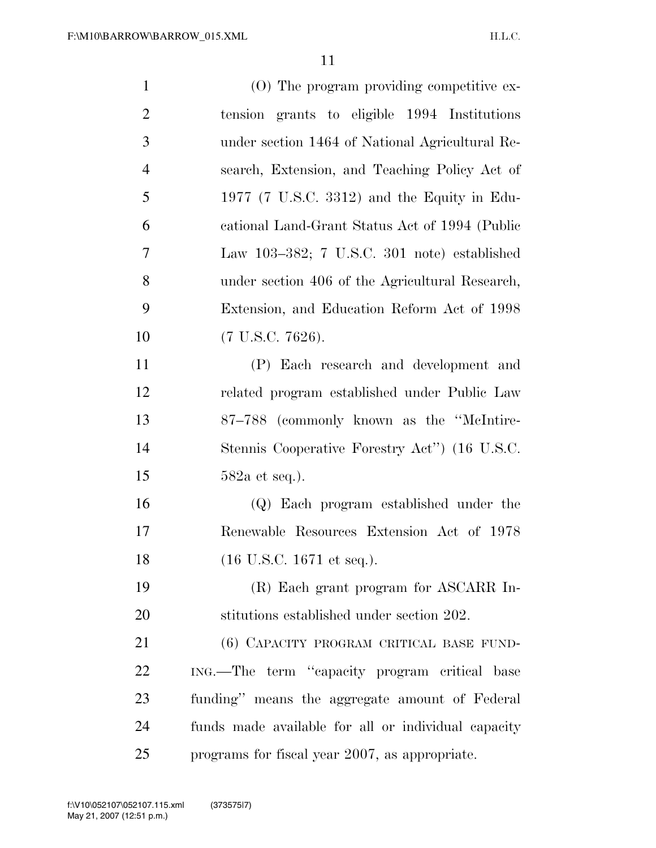| $\mathbf{1}$   | $(0)$ The program providing competitive ex-         |
|----------------|-----------------------------------------------------|
| $\overline{2}$ | tension grants to eligible 1994 Institutions        |
| 3              | under section 1464 of National Agricultural Re-     |
| $\overline{4}$ | search, Extension, and Teaching Policy Act of       |
| 5              | 1977 (7 U.S.C. 3312) and the Equity in Edu-         |
| 6              | cational Land-Grant Status Act of 1994 (Public      |
| $\overline{7}$ | Law $103-382$ ; 7 U.S.C. 301 note) established      |
| 8              | under section 406 of the Agricultural Research,     |
| 9              | Extension, and Education Reform Act of 1998         |
| 10             | $(7 \text{ U.S.C. } 7626).$                         |
| 11             | (P) Each research and development and               |
| 12             | related program established under Public Law        |
| 13             | 87-788 (commonly known as the "McIntire-            |
| 14             | Stennis Cooperative Forestry Act" (16 U.S.C.        |
| 15             | $582a$ et seq.).                                    |
| 16             | (Q) Each program established under the              |
| 17             | Renewable Resources Extension Act of 1978           |
| 18             | (16 U.S.C. 1671 et seq.).                           |
| 19             | (R) Each grant program for ASCARR In-               |
| 20             | stitutions established under section 202.           |
| 21             | (6) CAPACITY PROGRAM CRITICAL BASE FUND-            |
| 22             | ING.—The term "capacity program critical base       |
| 23             | funding" means the aggregate amount of Federal      |
| 24             | funds made available for all or individual capacity |
| 25             | programs for fiscal year 2007, as appropriate.      |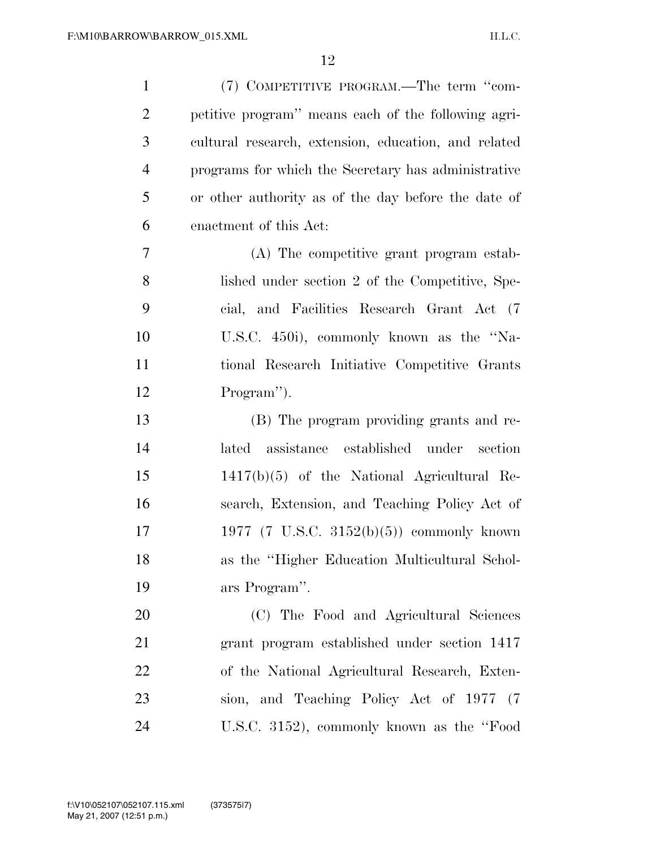| $\mathbf{1}$   | (7) COMPETITIVE PROGRAM.—The term "com-              |
|----------------|------------------------------------------------------|
| $\overline{2}$ | petitive program" means each of the following agri-  |
| 3              | cultural research, extension, education, and related |
| $\overline{4}$ | programs for which the Secretary has administrative  |
| 5              | or other authority as of the day before the date of  |
| 6              | enactment of this Act:                               |
| $\overline{7}$ | (A) The competitive grant program estab-             |
| 8              | lished under section 2 of the Competitive, Spe-      |
| 9              | cial, and Facilities Research Grant Act (7)          |
| 10             | U.S.C. 450i), commonly known as the "Na-             |
| 11             | tional Research Initiative Competitive Grants        |
| 12             | Program").                                           |
| 13             | (B) The program providing grants and re-             |
| 14             | assistance established under section<br>lated        |
| 15             | $1417(b)(5)$ of the National Agricultural Re-        |
| 16             | search, Extension, and Teaching Policy Act of        |
| 17             | 1977 (7 U.S.C. 3152(b)(5)) commonly known            |
| 18             | as the "Higher Education Multicultural Schol-        |
| 19             | ars Program".                                        |
| 20             | (C) The Food and Agricultural Sciences               |
| 21             | grant program established under section 1417         |
| 22             | of the National Agricultural Research, Exten-        |
| 23             | sion, and Teaching Policy Act of 1977 (7             |
| 24             | U.S.C. 3152), commonly known as the "Food            |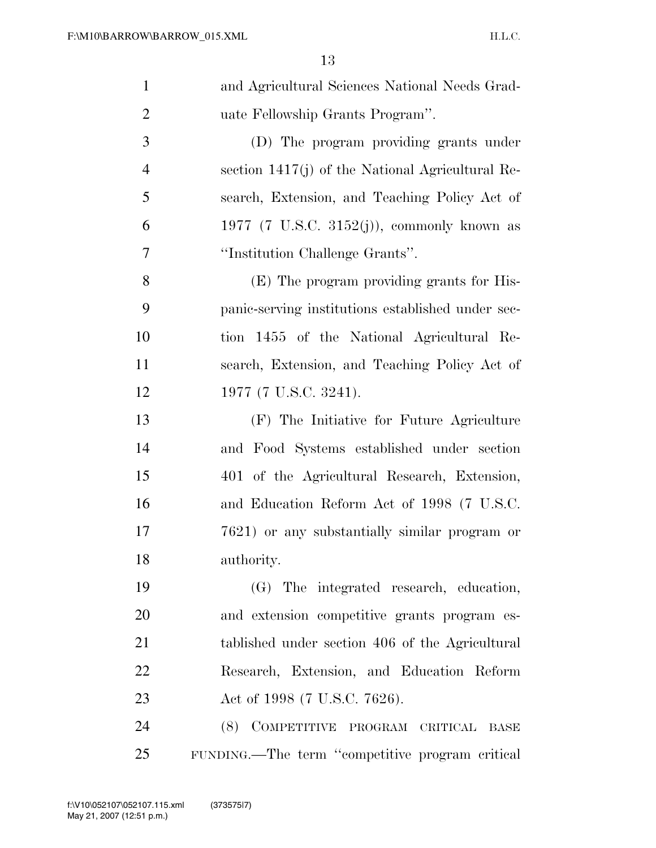| $\mathbf{1}$   | and Agricultural Sciences National Needs Grad-     |
|----------------|----------------------------------------------------|
| $\overline{2}$ | uate Fellowship Grants Program".                   |
| 3              | (D) The program providing grants under             |
| $\overline{4}$ | section $1417(j)$ of the National Agricultural Re- |
| 5              | search, Extension, and Teaching Policy Act of      |
| 6              | 1977 (7 U.S.C. 3152(j)), commonly known as         |
| $\overline{7}$ | "Institution Challenge Grants".                    |
| 8              | (E) The program providing grants for His-          |
| 9              | panic-serving institutions established under sec-  |
| 10             | tion 1455 of the National Agricultural Re-         |
| 11             | search, Extension, and Teaching Policy Act of      |
| 12             | 1977 (7 U.S.C. 3241).                              |
| 13             | (F) The Initiative for Future Agriculture          |
| 14             | and Food Systems established under section         |
| 15             | 401 of the Agricultural Research, Extension,       |
| 16             | and Education Reform Act of 1998 (7 U.S.C.         |
| 17             | 7621) or any substantially similar program or      |
| 18             | authority.                                         |
| 19             | (G) The integrated research, education,            |
| 20             | and extension competitive grants program es-       |
| 21             | tablished under section 406 of the Agricultural    |
| 22             | Research, Extension, and Education Reform          |
| 23             | Act of 1998 (7 U.S.C. 7626).                       |
| 24             | (8) COMPETITIVE PROGRAM CRITICAL BASE              |
| 25             | FUNDING.—The term "competitive program critical    |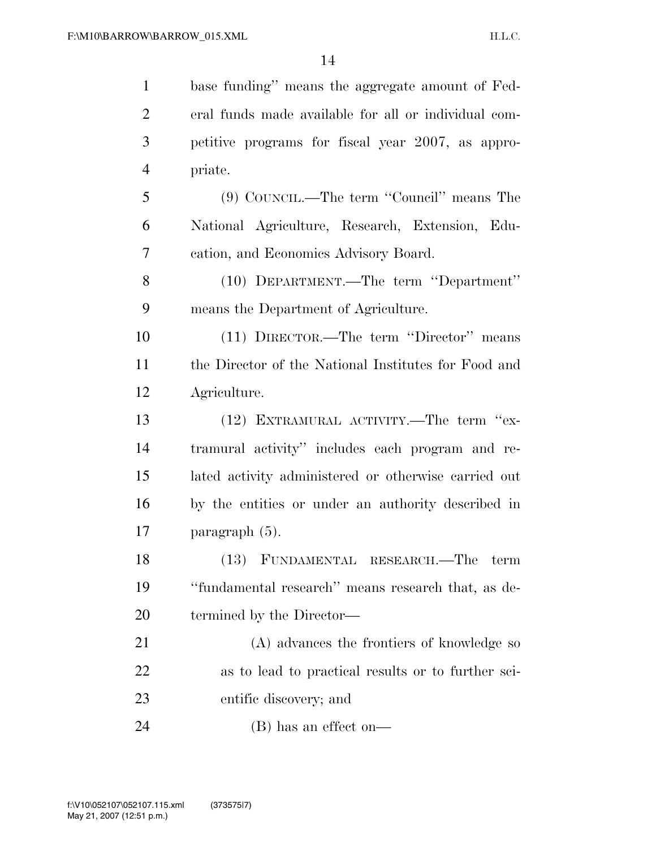| $\mathbf{1}$   | base funding" means the aggregate amount of Fed-     |
|----------------|------------------------------------------------------|
| $\overline{2}$ | eral funds made available for all or individual com- |
| 3              | petitive programs for fiscal year 2007, as appro-    |
| $\overline{4}$ | priate.                                              |
| 5              | (9) COUNCIL.—The term "Council" means The            |
| 6              | National Agriculture, Research, Extension, Edu-      |
| 7              | cation, and Economics Advisory Board.                |
| 8              | (10) DEPARTMENT.—The term "Department"               |
| 9              | means the Department of Agriculture.                 |
| 10             | (11) DIRECTOR.—The term "Director" means             |
| 11             | the Director of the National Institutes for Food and |
| 12             | Agriculture.                                         |
| 13             | (12) EXTRAMURAL ACTIVITY.—The term "ex-              |
| 14             | tramural activity" includes each program and re-     |
| 15             | lated activity administered or otherwise carried out |
| 16             | by the entities or under an authority described in   |
| 17             | paragraph $(5)$ .                                    |
| 18             | (13) FUNDAMENTAL RESEARCH.—The term                  |
| 19             | "fundamental research" means research that, as de-   |
| <b>20</b>      | termined by the Director—                            |
| 21             | (A) advances the frontiers of knowledge so           |
| 22             | as to lead to practical results or to further sci-   |
| 23             | entific discovery; and                               |
| 24             | $(B)$ has an effect on—                              |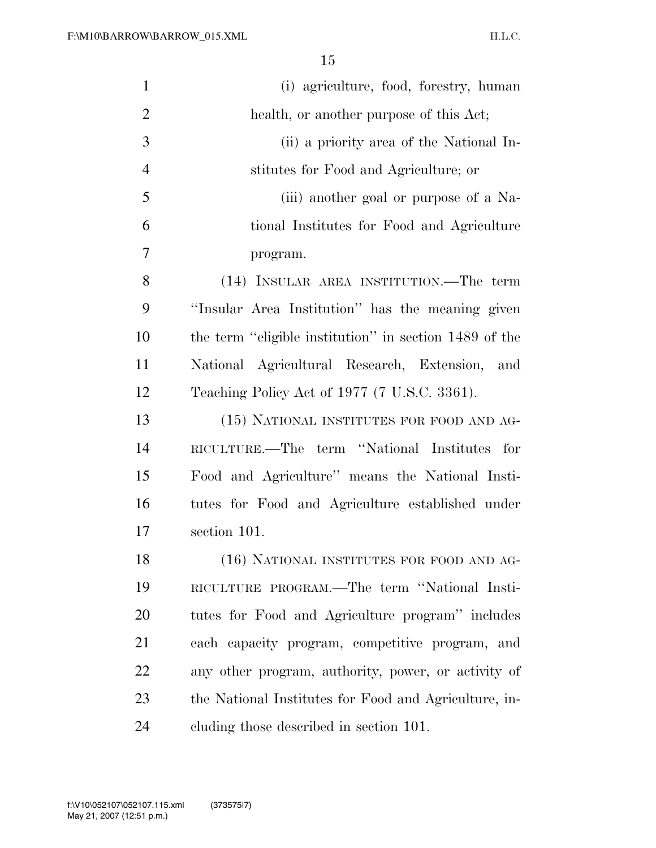| $\mathbf{1}$   | (i) agriculture, food, forestry, human                 |
|----------------|--------------------------------------------------------|
| $\overline{2}$ | health, or another purpose of this Act;                |
| 3              | (ii) a priority area of the National In-               |
| $\overline{4}$ | stitutes for Food and Agriculture; or                  |
| 5              | (iii) another goal or purpose of a Na-                 |
| 6              | tional Institutes for Food and Agriculture             |
| 7              | program.                                               |
| 8              | (14) INSULAR AREA INSTITUTION.—The term                |
| 9              | "Insular Area Institution" has the meaning given       |
| 10             | the term "eligible institution" in section 1489 of the |
| 11             | National Agricultural Research, Extension, and         |
| 12             | Teaching Policy Act of 1977 (7 U.S.C. 3361).           |
| 13             | (15) NATIONAL INSTITUTES FOR FOOD AND AG-              |
| 14             | RICULTURE.—The term "National Institutes for           |
| 15             | Food and Agriculture" means the National Insti-        |
| 16             | tutes for Food and Agriculture established under       |
| 17             | section 101.                                           |
| 18             | (16) NATIONAL INSTITUTES FOR FOOD AND AG-              |
| 19             | RICULTURE PROGRAM.—The term "National Insti-           |
| 20             | tutes for Food and Agriculture program" includes       |
| 21             | each capacity program, competitive program, and        |
| 22             | any other program, authority, power, or activity of    |
| 23             | the National Institutes for Food and Agriculture, in-  |
| 24             | cluding those described in section 101.                |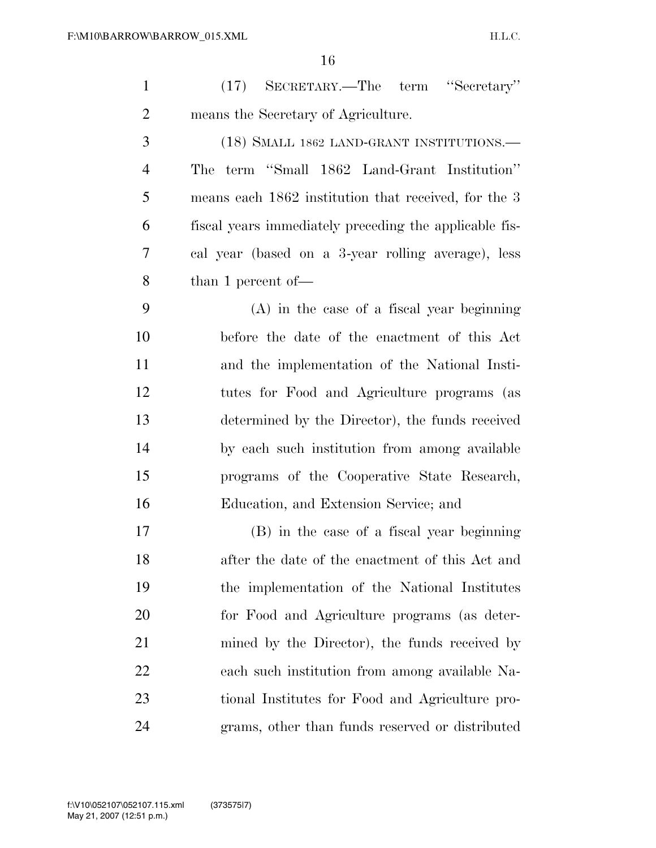| $\mathbf{1}$   | SECRETARY.—The term "Secretary"<br>(17)                |
|----------------|--------------------------------------------------------|
| $\overline{2}$ | means the Secretary of Agriculture.                    |
| 3              | (18) SMALL 1862 LAND-GRANT INSTITUTIONS.—              |
| $\overline{4}$ | term "Small 1862 Land-Grant Institution"<br>The        |
| 5              | means each 1862 institution that received, for the 3   |
| 6              | fiscal years immediately preceding the applicable fis- |
| 7              | cal year (based on a 3-year rolling average), less     |
| 8              | than 1 percent of $-$                                  |
| 9              | $(A)$ in the case of a fiscal year beginning           |
| 10             | before the date of the enactment of this Act           |
| 11             | and the implementation of the National Insti-          |
| 12             | tutes for Food and Agriculture programs (as            |
| 13             | determined by the Director), the funds received        |
| 14             | by each such institution from among available          |
| 15             | programs of the Cooperative State Research,            |
| 16             | Education, and Extension Service; and                  |
| 17             | (B) in the case of a fiscal year beginning             |
| 18             | after the date of the enactment of this Act and        |
| 19             | the implementation of the National Institutes          |
| 20             | for Food and Agriculture programs (as deter-           |
| 21             | mined by the Director), the funds received by          |
| 22             | each such institution from among available Na-         |
| 23             | tional Institutes for Food and Agriculture pro-        |
| 24             | grams, other than funds reserved or distributed        |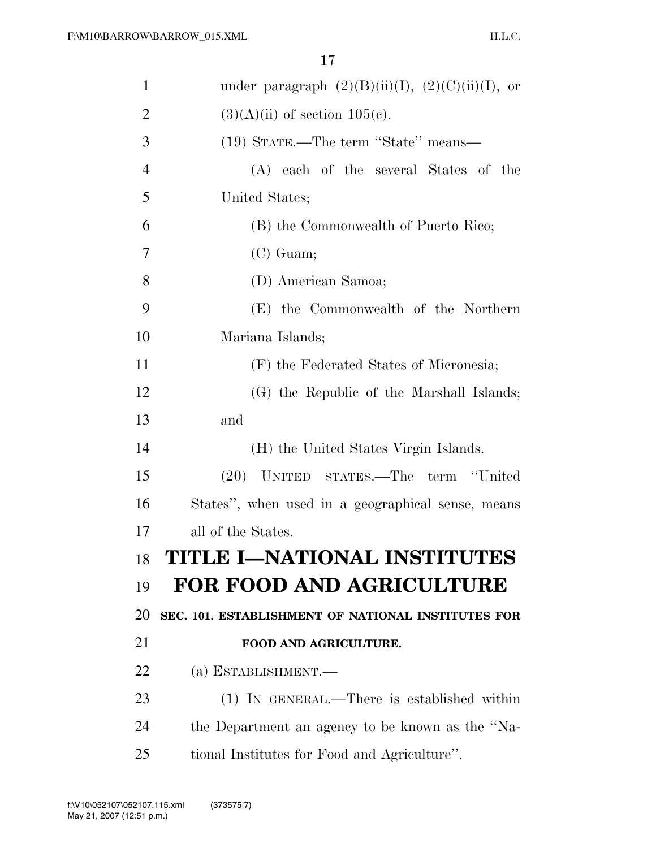| $\mathbf{1}$   | under paragraph $(2)(B)(ii)(I)$ , $(2)(C)(ii)(I)$ , or |
|----------------|--------------------------------------------------------|
| $\overline{2}$ | $(3)(A)(ii)$ of section 105(c).                        |
| 3              | (19) STATE.—The term "State" means—                    |
| $\overline{4}$ | (A) each of the several States of the                  |
| 5              | United States;                                         |
| 6              | (B) the Commonwealth of Puerto Rico;                   |
| 7              | $(C)$ Guam;                                            |
| 8              | (D) American Samoa;                                    |
| 9              | (E) the Commonwealth of the Northern                   |
| 10             | Mariana Islands;                                       |
| 11             | (F) the Federated States of Micronesia;                |
| 12             | (G) the Republic of the Marshall Islands;              |
| 13             | and                                                    |
| 14             | (H) the United States Virgin Islands.                  |
| 15             | (20) UNITED STATES.—The term "United                   |
| 16             | States", when used in a geographical sense, means      |
| 17             | all of the States.                                     |
| 18             | TITLE I-NATIONAL INSTITUTES                            |
| 19             | FOR FOOD AND AGRICULTURE                               |
| 20             | SEC. 101. ESTABLISHMENT OF NATIONAL INSTITUTES FOR     |
| 21             | FOOD AND AGRICULTURE.                                  |
| 22             | (a) ESTABLISHMENT.—                                    |
| 23             | (1) IN GENERAL.—There is established within            |
|                |                                                        |
| 24             | the Department an agency to be known as the "Na-       |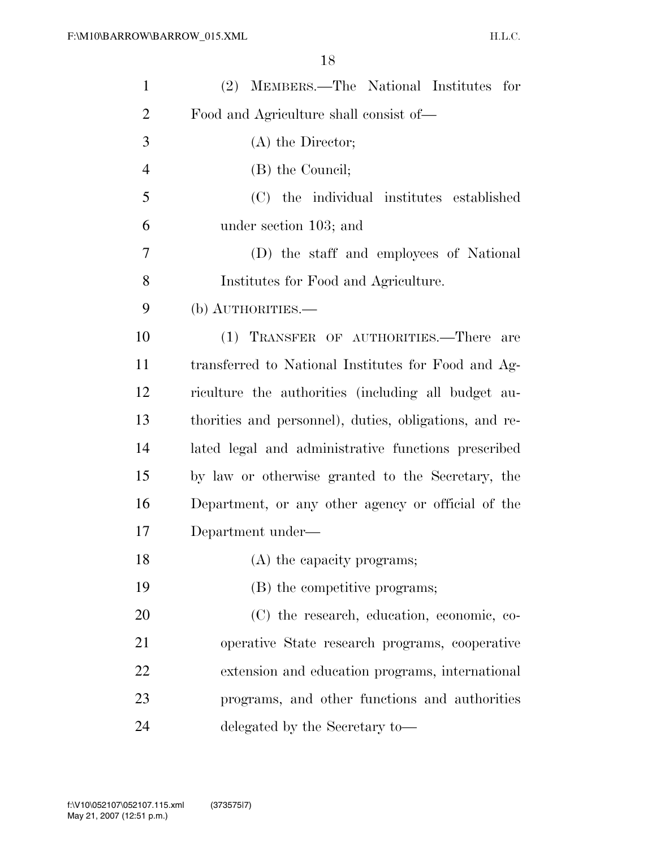| $\mathbf{1}$   | (2) MEMBERS.—The National Institutes for               |
|----------------|--------------------------------------------------------|
| $\overline{2}$ | Food and Agriculture shall consist of—                 |
| 3              | $(A)$ the Director;                                    |
| $\overline{4}$ | (B) the Council;                                       |
| 5              | (C) the individual institutes established              |
| 6              | under section 103; and                                 |
| 7              | (D) the staff and employees of National                |
| 8              | Institutes for Food and Agriculture.                   |
| 9              | (b) AUTHORITIES.—                                      |
| 10             | (1) TRANSFER OF AUTHORITIES.—There are                 |
| 11             | transferred to National Institutes for Food and Ag-    |
| 12             | riculture the authorities (including all budget au-    |
| 13             | thorities and personnel), duties, obligations, and re- |
| 14             | lated legal and administrative functions prescribed    |
| 15             | by law or otherwise granted to the Secretary, the      |
| 16             | Department, or any other agency or official of the     |
| 17             | Department under—                                      |
| 18             | (A) the capacity programs;                             |
| 19             | (B) the competitive programs;                          |
| 20             | (C) the research, education, economic, co-             |
| 21             | operative State research programs, cooperative         |
| 22             | extension and education programs, international        |
| 23             | programs, and other functions and authorities          |
| 24             | delegated by the Secretary to-                         |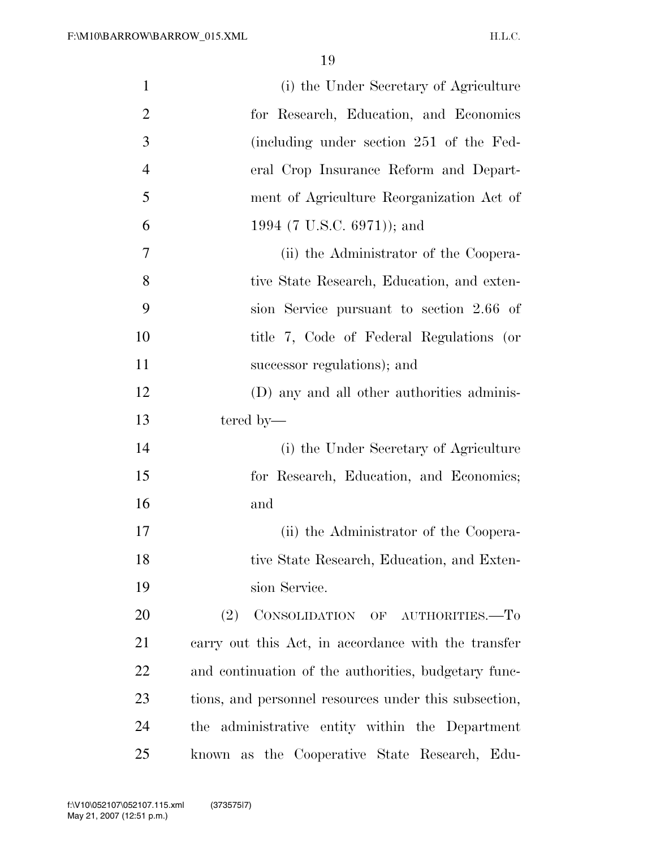| $\mathbf{1}$   | (i) the Under Secretary of Agriculture                |
|----------------|-------------------------------------------------------|
| $\overline{2}$ | for Research, Education, and Economics                |
| 3              | (including under section 251 of the Fed-              |
| $\overline{4}$ | eral Crop Insurance Reform and Depart-                |
| 5              | ment of Agriculture Reorganization Act of             |
| 6              | 1994 (7 U.S.C. 6971)); and                            |
| $\overline{7}$ | (ii) the Administrator of the Coopera-                |
| 8              | tive State Research, Education, and exten-            |
| 9              | sion Service pursuant to section 2.66 of              |
| 10             | title 7, Code of Federal Regulations (or              |
| 11             | successor regulations); and                           |
| 12             | (D) any and all other authorities adminis-            |
| 13             | tered by—                                             |
| 14             | (i) the Under Secretary of Agriculture                |
| 15             | for Research, Education, and Economics;               |
| 16             | and                                                   |
| 17             | (ii) the Administrator of the Coopera-                |
| 18             | tive State Research, Education, and Exten-            |
| 19             | sion Service.                                         |
| 20             | CONSOLIDATION OF AUTHORITIES.-To<br>(2)               |
| 21             | carry out this Act, in accordance with the transfer   |
| 22             | and continuation of the authorities, budgetary func-  |
| 23             | tions, and personnel resources under this subsection, |
| 24             | the administrative entity within the Department       |
| 25             | known as the Cooperative State Research, Edu-         |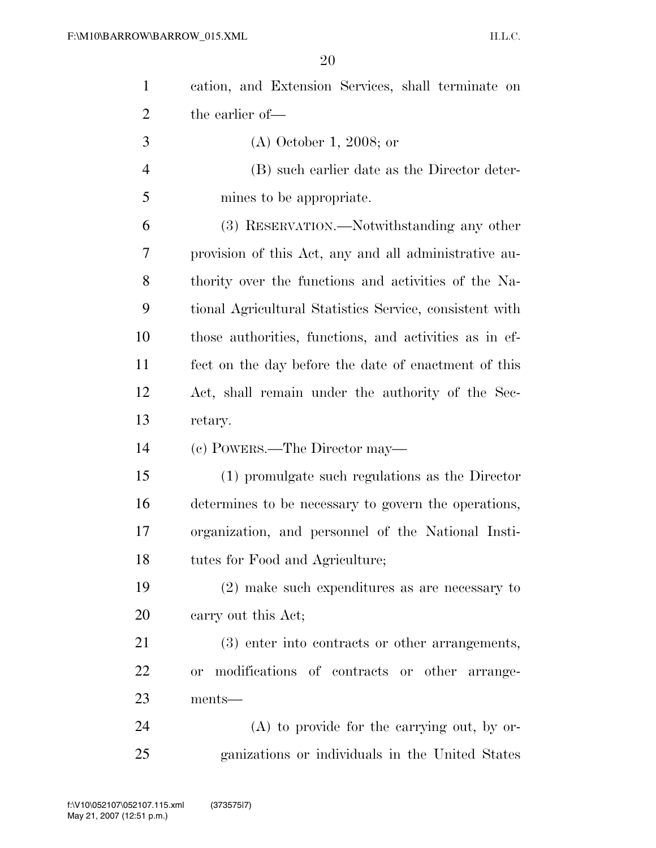| $\mathbf{1}$   | cation, and Extension Services, shall terminate on      |
|----------------|---------------------------------------------------------|
| $\overline{2}$ | the earlier of-                                         |
| 3              | $(A)$ October 1, 2008; or                               |
| $\overline{4}$ | (B) such earlier date as the Director deter-            |
| 5              | mines to be appropriate.                                |
| 6              | (3) RESERVATION.—Notwithstanding any other              |
| 7              | provision of this Act, any and all administrative au-   |
| 8              | thority over the functions and activities of the Na-    |
| 9              | tional Agricultural Statistics Service, consistent with |
| 10             | those authorities, functions, and activities as in ef-  |
| 11             | fect on the day before the date of enactment of this    |
| 12             | Act, shall remain under the authority of the Sec-       |
|                |                                                         |
| 13             | retary.                                                 |
| 14             | (c) POWERS.—The Director may—                           |
| 15             | (1) promulgate such regulations as the Director         |
| 16             | determines to be necessary to govern the operations,    |
| 17             | organization, and personnel of the National Insti-      |
| 18             | tutes for Food and Agriculture;                         |
| 19             | $(2)$ make such expenditures as are necessary to        |
| 20             | carry out this Act;                                     |
| 21             | (3) enter into contracts or other arrangements,         |
| 22             | modifications of contracts or other arrange-<br>or      |
| 23             | ments-                                                  |
| 24             | $(A)$ to provide for the carrying out, by or-           |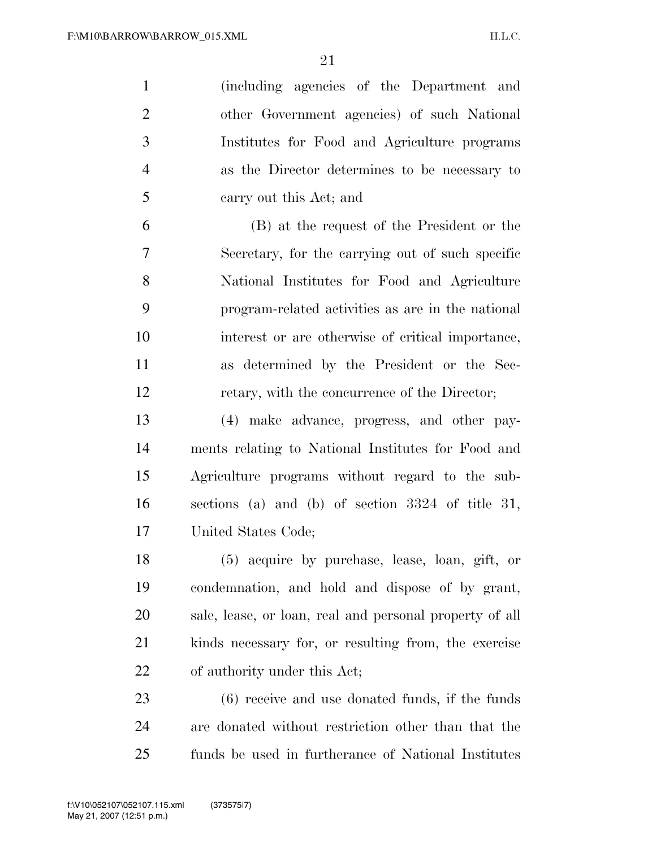(including agencies of the Department and other Government agencies) of such National Institutes for Food and Agriculture programs as the Director determines to be necessary to carry out this Act; and

 (B) at the request of the President or the Secretary, for the carrying out of such specific National Institutes for Food and Agriculture program-related activities as are in the national interest or are otherwise of critical importance, as determined by the President or the Sec-retary, with the concurrence of the Director;

 (4) make advance, progress, and other pay- ments relating to National Institutes for Food and Agriculture programs without regard to the sub- sections (a) and (b) of section 3324 of title 31, United States Code;

 (5) acquire by purchase, lease, loan, gift, or condemnation, and hold and dispose of by grant, sale, lease, or loan, real and personal property of all kinds necessary for, or resulting from, the exercise of authority under this Act;

 (6) receive and use donated funds, if the funds are donated without restriction other than that the funds be used in furtherance of National Institutes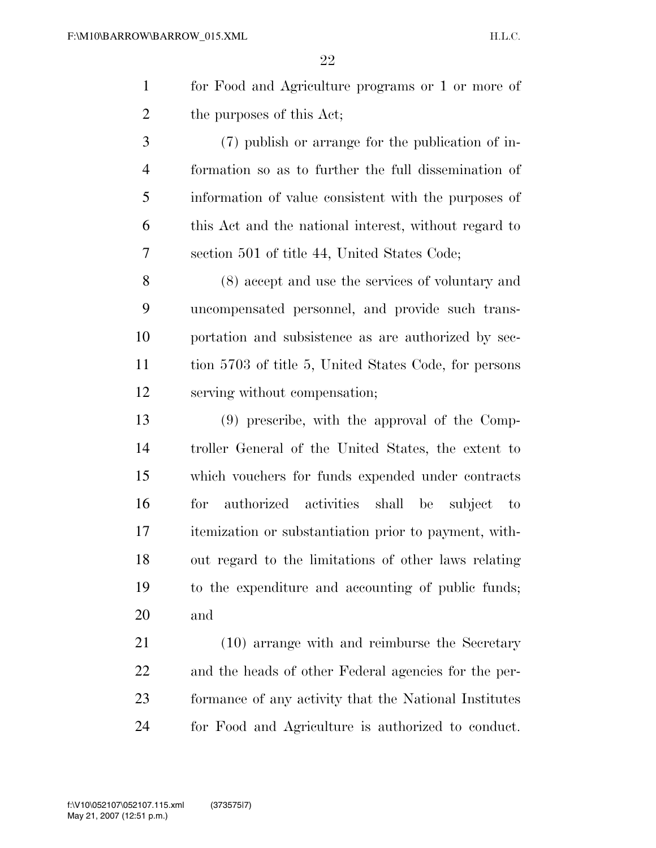for Food and Agriculture programs or 1 or more of the purposes of this Act;

 (7) publish or arrange for the publication of in- formation so as to further the full dissemination of information of value consistent with the purposes of this Act and the national interest, without regard to section 501 of title 44, United States Code;

 (8) accept and use the services of voluntary and uncompensated personnel, and provide such trans- portation and subsistence as are authorized by sec- tion 5703 of title 5, United States Code, for persons serving without compensation;

 (9) prescribe, with the approval of the Comp- troller General of the United States, the extent to which vouchers for funds expended under contracts for authorized activities shall be subject to itemization or substantiation prior to payment, with- out regard to the limitations of other laws relating to the expenditure and accounting of public funds; and

 (10) arrange with and reimburse the Secretary and the heads of other Federal agencies for the per- formance of any activity that the National Institutes for Food and Agriculture is authorized to conduct.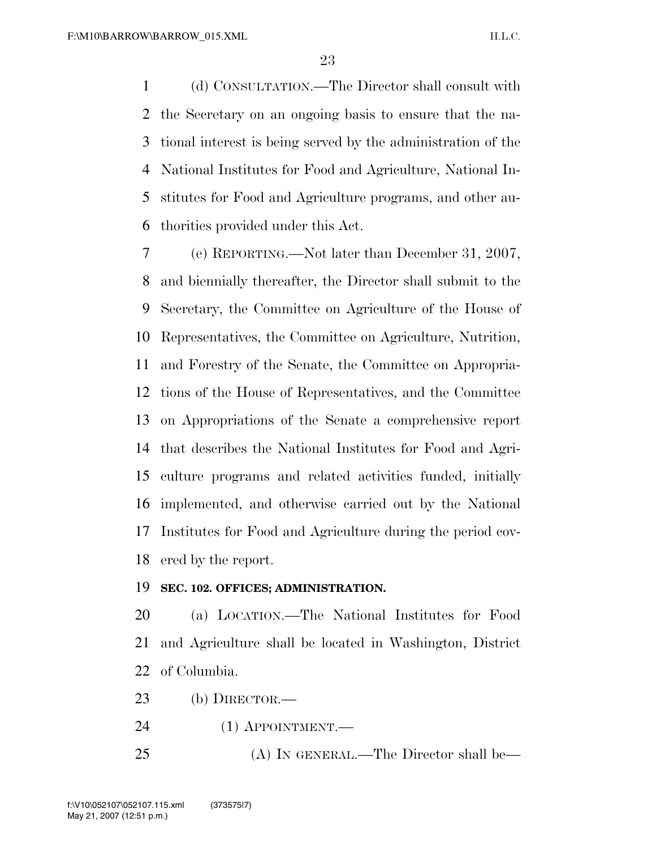(d) CONSULTATION.—The Director shall consult with the Secretary on an ongoing basis to ensure that the na- tional interest is being served by the administration of the National Institutes for Food and Agriculture, National In- stitutes for Food and Agriculture programs, and other au-thorities provided under this Act.

 (e) REPORTING.—Not later than December 31, 2007, and biennially thereafter, the Director shall submit to the Secretary, the Committee on Agriculture of the House of Representatives, the Committee on Agriculture, Nutrition, and Forestry of the Senate, the Committee on Appropria- tions of the House of Representatives, and the Committee on Appropriations of the Senate a comprehensive report that describes the National Institutes for Food and Agri- culture programs and related activities funded, initially implemented, and otherwise carried out by the National Institutes for Food and Agriculture during the period cov-ered by the report.

# **SEC. 102. OFFICES; ADMINISTRATION.**

 (a) LOCATION.—The National Institutes for Food and Agriculture shall be located in Washington, District of Columbia.

- (b) DIRECTOR.—
- (1) APPOINTMENT.—
- (A) IN GENERAL.—The Director shall be—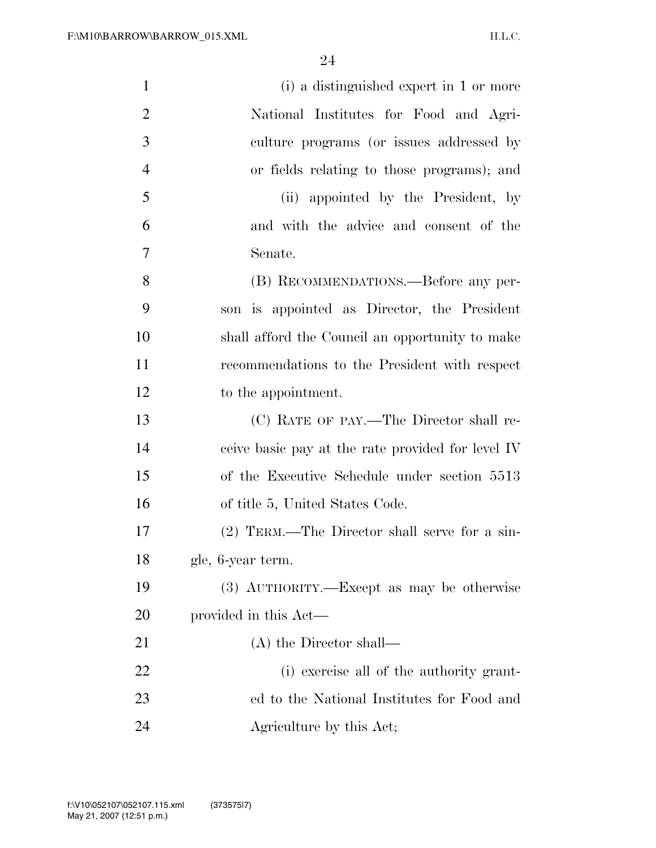| $\mathbf{1}$   | (i) a distinguished expert in 1 or more           |
|----------------|---------------------------------------------------|
| $\overline{2}$ | National Institutes for Food and Agri-            |
| 3              | culture programs (or issues addressed by          |
| $\overline{4}$ | or fields relating to those programs); and        |
| 5              | (ii) appointed by the President, by               |
| 6              | and with the advice and consent of the            |
| 7              | Senate.                                           |
| 8              | (B) RECOMMENDATIONS.—Before any per-              |
| 9              | is appointed as Director, the President<br>son    |
| 10             | shall afford the Council an opportunity to make   |
| 11             | recommendations to the President with respect     |
| 12             | to the appointment.                               |
| 13             | (C) RATE OF PAY.—The Director shall re-           |
| 14             | ceive basic pay at the rate provided for level IV |
| 15             | of the Executive Schedule under section 5513      |
| 16             | of title 5, United States Code.                   |
| 17             | (2) TERM.—The Director shall serve for a sin-     |
| 18             | gle, 6-year term.                                 |
| 19             | (3) AUTHORITY.—Except as may be otherwise         |
| 20             | provided in this Act—                             |
| 21             | $(A)$ the Director shall—                         |
| 22             | (i) exercise all of the authority grant-          |
| 23             | ed to the National Institutes for Food and        |
| 24             | Agriculture by this Act;                          |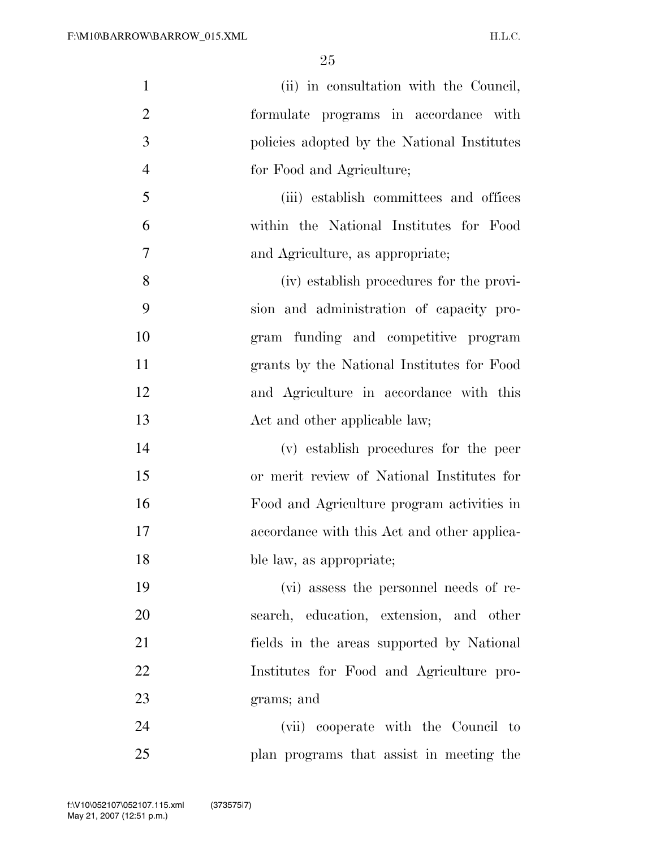| $\mathbf{1}$   | (ii) in consultation with the Council,      |
|----------------|---------------------------------------------|
| $\overline{2}$ | formulate programs in accordance with       |
| 3              | policies adopted by the National Institutes |
| $\overline{4}$ | for Food and Agriculture;                   |
| 5              | (iii) establish committees and offices      |
| 6              | within the National Institutes for Food     |
| 7              | and Agriculture, as appropriate;            |
| 8              | (iv) establish procedures for the provi-    |
| 9              | sion and administration of capacity pro-    |
| 10             | gram funding and competitive program        |
| 11             | grants by the National Institutes for Food  |
| 12             | and Agriculture in accordance with this     |
| 13             | Act and other applicable law;               |
| 14             | (v) establish procedures for the peer       |
| 15             | or merit review of National Institutes for  |
| 16             | Food and Agriculture program activities in  |
| 17             | accordance with this Act and other applica- |
| 18             | ble law, as appropriate;                    |
| 19             | (vi) assess the personnel needs of re-      |
| 20             | search, education, extension, and other     |
| 21             | fields in the areas supported by National   |
| 22             | Institutes for Food and Agriculture pro-    |
| 23             | grams; and                                  |
| 24             | (vii) cooperate with the Council to         |
| 25             | plan programs that assist in meeting the    |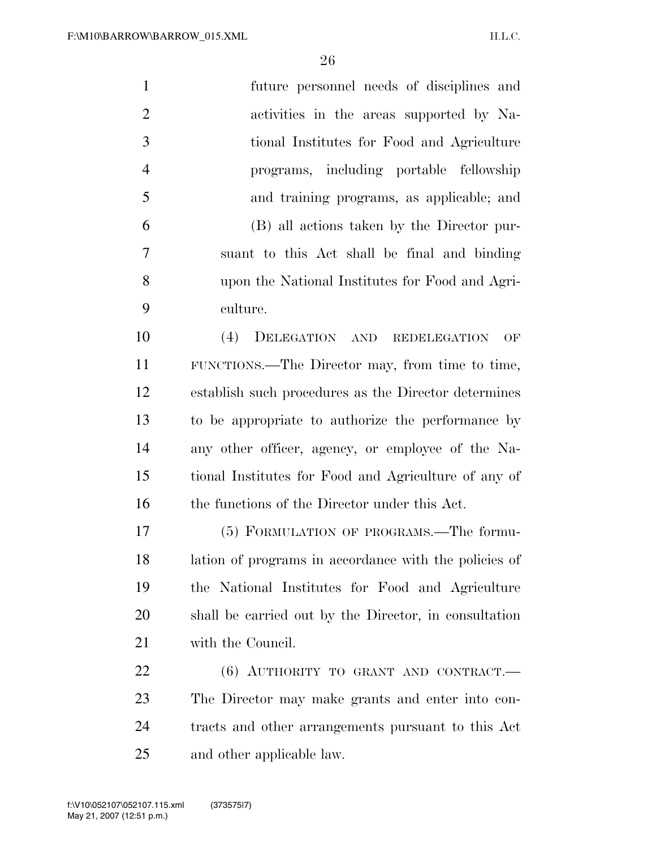| $\mathbf{1}$   | future personnel needs of disciplines and             |
|----------------|-------------------------------------------------------|
| $\overline{2}$ | activities in the areas supported by Na-              |
| 3              | tional Institutes for Food and Agriculture            |
| $\overline{4}$ | programs, including portable fellowship               |
| 5              | and training programs, as applicable; and             |
| 6              | (B) all actions taken by the Director pur-            |
| 7              | suant to this Act shall be final and binding          |
| 8              | upon the National Institutes for Food and Agri-       |
| 9              | culture.                                              |
| 10             | (4)<br>DELEGATION AND REDELEGATION<br>OF              |
| 11             | FUNCTIONS.—The Director may, from time to time,       |
| 12             | establish such procedures as the Director determines  |
| 13             | to be appropriate to authorize the performance by     |
| 14             | any other officer, agency, or employee of the Na-     |
| 15             | tional Institutes for Food and Agriculture of any of  |
| 16             | the functions of the Director under this Act.         |
| 17             | (5) FORMULATION OF PROGRAMS.—The formu-               |
| 18             | lation of programs in accordance with the policies of |
| 19             | the National Institutes for Food and Agriculture      |
| 20             | shall be carried out by the Director, in consultation |
| 21             | with the Council.                                     |
| 22             | $(6)$ AUTHORITY TO GRANT AND CONTRACT.                |
| 23             | The Director may make grants and enter into con-      |
| 24             | tracts and other arrangements pursuant to this Act    |
| 25             | and other applicable law.                             |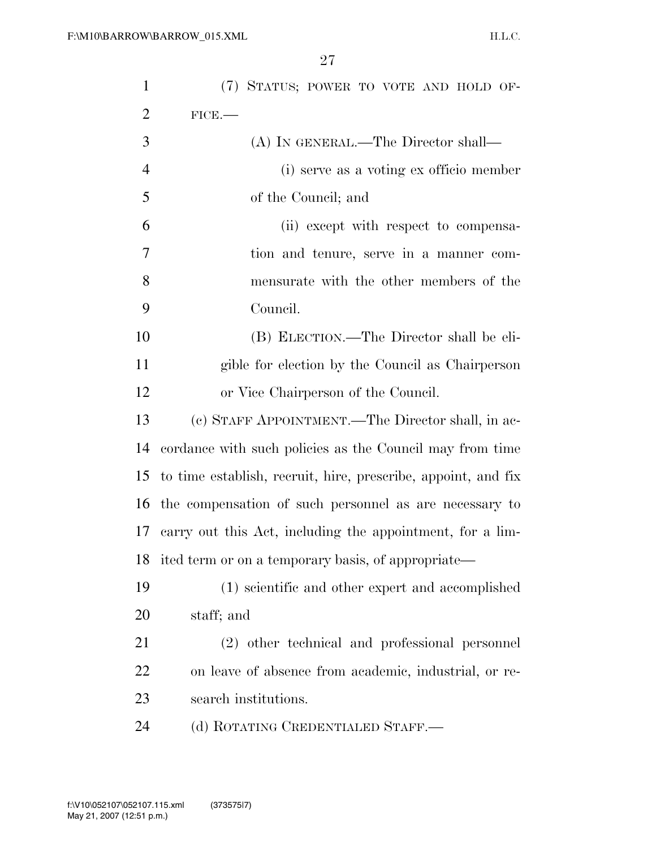| $\mathbf{1}$   | (7) STATUS; POWER TO VOTE AND HOLD OF-                        |
|----------------|---------------------------------------------------------------|
| $\overline{2}$ | FICE.                                                         |
| 3              | (A) IN GENERAL.—The Director shall—                           |
| 4              | (i) serve as a voting ex officio member                       |
| 5              | of the Council; and                                           |
| 6              | (ii) except with respect to compensa-                         |
| 7              | tion and tenure, serve in a manner com-                       |
| 8              | mensurate with the other members of the                       |
| 9              | Council.                                                      |
| 10             | (B) ELECTION.—The Director shall be eli-                      |
| 11             | gible for election by the Council as Chairperson              |
| 12             | or Vice Chairperson of the Council.                           |
| 13             | (c) STAFF APPOINTMENT.—The Director shall, in ac-             |
| 14             | cordance with such policies as the Council may from time      |
| 15             | to time establish, recruit, hire, prescribe, appoint, and fix |
| 16             | the compensation of such personnel as are necessary to        |
| 17             | carry out this Act, including the appointment, for a lim-     |
| 18             | ited term or on a temporary basis, of appropriate—            |
| 19             | (1) scientific and other expert and accomplished              |
| 20             | staff; and                                                    |
| 21             | (2) other technical and professional personnel                |
| <u>22</u>      | on leave of absence from academic, industrial, or re-         |
| 23             | search institutions.                                          |
| 24             | (d) ROTATING CREDENTIALED STAFF.—                             |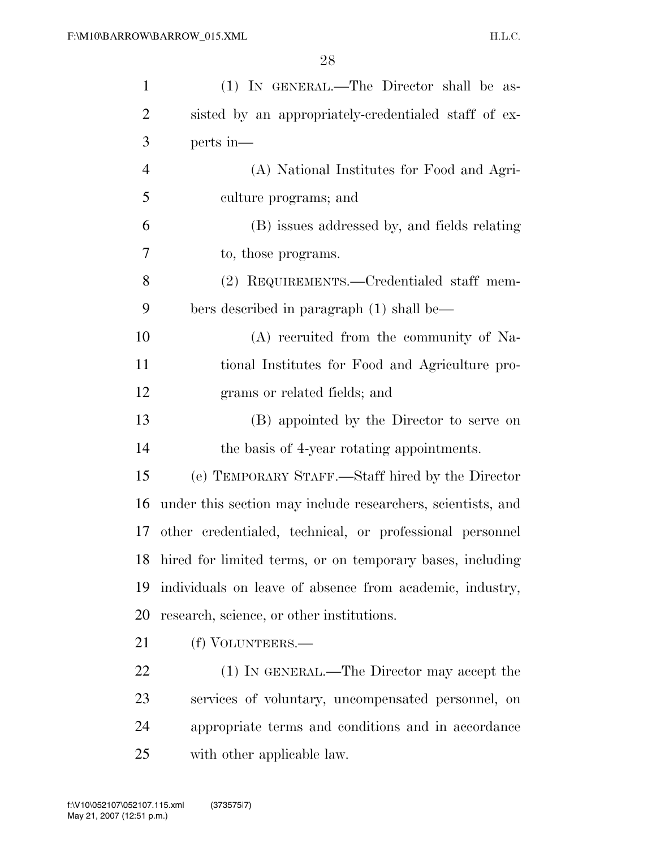| $\mathbf{1}$   | (1) IN GENERAL.—The Director shall be as-                   |
|----------------|-------------------------------------------------------------|
| $\overline{2}$ | sisted by an appropriately-credentialed staff of ex-        |
| 3              | perts in—                                                   |
| $\overline{4}$ | (A) National Institutes for Food and Agri-                  |
| 5              | culture programs; and                                       |
| 6              | (B) issues addressed by, and fields relating                |
| 7              | to, those programs.                                         |
| 8              | (2) REQUIREMENTS.—Credentialed staff mem-                   |
| 9              | bers described in paragraph (1) shall be—                   |
| 10             | (A) recruited from the community of Na-                     |
| 11             | tional Institutes for Food and Agriculture pro-             |
| 12             | grams or related fields; and                                |
| 13             | (B) appointed by the Director to serve on                   |
| 14             | the basis of 4-year rotating appointments.                  |
| 15             | (e) TEMPORARY STAFF.—Staff hired by the Director            |
| 16             | under this section may include researchers, scientists, and |
| 17             | other credentialed, technical, or professional personnel    |
| 18             | hired for limited terms, or on temporary bases, including   |
| 19             | individuals on leave of absence from academic, industry,    |
| 20             | research, science, or other institutions.                   |
| 21             | (f) VOLUNTEERS.—                                            |
| <u>22</u>      | (1) IN GENERAL.—The Director may accept the                 |
| 23             | services of voluntary, uncompensated personnel, on          |
| 24             | appropriate terms and conditions and in accordance          |
| 25             | with other applicable law.                                  |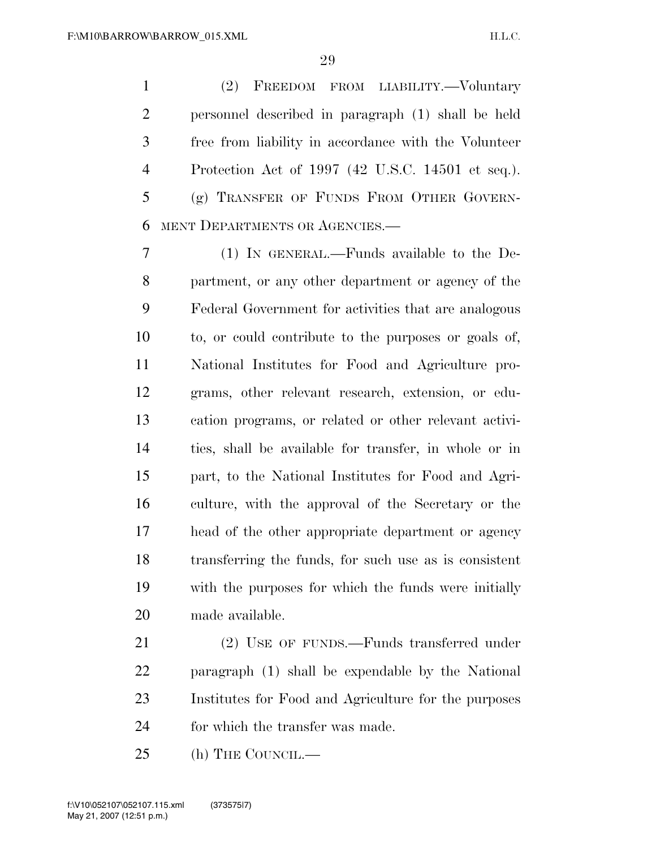(2) FREEDOM FROM LIABILITY.—Voluntary personnel described in paragraph (1) shall be held free from liability in accordance with the Volunteer Protection Act of 1997 (42 U.S.C. 14501 et seq.). (g) TRANSFER OF FUNDS FROM OTHER GOVERN-MENT DEPARTMENTS OR AGENCIES.—

 (1) IN GENERAL.—Funds available to the De- partment, or any other department or agency of the Federal Government for activities that are analogous to, or could contribute to the purposes or goals of, National Institutes for Food and Agriculture pro- grams, other relevant research, extension, or edu- cation programs, or related or other relevant activi- ties, shall be available for transfer, in whole or in part, to the National Institutes for Food and Agri- culture, with the approval of the Secretary or the head of the other appropriate department or agency transferring the funds, for such use as is consistent with the purposes for which the funds were initially made available.

 (2) USE OF FUNDS.—Funds transferred under paragraph (1) shall be expendable by the National Institutes for Food and Agriculture for the purposes for which the transfer was made.

25 (h) THE COUNCIL.—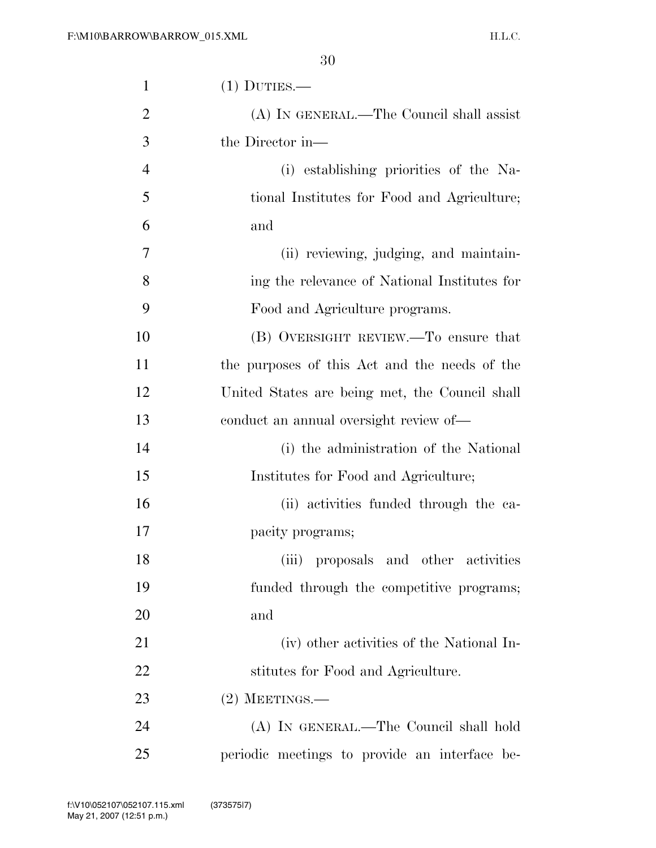| $\mathbf{1}$   | $(1)$ DUTIES.—                                 |
|----------------|------------------------------------------------|
| $\overline{2}$ | (A) IN GENERAL.—The Council shall assist       |
| 3              | the Director in—                               |
| $\overline{4}$ | (i) establishing priorities of the Na-         |
| 5              | tional Institutes for Food and Agriculture;    |
| 6              | and                                            |
| 7              | (ii) reviewing, judging, and maintain-         |
| 8              | ing the relevance of National Institutes for   |
| 9              | Food and Agriculture programs.                 |
| 10             | (B) OVERSIGHT REVIEW.—To ensure that           |
| 11             | the purposes of this Act and the needs of the  |
| 12             | United States are being met, the Council shall |
| 13             | conduct an annual oversight review of—         |
| 14             | (i) the administration of the National         |
| 15             | Institutes for Food and Agriculture;           |
| 16             | (ii) activities funded through the ca-         |
| 17             | pacity programs;                               |
| 18             | (iii) proposals and other activities           |
| 19             | funded through the competitive programs;       |
| 20             | and                                            |
| 21             | (iv) other activities of the National In-      |
| 22             | stitutes for Food and Agriculture.             |
| 23             | $(2)$ MEETINGS.—                               |
| 24             | (A) IN GENERAL.—The Council shall hold         |
| 25             | periodic meetings to provide an interface be-  |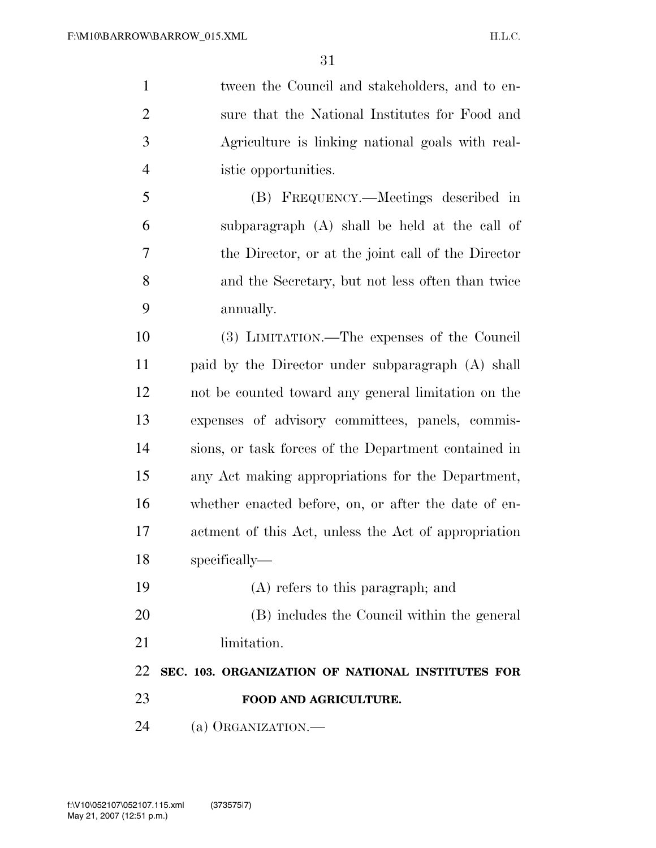tween the Council and stakeholders, and to en- sure that the National Institutes for Food and Agriculture is linking national goals with real- istic opportunities. (B) FREQUENCY.—Meetings described in subparagraph (A) shall be held at the call of the Director, or at the joint call of the Director and the Secretary, but not less often than twice annually. (3) LIMITATION.—The expenses of the Council

 paid by the Director under subparagraph (A) shall not be counted toward any general limitation on the expenses of advisory committees, panels, commis- sions, or task forces of the Department contained in any Act making appropriations for the Department, whether enacted before, on, or after the date of en- actment of this Act, unless the Act of appropriation specifically—

- (A) refers to this paragraph; and
- (B) includes the Council within the general
- 21 limitation.

 **SEC. 103. ORGANIZATION OF NATIONAL INSTITUTES FOR FOOD AND AGRICULTURE.** 

(a) ORGANIZATION.—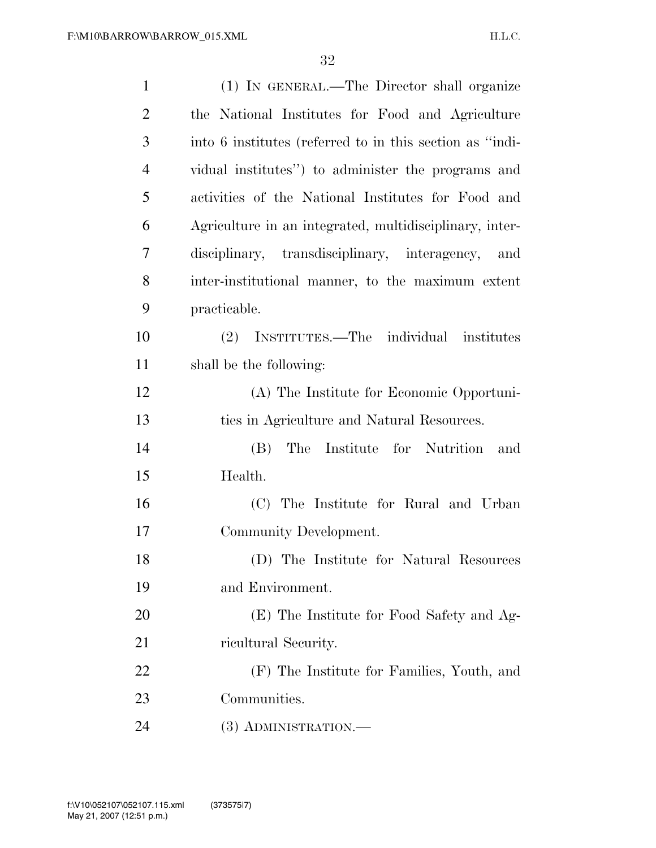| $\mathbf{1}$   | (1) IN GENERAL.—The Director shall organize              |
|----------------|----------------------------------------------------------|
| $\overline{2}$ | the National Institutes for Food and Agriculture         |
| 3              | into 6 institutes (referred to in this section as "indi- |
| $\overline{4}$ | vidual institutes") to administer the programs and       |
| 5              | activities of the National Institutes for Food and       |
| 6              | Agriculture in an integrated, multidisciplinary, inter-  |
| 7              | disciplinary, transdisciplinary, interagency,<br>and     |
| 8              | inter-institutional manner, to the maximum extent        |
| 9              | practicable.                                             |
| 10             | (2) INSTITUTES.—The individual institutes                |
| 11             | shall be the following:                                  |
| 12             | (A) The Institute for Economic Opportuni-                |
| 13             | ties in Agriculture and Natural Resources.               |
| 14             | The Institute for Nutrition<br>(B)<br>and                |
| 15             | Health.                                                  |
| 16             | (C) The Institute for Rural and Urban                    |
| 17             | Community Development.                                   |
| 18             | (D) The Institute for Natural Resources                  |
| 19             | and Environment.                                         |
| 20             | (E) The Institute for Food Safety and Ag-                |
| 21             | ricultural Security.                                     |
| 22             | (F) The Institute for Families, Youth, and               |
| 23             | Communities.                                             |
| 24             | (3) ADMINISTRATION.—                                     |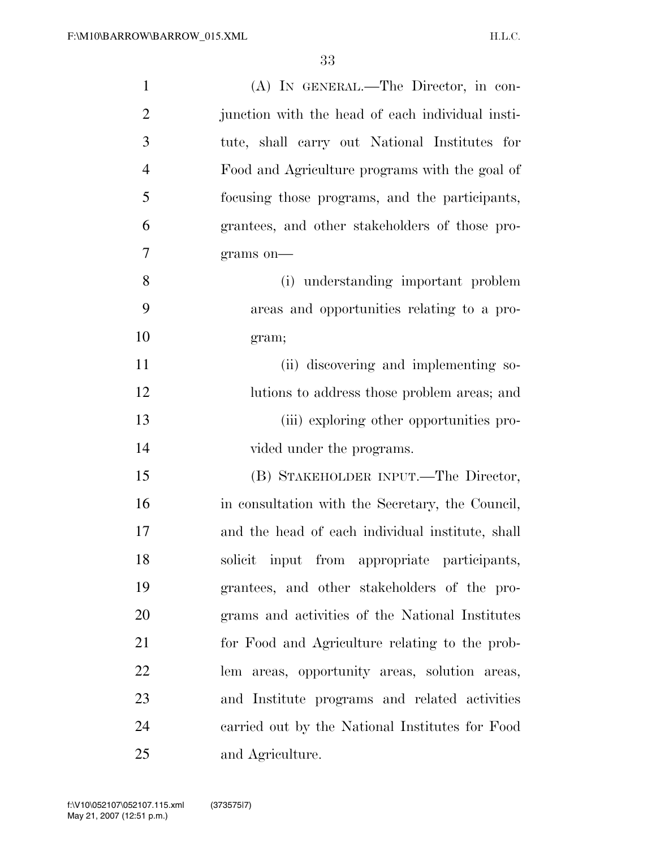| $\mathbf{1}$   | (A) IN GENERAL.—The Director, in con-            |
|----------------|--------------------------------------------------|
| $\overline{2}$ | junction with the head of each individual insti- |
| 3              | tute, shall carry out National Institutes for    |
| $\overline{4}$ | Food and Agriculture programs with the goal of   |
| 5              | focusing those programs, and the participants,   |
| 6              | grantees, and other stakeholders of those pro-   |
| 7              | grams on-                                        |
| 8              | (i) understanding important problem              |
| 9              | areas and opportunities relating to a pro-       |
| 10             | gram;                                            |
| 11             | (ii) discovering and implementing so-            |
| 12             | lutions to address those problem areas; and      |
| 13             | (iii) exploring other opportunities pro-         |
| 14             | vided under the programs.                        |
| 15             | (B) STAKEHOLDER INPUT.—The Director,             |
| 16             | in consultation with the Secretary, the Council, |
| 17             | and the head of each individual institute, shall |
| 18             | solicit input from appropriate participants,     |
| 19             | grantees, and other stakeholders of the pro-     |
| 20             | grams and activities of the National Institutes  |
| 21             | for Food and Agriculture relating to the prob-   |
| 22             | lem areas, opportunity areas, solution areas,    |
| 23             | and Institute programs and related activities    |
| 24             | carried out by the National Institutes for Food  |
| 25             | and Agriculture.                                 |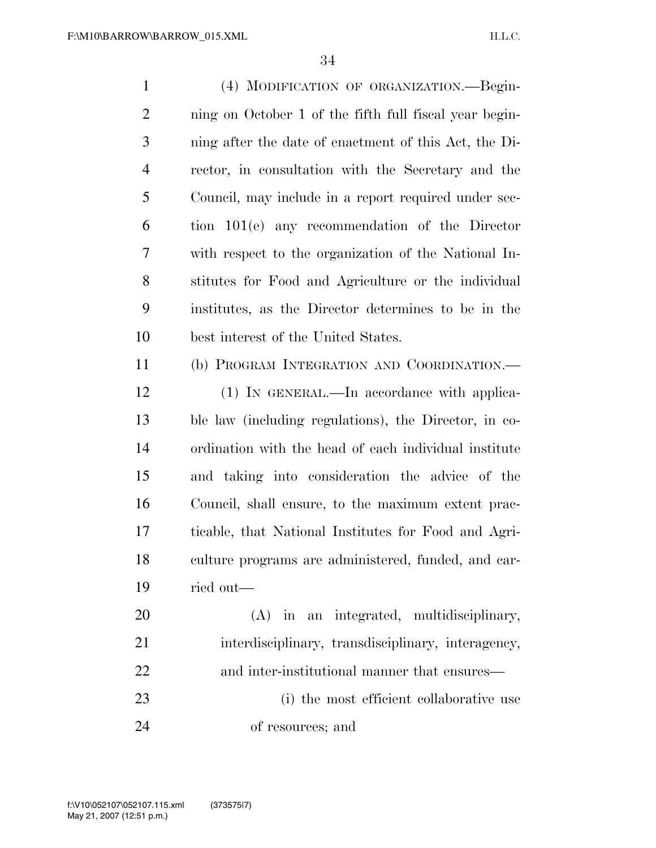| $\mathbf{1}$   | (4) MODIFICATION OF ORGANIZATION.—Begin-               |
|----------------|--------------------------------------------------------|
| $\mathbf{2}$   | ning on October 1 of the fifth full fiscal year begin- |
| 3              | ning after the date of enactment of this Act, the Di-  |
| $\overline{4}$ | rector, in consultation with the Secretary and the     |
| 5              | Council, may include in a report required under sec-   |
| 6              | tion 101(e) any recommendation of the Director         |
| 7              | with respect to the organization of the National In-   |
| 8              | stitutes for Food and Agriculture or the individual    |
| 9              | institutes, as the Director determines to be in the    |
| 10             | best interest of the United States.                    |
| 11             | (b) PROGRAM INTEGRATION AND COORDINATION.-             |
| 12             | (1) IN GENERAL.—In accordance with applica-            |
| 13             | ble law (including regulations), the Director, in co-  |
| 14             | ordination with the head of each individual institute  |
| 15             | and taking into consideration the advice of the        |
| 16             | Council, shall ensure, to the maximum extent prac-     |
| 17             | ticable, that National Institutes for Food and Agri-   |
| 18             | culture programs are administered, funded, and car-    |
| 19             | ried out—                                              |
| 20             | (A) in an integrated, multidisciplinary,               |
| 21             | interdisciplinary, transdisciplinary, interagency,     |
| 22             | and inter-institutional manner that ensures—           |
| 23             | (i) the most efficient collaborative use               |
| 24             | of resources; and                                      |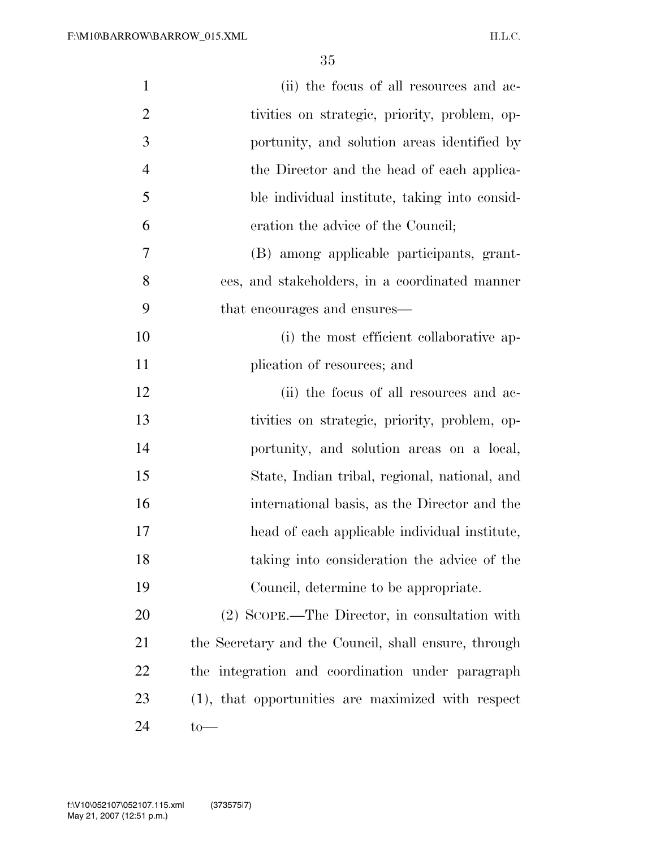| $\mathbf{1}$   |                                                      |
|----------------|------------------------------------------------------|
|                | (ii) the focus of all resources and ac-              |
| $\overline{2}$ | tivities on strategic, priority, problem, op-        |
| $\mathfrak{Z}$ | portunity, and solution areas identified by          |
| $\overline{4}$ | the Director and the head of each applica-           |
| 5              | ble individual institute, taking into consid-        |
| 6              | eration the advice of the Council;                   |
| 7              | (B) among applicable participants, grant-            |
| 8              | ees, and stakeholders, in a coordinated manner       |
| 9              | that encourages and ensures—                         |
| 10             | (i) the most efficient collaborative ap-             |
| 11             | plication of resources; and                          |
| 12             | (ii) the focus of all resources and ac-              |
| 13             | tivities on strategic, priority, problem, op-        |
| 14             | portunity, and solution areas on a local,            |
| 15             | State, Indian tribal, regional, national, and        |
| 16             | international basis, as the Director and the         |
| 17             | head of each applicable individual institute,        |
| 18             | taking into consideration the advice of the          |
| 19             | Council, determine to be appropriate.                |
| 20             | (2) SCOPE.—The Director, in consultation with        |
| 21             | the Secretary and the Council, shall ensure, through |
| 22             | the integration and coordination under paragraph     |
| 23             | (1), that opportunities are maximized with respect   |
| 24             |                                                      |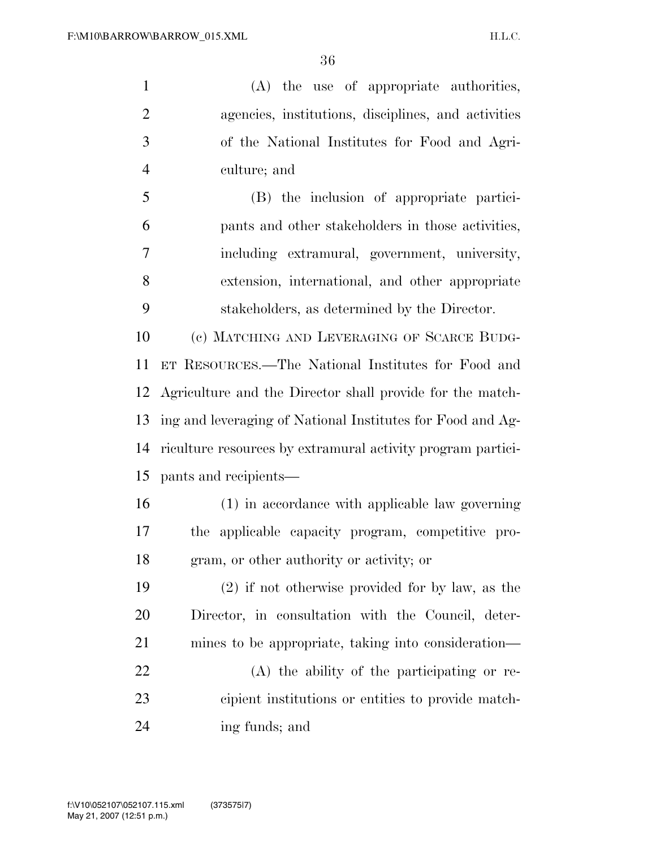(A) the use of appropriate authorities, agencies, institutions, disciplines, and activities of the National Institutes for Food and Agri-culture; and

 (B) the inclusion of appropriate partici- pants and other stakeholders in those activities, including extramural, government, university, extension, international, and other appropriate stakeholders, as determined by the Director.

 (c) MATCHING AND LEVERAGING OF SCARCE BUDG- ET RESOURCES.—The National Institutes for Food and Agriculture and the Director shall provide for the match- ing and leveraging of National Institutes for Food and Ag- riculture resources by extramural activity program partici-pants and recipients—

 (1) in accordance with applicable law governing the applicable capacity program, competitive pro-gram, or other authority or activity; or

 (2) if not otherwise provided for by law, as the Director, in consultation with the Council, deter- mines to be appropriate, taking into consideration— (A) the ability of the participating or re- cipient institutions or entities to provide match-ing funds; and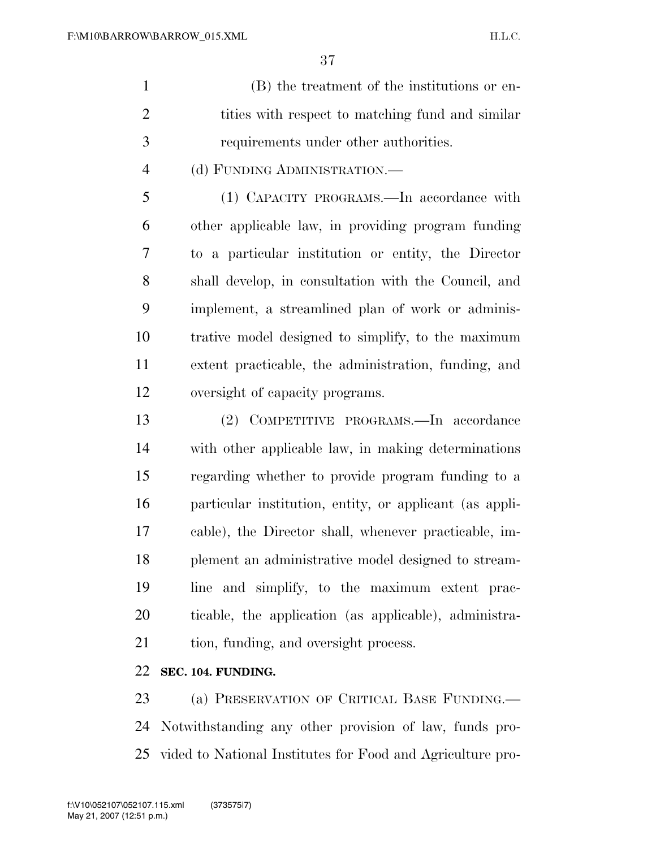- (B) the treatment of the institutions or en-2 tities with respect to matching fund and similar requirements under other authorities.
	- (d) FUNDING ADMINISTRATION.—

 (1) CAPACITY PROGRAMS.—In accordance with other applicable law, in providing program funding to a particular institution or entity, the Director shall develop, in consultation with the Council, and implement, a streamlined plan of work or adminis- trative model designed to simplify, to the maximum extent practicable, the administration, funding, and oversight of capacity programs.

 (2) COMPETITIVE PROGRAMS.—In accordance with other applicable law, in making determinations regarding whether to provide program funding to a particular institution, entity, or applicant (as appli- cable), the Director shall, whenever practicable, im- plement an administrative model designed to stream- line and simplify, to the maximum extent prac- ticable, the application (as applicable), administra-21 tion, funding, and oversight process.

#### **SEC. 104. FUNDING.**

 (a) PRESERVATION OF CRITICAL BASE FUNDING.— Notwithstanding any other provision of law, funds pro-vided to National Institutes for Food and Agriculture pro-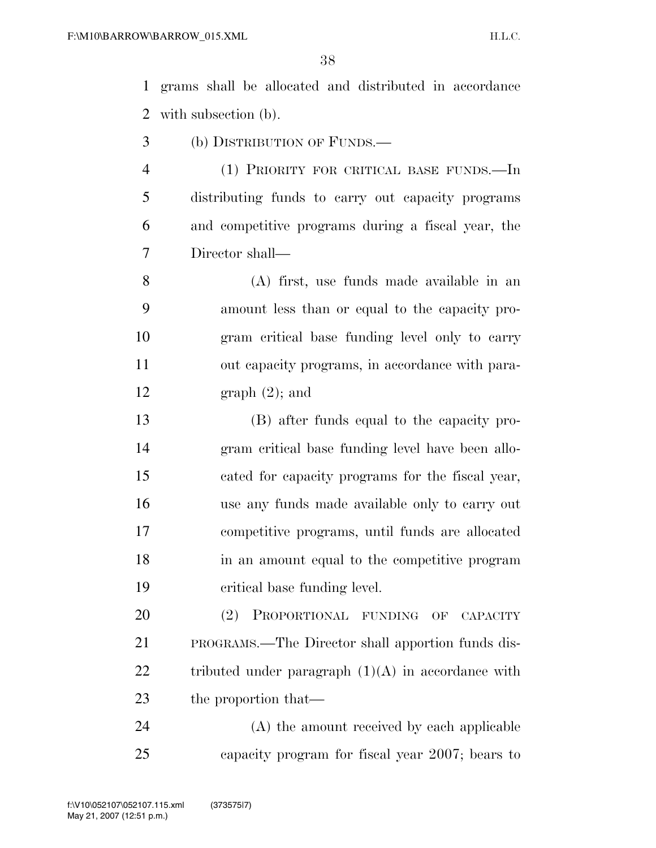grams shall be allocated and distributed in accordance with subsection (b).

- (b) DISTRIBUTION OF FUNDS.—
- (1) PRIORITY FOR CRITICAL BASE FUNDS.—In distributing funds to carry out capacity programs and competitive programs during a fiscal year, the Director shall—

 (A) first, use funds made available in an amount less than or equal to the capacity pro- gram critical base funding level only to carry out capacity programs, in accordance with para-graph (2); and

- (B) after funds equal to the capacity pro- gram critical base funding level have been allo- cated for capacity programs for the fiscal year, use any funds made available only to carry out competitive programs, until funds are allocated in an amount equal to the competitive program critical base funding level.
- (2) PROPORTIONAL FUNDING OF CAPACITY PROGRAMS.—The Director shall apportion funds dis-22 tributed under paragraph  $(1)(A)$  in accordance with 23 the proportion that—

 (A) the amount received by each applicable capacity program for fiscal year 2007; bears to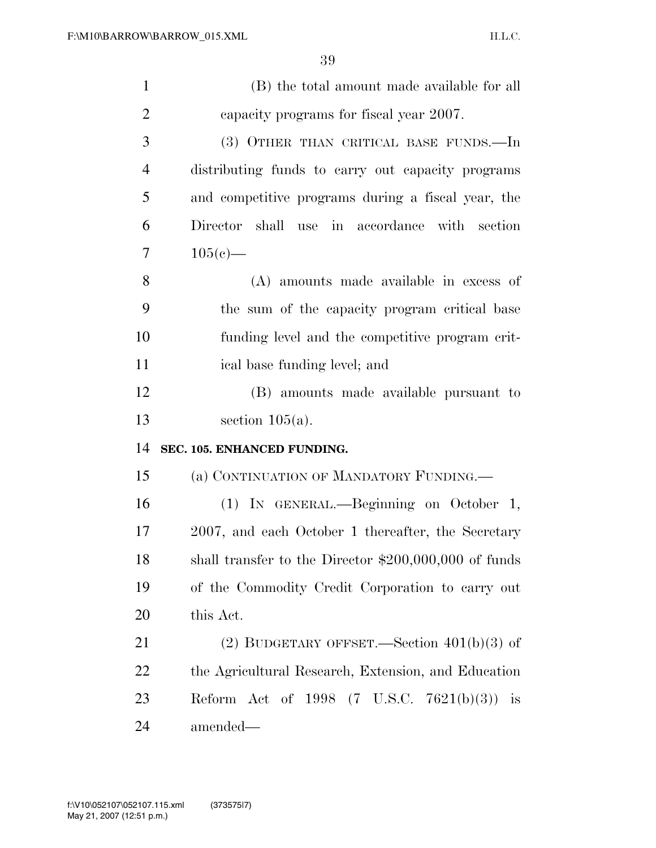| $\mathbf{1}$   | (B) the total amount made available for all            |
|----------------|--------------------------------------------------------|
| $\overline{2}$ | capacity programs for fiscal year 2007.                |
| 3              | (3) OTHER THAN CRITICAL BASE FUNDS.—In                 |
| $\overline{4}$ | distributing funds to carry out capacity programs      |
| 5              | and competitive programs during a fiscal year, the     |
| 6              | Director shall use in accordance with section          |
| $\overline{7}$ | $105(e)$ —                                             |
| 8              | (A) amounts made available in excess of                |
| 9              | the sum of the capacity program critical base          |
| 10             | funding level and the competitive program crit-        |
| 11             | ical base funding level; and                           |
| 12             | (B) amounts made available pursuant to                 |
| 13             | section $105(a)$ .                                     |
| 14             | SEC. 105. ENHANCED FUNDING.                            |
| 15             | (a) CONTINUATION OF MANDATORY FUNDING.—                |
| 16             | (1) IN GENERAL.—Beginning on October 1,                |
| 17             | 2007, and each October 1 thereafter, the Secretary     |
| 18             | shall transfer to the Director $$200,000,000$ of funds |
| 19             | of the Commodity Credit Corporation to carry out       |
| 20             | this Act.                                              |
| 21             | (2) BUDGETARY OFFSET.—Section $401(b)(3)$ of           |
| 22             | the Agricultural Research, Extension, and Education    |
|                |                                                        |
| 23             | Reform Act of 1998 $(7 \text{ U.S.C. } 7621(b)(3))$ is |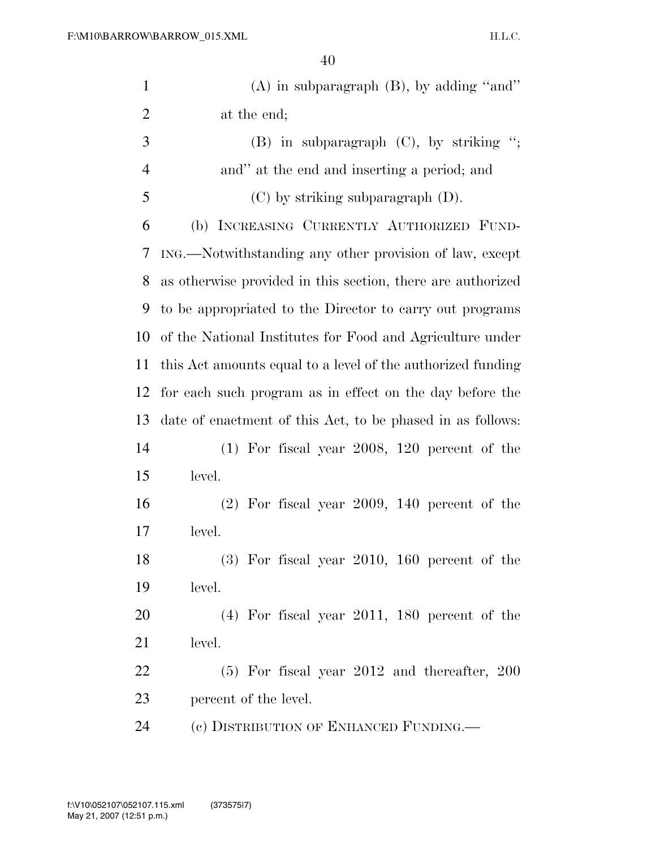| $\mathbf{1}$   | $(A)$ in subparagraph $(B)$ , by adding "and"               |
|----------------|-------------------------------------------------------------|
| $\overline{2}$ | at the end;                                                 |
| 3              | $(B)$ in subparagraph $(C)$ , by striking ";                |
| $\overline{4}$ | and" at the end and inserting a period; and                 |
| 5              | $(C)$ by striking subparagraph $(D)$ .                      |
| 6              | (b) INCREASING CURRENTLY AUTHORIZED FUND-                   |
| 7              | ING.—Notwithstanding any other provision of law, except     |
| 8              | as otherwise provided in this section, there are authorized |
| 9              | to be appropriated to the Director to carry out programs    |
| 10             | of the National Institutes for Food and Agriculture under   |
| 11             | this Act amounts equal to a level of the authorized funding |
| 12             | for each such program as in effect on the day before the    |
| 13             | date of enactment of this Act, to be phased in as follows:  |
| 14             | $(1)$ For fiscal year 2008, 120 percent of the              |
| 15             | level.                                                      |
| 16             | $(2)$ For fiscal year 2009, 140 percent of the              |
| 17             | level.                                                      |
| 18             | $(3)$ For fiscal year 2010, 160 percent of the              |
| 19             | level.                                                      |
| 20             | $(4)$ For fiscal year 2011, 180 percent of the              |
| 21             | level.                                                      |
| 22             | $(5)$ For fiscal year 2012 and thereafter, 200              |
| 23             | percent of the level.                                       |
| 24             | (c) DISTRIBUTION OF ENHANCED FUNDING.                       |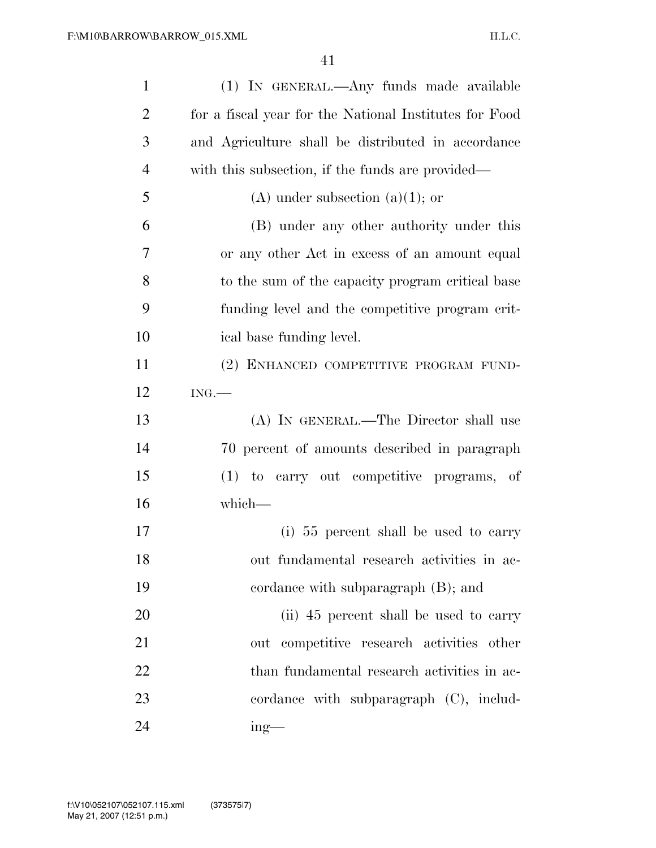| $\mathbf{1}$   | (1) IN GENERAL.—Any funds made available               |
|----------------|--------------------------------------------------------|
| $\overline{2}$ | for a fiscal year for the National Institutes for Food |
| 3              | and Agriculture shall be distributed in accordance     |
| $\overline{4}$ | with this subsection, if the funds are provided—       |
| 5              | $(A)$ under subsection $(a)(1)$ ; or                   |
| 6              | (B) under any other authority under this               |
| 7              | or any other Act in excess of an amount equal          |
| 8              | to the sum of the capacity program critical base       |
| 9              | funding level and the competitive program crit-        |
| 10             | ical base funding level.                               |
| 11             | (2) ENHANCED COMPETITIVE PROGRAM FUND-                 |
| 12             | ING.                                                   |
| 13             | (A) IN GENERAL.—The Director shall use                 |
| 14             | 70 percent of amounts described in paragraph           |
| 15             | (1) to carry out competitive programs, of              |
| 16             | which-                                                 |
| 17             | (i) 55 percent shall be used to carry                  |
| 18             | out fundamental research activities in ac-             |
| 19             | cordance with subparagraph (B); and                    |
| 20             | (ii) 45 percent shall be used to carry                 |
| 21             | out competitive research activities other              |
| 22             | than fundamental research activities in ac-            |
| 23             | cordance with subparagraph $(C)$ , includ-             |
| 24             | $ing$ —                                                |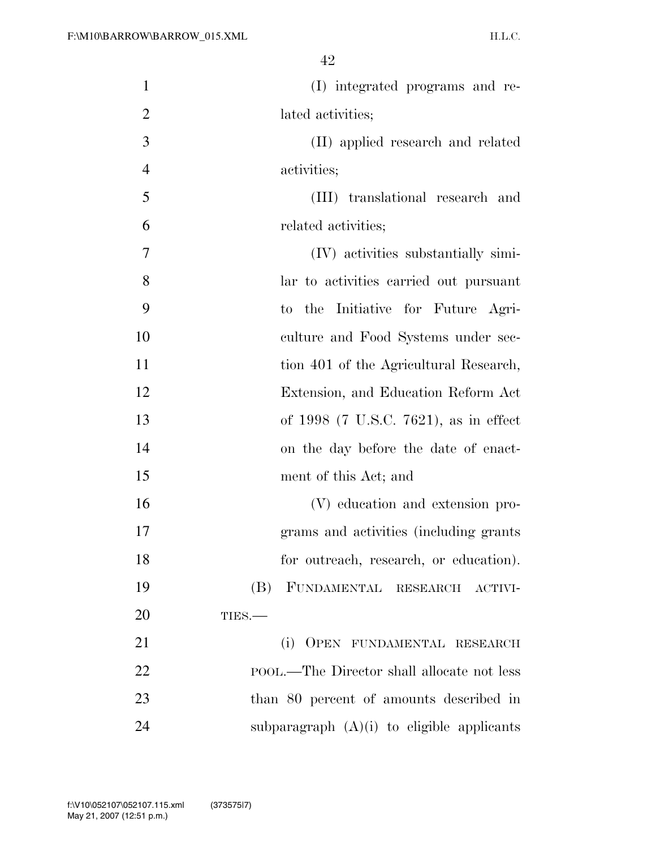| $\mathbf{1}$   | (I) integrated programs and re-                           |
|----------------|-----------------------------------------------------------|
| $\overline{2}$ | lated activities;                                         |
| 3              | (II) applied research and related                         |
| $\overline{4}$ | activities;                                               |
| 5              | (III) translational research and                          |
| 6              | related activities;                                       |
| 7              | (IV) activities substantially simi-                       |
| 8              | lar to activities carried out pursuant                    |
| 9              | the Initiative for Future Agri-<br>$\mathop{\mathrm{to}}$ |
| 10             | culture and Food Systems under sec-                       |
| 11             | tion 401 of the Agricultural Research,                    |
| 12             | Extension, and Education Reform Act                       |
| 13             | of 1998 (7 U.S.C. 7621), as in effect                     |
| 14             | on the day before the date of enact-                      |
| 15             | ment of this Act; and                                     |
| 16             | (V) education and extension pro-                          |
| 17             | grams and activities (including grants)                   |
| 18             | for outreach, research, or education).                    |
| 19             | (B) FUNDAMENTAL RESEARCH ACTIVI-                          |
| 20             | TIES.-                                                    |
| 21             | (i)<br>OPEN FUNDAMENTAL RESEARCH                          |
| 22             | POOL.—The Director shall allocate not less                |
| 23             | than 80 percent of amounts described in                   |
| 24             | subparagraph $(A)(i)$ to eligible applicants              |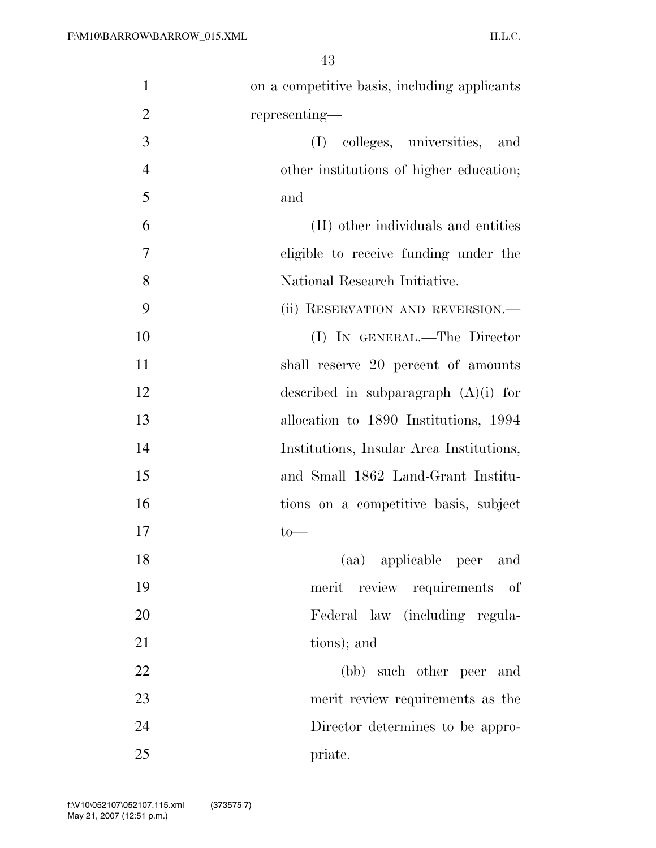| $\mathbf{1}$   | on a competitive basis, including applicants |
|----------------|----------------------------------------------|
| $\overline{2}$ | representing—                                |
| 3              | colleges, universities,<br>(I)<br>and        |
| $\overline{4}$ | other institutions of higher education;      |
| 5              | and                                          |
| 6              | (II) other individuals and entities          |
| 7              | eligible to receive funding under the        |
| 8              | National Research Initiative.                |
| 9              | (ii) RESERVATION AND REVERSION.—             |
| 10             | (I) IN GENERAL.—The Director                 |
| 11             | shall reserve 20 percent of amounts          |
| 12             | described in subparagraph $(A)(i)$ for       |
| 13             | allocation to 1890 Institutions, 1994        |
| 14             | Institutions, Insular Area Institutions,     |
| 15             | and Small 1862 Land-Grant Institu-           |
| 16             | tions on a competitive basis, subject        |
| 17             | $\rm{to-}$                                   |
| 18             | (aa) applicable peer and                     |
| 19             | merit review requirements of                 |
| 20             | Federal law (including regula-               |
| 21             | tions); and                                  |
| 22             | (bb) such other peer and                     |
| 23             | merit review requirements as the             |
| 24             | Director determines to be appro-             |
| 25             | priate.                                      |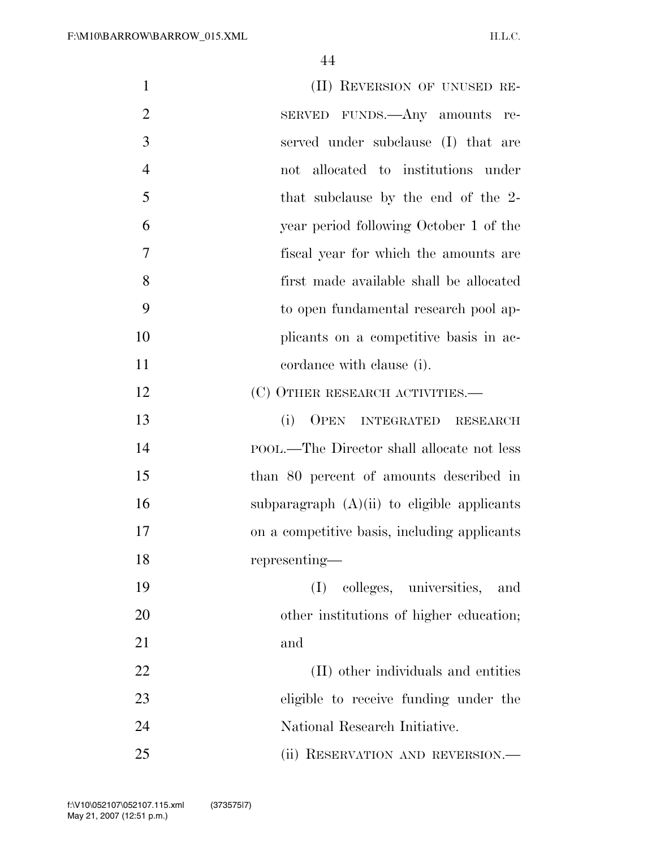| $\mathbf{1}$   | (II) REVERSION OF UNUSED RE-                  |
|----------------|-----------------------------------------------|
| $\overline{2}$ | SERVED FUNDS.—Any amounts<br>re-              |
| 3              | served under subclause (I) that are           |
| $\overline{4}$ | not allocated to institutions under           |
| 5              | that subclause by the end of the 2-           |
| 6              | year period following October 1 of the        |
| 7              | fiscal year for which the amounts are         |
| 8              | first made available shall be allocated       |
| 9              | to open fundamental research pool ap-         |
| 10             | plicants on a competitive basis in ac-        |
| 11             | cordance with clause (i).                     |
| 12             | (C) OTHER RESEARCH ACTIVITIES.—               |
| 13             | (i)<br>OPEN INTEGRATED RESEARCH               |
| 14             | POOL.—The Director shall allocate not less    |
| 15             | than 80 percent of amounts described in       |
| 16             | subparagraph $(A)(ii)$ to eligible applicants |
| 17             | on a competitive basis, including applicants  |
| 18             | representing—                                 |
| 19             | colleges, universities,<br>(I)<br>and         |
| 20             | other institutions of higher education;       |
| 21             | and                                           |
| 22             | (II) other individuals and entities           |
| 23             | eligible to receive funding under the         |
| 24             | National Research Initiative.                 |
| 25             | (ii) RESERVATION AND REVERSION.—              |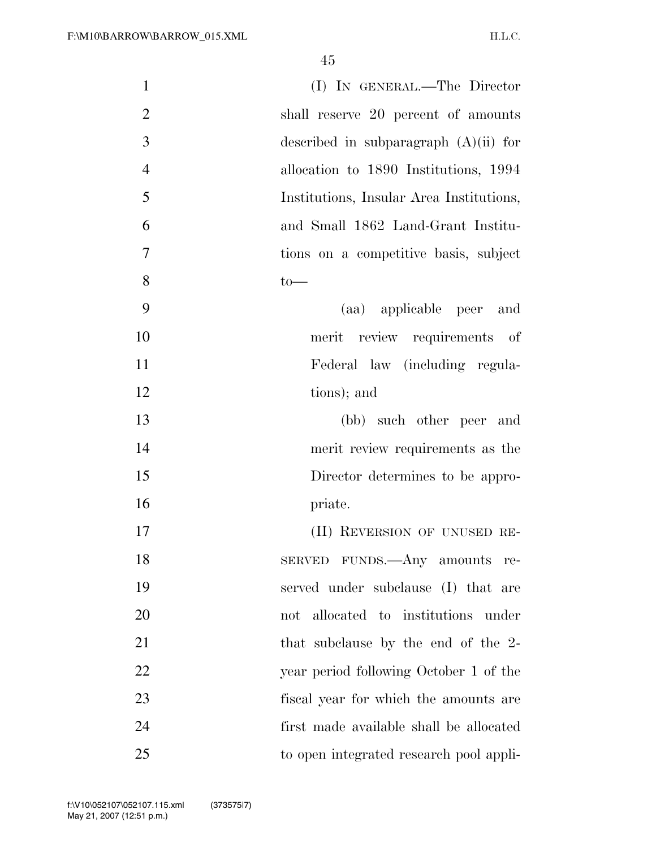| $\mathbf{1}$   | (I) IN GENERAL.—The Director             |
|----------------|------------------------------------------|
| $\overline{2}$ | shall reserve 20 percent of amounts      |
| 3              | described in subparagraph $(A)(ii)$ for  |
| $\overline{4}$ | allocation to 1890 Institutions, 1994    |
| 5              | Institutions, Insular Area Institutions, |
| 6              | and Small 1862 Land-Grant Institu-       |
| 7              | tions on a competitive basis, subject    |
| 8              | $to-$                                    |
| 9              | (aa) applicable peer and                 |
| 10             | merit review requirements of             |
| 11             | Federal law (including regula-           |
| 12             | tions); and                              |
| 13             | (bb) such other peer and                 |
| 14             | merit review requirements as the         |
| 15             | Director determines to be appro-         |
| 16             | priate.                                  |
| 17             | (II) REVERSION OF UNUSED RE-             |
| 18             | SERVED FUNDS.—Any amounts re-            |
| 19             | served under subclause (I) that are      |
| 20             | not allocated to institutions under      |
| 21             | that subclause by the end of the 2-      |
| 22             | year period following October 1 of the   |
| 23             | fiscal year for which the amounts are    |
| 24             | first made available shall be allocated  |
| 25             | to open integrated research pool appli-  |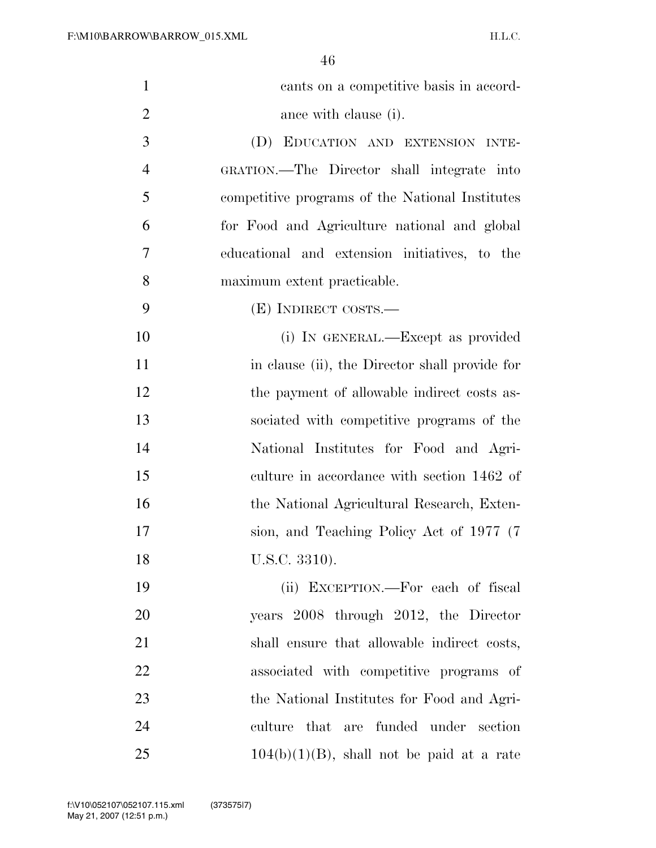| $\mathbf{1}$   | cants on a competitive basis in accord-         |
|----------------|-------------------------------------------------|
| $\overline{2}$ | ance with clause (i).                           |
| 3              | (D) EDUCATION AND EXTENSION INTE-               |
| $\overline{4}$ | GRATION.—The Director shall integrate into      |
| 5              | competitive programs of the National Institutes |
| 6              | for Food and Agriculture national and global    |
| 7              | educational and extension initiatives, to the   |
| 8              | maximum extent practicable.                     |
| 9              | (E) INDIRECT COSTS.—                            |
| 10             | (i) IN GENERAL.—Except as provided              |
| 11             | in clause (ii), the Director shall provide for  |
| 12             | the payment of allowable indirect costs as-     |
| 13             | sociated with competitive programs of the       |
| 14             | National Institutes for Food and Agri-          |
| 15             | culture in accordance with section 1462 of      |
| 16             | the National Agricultural Research, Exten-      |
| 17             | sion, and Teaching Policy Act of 1977 (7)       |
| 18             | U.S.C. 3310).                                   |
| 19             | (ii) EXCEPTION.—For each of fiscal              |
| 20             | years 2008 through 2012, the Director           |
| 21             | shall ensure that allowable indirect costs,     |
| 22             | associated with competitive programs of         |
| 23             | the National Institutes for Food and Agri-      |
| 24             | culture that are funded under section           |
| 25             | $104(b)(1)(B)$ , shall not be paid at a rate    |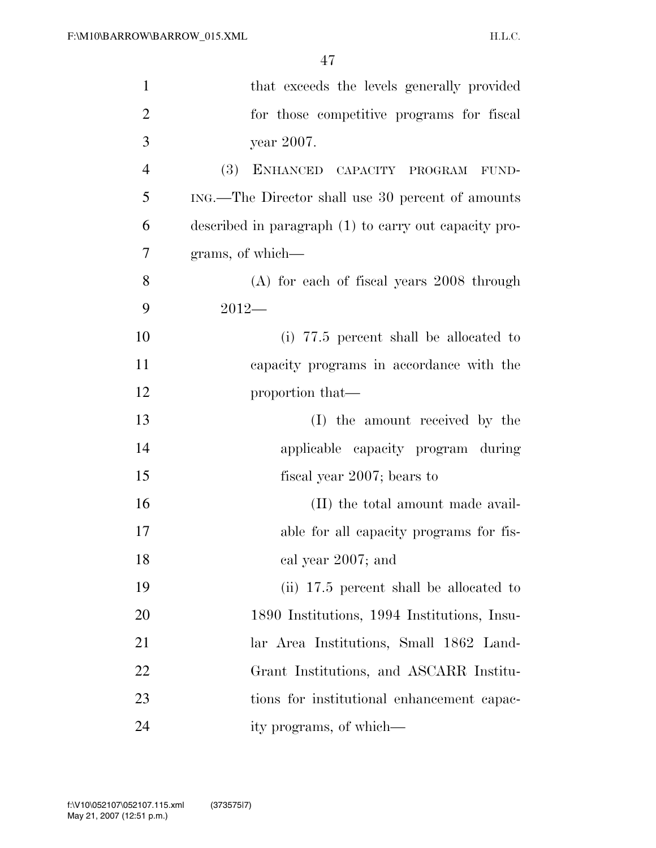| $\mathbf{1}$   | that exceeds the levels generally provided            |
|----------------|-------------------------------------------------------|
| $\overline{2}$ | for those competitive programs for fiscal             |
| 3              | year 2007.                                            |
| 4              | (3) ENHANCED CAPACITY PROGRAM FUND-                   |
| 5              | ING.—The Director shall use 30 percent of amounts     |
| 6              | described in paragraph (1) to carry out capacity pro- |
| 7              | grams, of which—                                      |
| 8              | $(A)$ for each of fiscal years 2008 through           |
| 9              | $2012-$                                               |
| 10             | (i) 77.5 percent shall be allocated to                |
| 11             | capacity programs in accordance with the              |
| 12             | proportion that—                                      |
| 13             | (I) the amount received by the                        |
| 14             | applicable capacity program during                    |
| 15             | fiscal year 2007; bears to                            |
| 16             | (II) the total amount made avail-                     |
| 17             | able for all capacity programs for fis-               |
| 18             | cal year 2007; and                                    |
| 19             | (ii) 17.5 percent shall be allocated to               |
| 20             | 1890 Institutions, 1994 Institutions, Insu-           |
| 21             | lar Area Institutions, Small 1862 Land-               |
| 22             | Grant Institutions, and ASCARR Institu-               |
| 23             | tions for institutional enhancement capac-            |
| 24             | ity programs, of which—                               |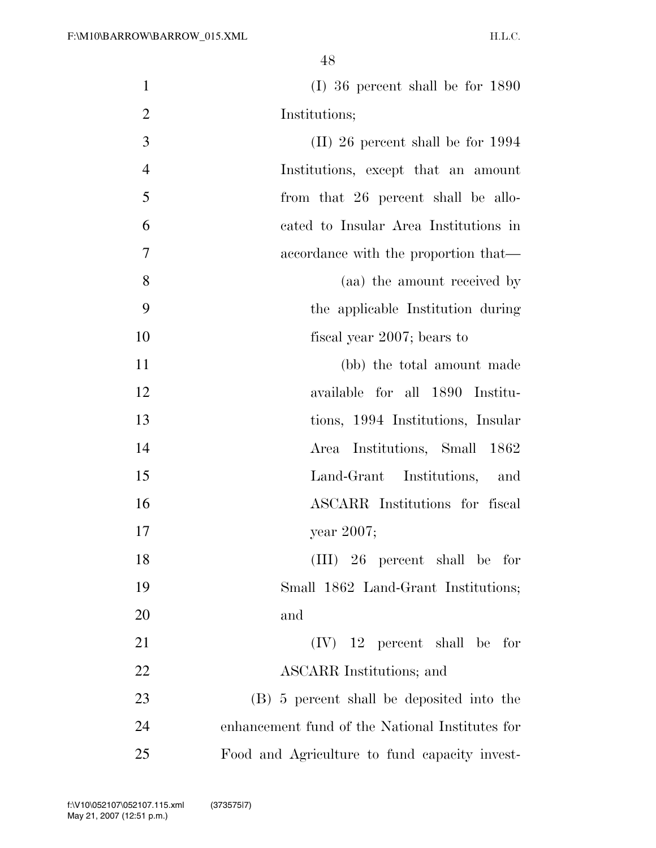| $\mathbf{1}$   | $(I)$ 36 percent shall be for 1890              |
|----------------|-------------------------------------------------|
| $\overline{2}$ | Institutions;                                   |
| 3              | $(II)$ 26 percent shall be for 1994             |
| $\overline{4}$ | Institutions, except that an amount             |
| 5              | from that 26 percent shall be allo-             |
| 6              | cated to Insular Area Institutions in           |
| 7              | accordance with the proportion that—            |
| 8              | (aa) the amount received by                     |
| 9              | the applicable Institution during               |
| 10             | fiscal year 2007; bears to                      |
| 11             | (bb) the total amount made                      |
| 12             | available for all 1890 Institu-                 |
| 13             | tions, 1994 Institutions, Insular               |
| 14             | Area Institutions, Small 1862                   |
| 15             | Land-Grant Institutions, and                    |
| 16             | ASCARR Institutions for fiscal                  |
| 17             | year 2007;                                      |
| 18             | $(III)$ 26 percent shall be for                 |
| 19             | Small 1862 Land-Grant Institutions;             |
| 20             | and                                             |
| 21             | $(IV)$ 12 percent shall be for                  |
| 22             | ASCARR Institutions; and                        |
| 23             | (B) 5 percent shall be deposited into the       |
| 24             | enhancement fund of the National Institutes for |
| 25             | Food and Agriculture to fund capacity invest-   |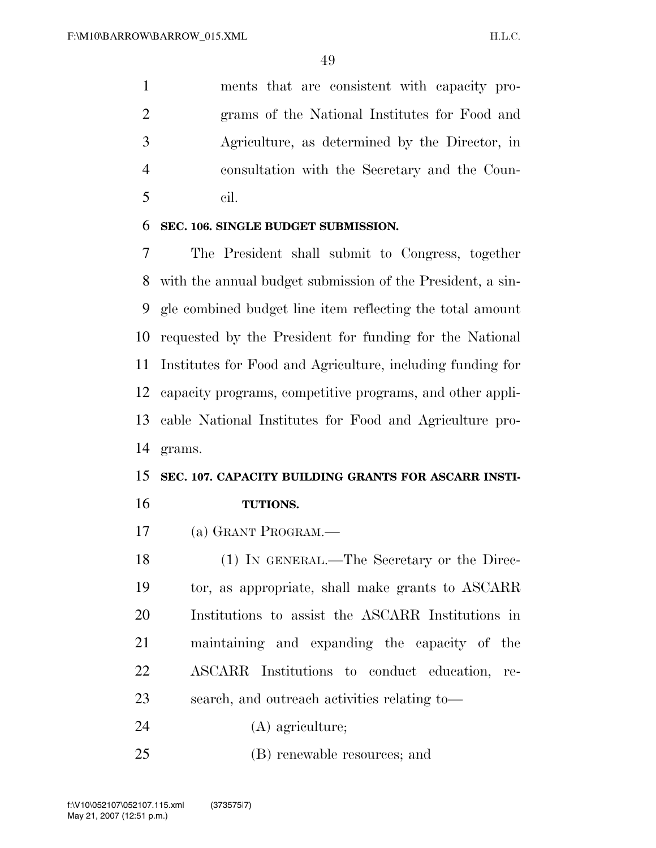ments that are consistent with capacity pro- grams of the National Institutes for Food and Agriculture, as determined by the Director, in consultation with the Secretary and the Coun-cil.

#### **SEC. 106. SINGLE BUDGET SUBMISSION.**

 The President shall submit to Congress, together with the annual budget submission of the President, a sin- gle combined budget line item reflecting the total amount requested by the President for funding for the National Institutes for Food and Agriculture, including funding for capacity programs, competitive programs, and other appli- cable National Institutes for Food and Agriculture pro-grams.

# **SEC. 107. CAPACITY BUILDING GRANTS FOR ASCARR INSTI-**

**TUTIONS.** 

(a) GRANT PROGRAM.—

 (1) IN GENERAL.—The Secretary or the Direc- tor, as appropriate, shall make grants to ASCARR Institutions to assist the ASCARR Institutions in maintaining and expanding the capacity of the ASCARR Institutions to conduct education, re-search, and outreach activities relating to—

(A) agriculture;

(B) renewable resources; and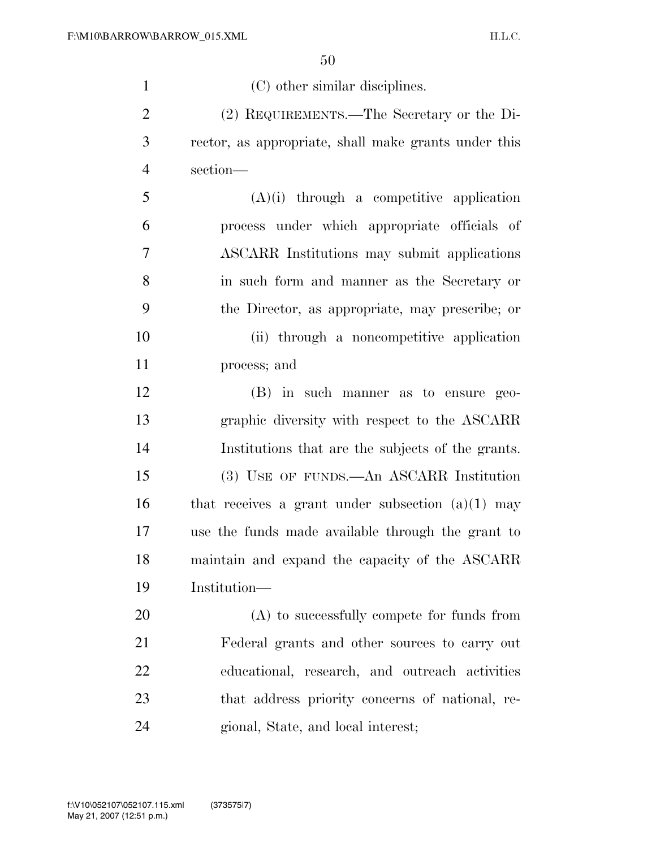| $\mathbf{1}$   | (C) other similar disciplines.                       |
|----------------|------------------------------------------------------|
| $\overline{2}$ | (2) REQUIREMENTS.—The Secretary or the Di-           |
| 3              | rector, as appropriate, shall make grants under this |
| $\overline{4}$ | section-                                             |
| 5              | $(A)(i)$ through a competitive application           |
| 6              | process under which appropriate officials of         |
| 7              | ASCARR Institutions may submit applications          |
| 8              | in such form and manner as the Secretary or          |
| 9              | the Director, as appropriate, may prescribe; or      |
| 10             | (ii) through a noncompetitive application            |
| 11             | process; and                                         |
| 12             | (B) in such manner as to ensure geo-                 |
| 13             | graphic diversity with respect to the ASCARR         |
| 14             | Institutions that are the subjects of the grants.    |
| 15             | (3) USE OF FUNDS.—An ASCARR Institution              |
| 16             | that receives a grant under subsection $(a)(1)$ may  |
| 17             | use the funds made available through the grant to    |
| 18             | maintain and expand the capacity of the ASCARR       |
| 19             | Institution-                                         |
| 20             | $(A)$ to successfully compete for funds from         |
| 21             | Federal grants and other sources to carry out        |
| 22             | educational, research, and outreach activities       |
| 23             | that address priority concerns of national, re-      |
| 24             | gional, State, and local interest;                   |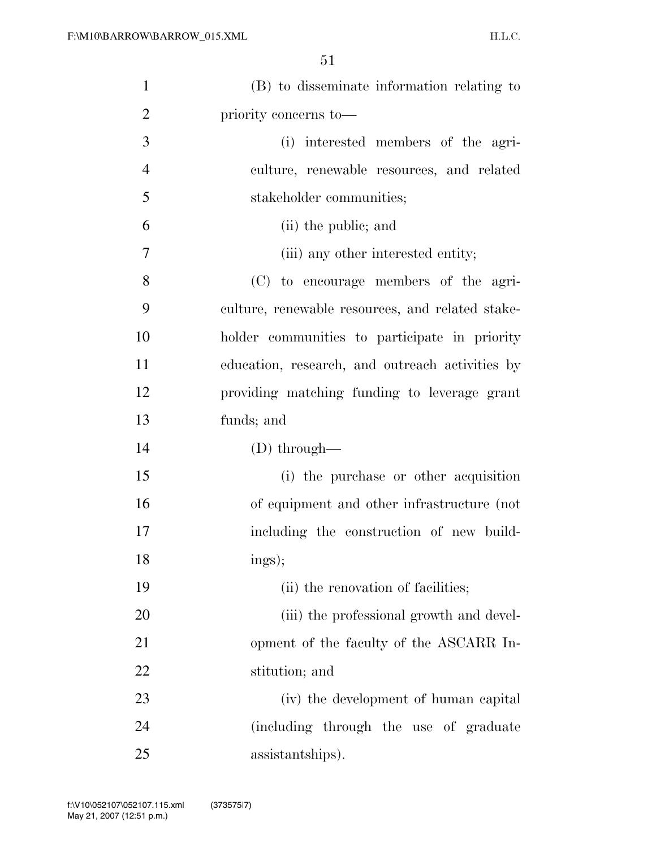| $\mathbf{1}$   | (B) to disseminate information relating to       |
|----------------|--------------------------------------------------|
| $\overline{2}$ | priority concerns to—                            |
| 3              | (i) interested members of the agri-              |
| $\overline{4}$ | culture, renewable resources, and related        |
| 5              | stakeholder communities;                         |
| 6              | (ii) the public; and                             |
| 7              | (iii) any other interested entity;               |
| 8              | (C) to encourage members of the agri-            |
| 9              | culture, renewable resources, and related stake- |
| 10             | holder communities to participate in priority    |
| 11             | education, research, and outreach activities by  |
| 12             | providing matching funding to leverage grant     |
| 13             | funds; and                                       |
| 14             | $(D)$ through—                                   |
| 15             | (i) the purchase or other acquisition            |
| 16             | of equipment and other infrastructure (not       |
| 17             | including the construction of new build-         |
| 18             | ings);                                           |
| 19             | (ii) the renovation of facilities;               |
| 20             | (iii) the professional growth and devel-         |
| 21             | opment of the faculty of the ASCARR In-          |
| 22             | stitution; and                                   |
| 23             | (iv) the development of human capital            |
| 24             | (including through the use of graduate           |
| 25             | assistantships).                                 |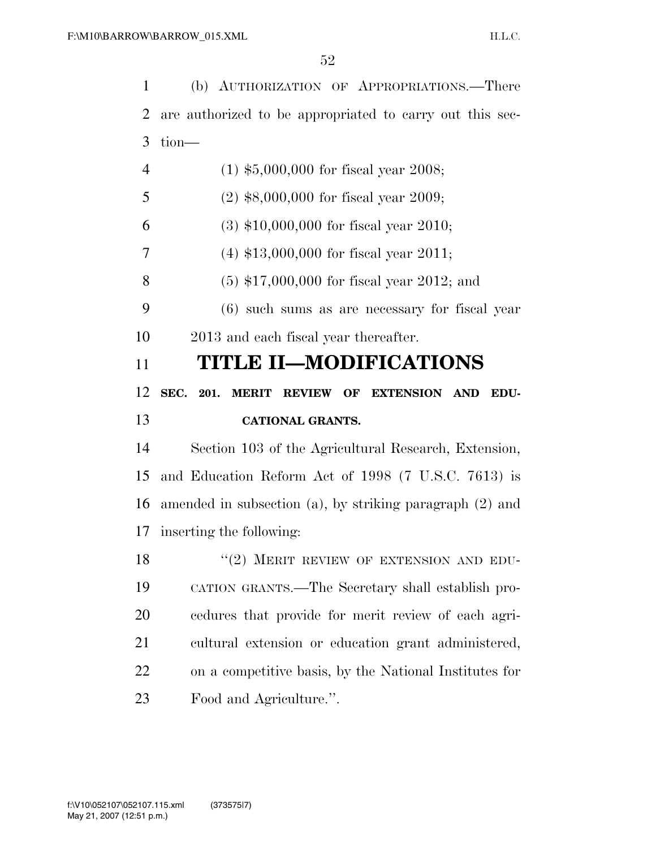(b) AUTHORIZATION OF APPROPRIATIONS.—There are authorized to be appropriated to carry out this sec- tion— (1) \$5,000,000 for fiscal year 2008; (2) \$8,000,000 for fiscal year 2009; (3) \$10,000,000 for fiscal year 2010; (4) \$13,000,000 for fiscal year 2011; (5) \$17,000,000 for fiscal year 2012; and (6) such sums as are necessary for fiscal year 2013 and each fiscal year thereafter. **TITLE II—MODIFICATIONS SEC. 201. MERIT REVIEW OF EXTENSION AND EDU- CATIONAL GRANTS.**  Section 103 of the Agricultural Research, Extension, and Education Reform Act of 1998 (7 U.S.C. 7613) is amended in subsection (a), by striking paragraph (2) and inserting the following: 18 "(2) MERIT REVIEW OF EXTENSION AND EDU- CATION GRANTS.—The Secretary shall establish pro- cedures that provide for merit review of each agri- cultural extension or education grant administered, on a competitive basis, by the National Institutes for Food and Agriculture.''.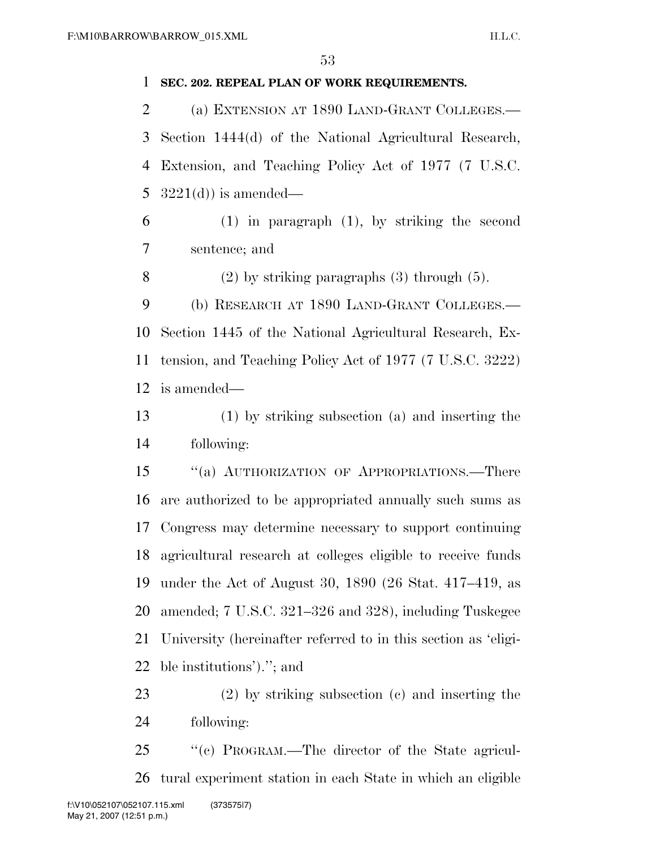#### **SEC. 202. REPEAL PLAN OF WORK REQUIREMENTS.**

 (a) EXTENSION AT 1890 LAND-GRANT COLLEGES.— Section 1444(d) of the National Agricultural Research, Extension, and Teaching Policy Act of 1977 (7 U.S.C.  $3221(d)$  is amended—

 (1) in paragraph (1), by striking the second sentence; and

8 (2) by striking paragraphs  $(3)$  through  $(5)$ .

 (b) RESEARCH AT 1890 LAND-GRANT COLLEGES.— Section 1445 of the National Agricultural Research, Ex- tension, and Teaching Policy Act of 1977 (7 U.S.C. 3222) is amended—

 (1) by striking subsection (a) and inserting the following:

 ''(a) AUTHORIZATION OF APPROPRIATIONS.—There are authorized to be appropriated annually such sums as Congress may determine necessary to support continuing agricultural research at colleges eligible to receive funds under the Act of August 30, 1890 (26 Stat. 417–419, as amended; 7 U.S.C. 321–326 and 328), including Tuskegee University (hereinafter referred to in this section as 'eligi-ble institutions').''; and

 (2) by striking subsection (c) and inserting the following:

 ''(c) PROGRAM.—The director of the State agricul-tural experiment station in each State in which an eligible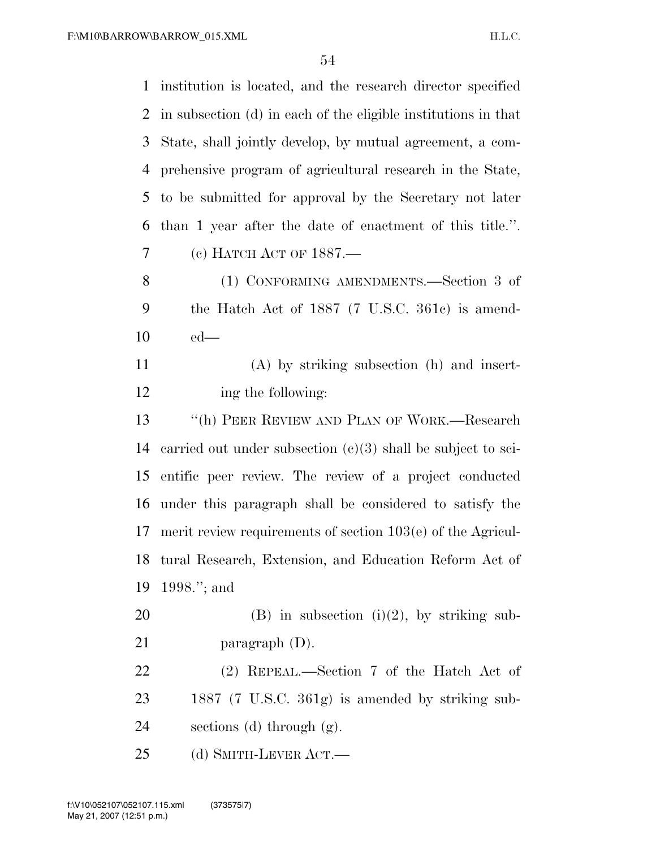| $\mathbf{1}$   | institution is located, and the research director specified    |
|----------------|----------------------------------------------------------------|
| 2              | in subsection (d) in each of the eligible institutions in that |
| 3              | State, shall jointly develop, by mutual agreement, a com-      |
| $\overline{4}$ | prehensive program of agricultural research in the State,      |
| 5              | to be submitted for approval by the Secretary not later        |
| 6              | than 1 year after the date of enactment of this title.".       |
| 7              | (c) HATCH ACT OF 1887.—                                        |
| 8              | (1) CONFORMING AMENDMENTS.—Section 3 of                        |
| 9              | the Hatch Act of 1887 (7 U.S.C. 361c) is amend-                |
| 10             | $ed$ —                                                         |
| 11             | $(A)$ by striking subsection $(h)$ and insert-                 |
| 12             | ing the following:                                             |
| 13             | "(h) PEER REVIEW AND PLAN OF WORK.—Research                    |
| 14             | carried out under subsection $(c)(3)$ shall be subject to sci- |
| 15             | entific peer review. The review of a project conducted         |
| 16             | under this paragraph shall be considered to satisfy the        |
| 17             | merit review requirements of section $103(e)$ of the Agricul-  |
| 18             | tural Research, Extension, and Education Reform Act of         |
| 19             | 1998."; and                                                    |
| 20             | $(B)$ in subsection $(i)(2)$ , by striking sub-                |
| 21             | paragraph $(D)$ .                                              |
| 22             | (2) REPEAL.—Section 7 of the Hatch Act of                      |
| 23             | 1887 (7 U.S.C. 361g) is amended by striking sub-               |
| 24             | sections (d) through $(g)$ .                                   |
| 25             | (d) SMITH-LEVER ACT.—                                          |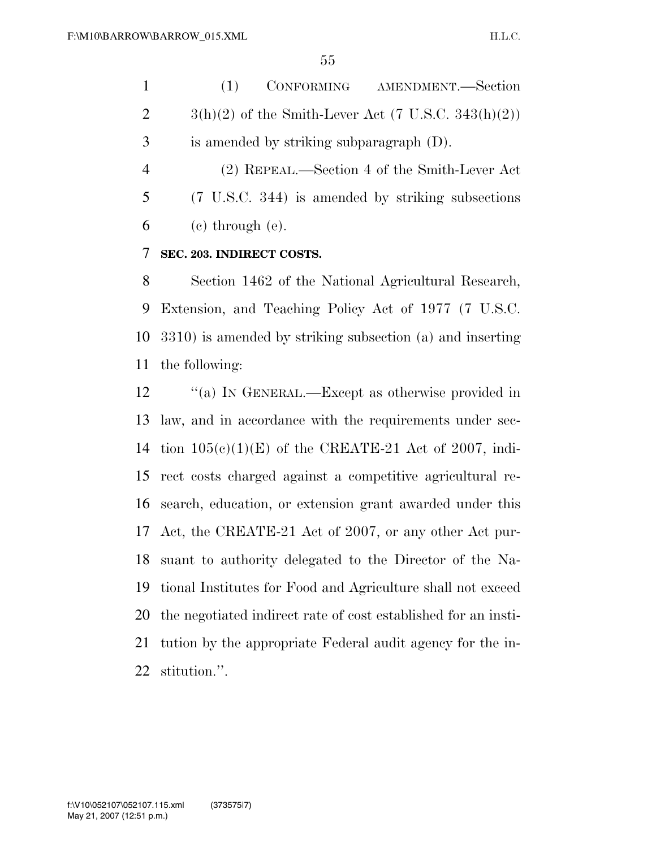(1) CONFORMING AMENDMENT.—Section  $3(h)(2)$  of the Smith-Lever Act (7 U.S.C. 343 $(h)(2)$ ) is amended by striking subparagraph (D). (2) REPEAL.—Section 4 of the Smith-Lever Act

 (7 U.S.C. 344) is amended by striking subsections  $6 \quad$  (c) through (e).

#### **SEC. 203. INDIRECT COSTS.**

 Section 1462 of the National Agricultural Research, Extension, and Teaching Policy Act of 1977 (7 U.S.C. 3310) is amended by striking subsection (a) and inserting the following:

12 "(a) In GENERAL.—Except as otherwise provided in law, and in accordance with the requirements under sec- tion 105(c)(1)(E) of the CREATE-21 Act of 2007, indi- rect costs charged against a competitive agricultural re- search, education, or extension grant awarded under this Act, the CREATE-21 Act of 2007, or any other Act pur- suant to authority delegated to the Director of the Na- tional Institutes for Food and Agriculture shall not exceed the negotiated indirect rate of cost established for an insti- tution by the appropriate Federal audit agency for the in-stitution.''.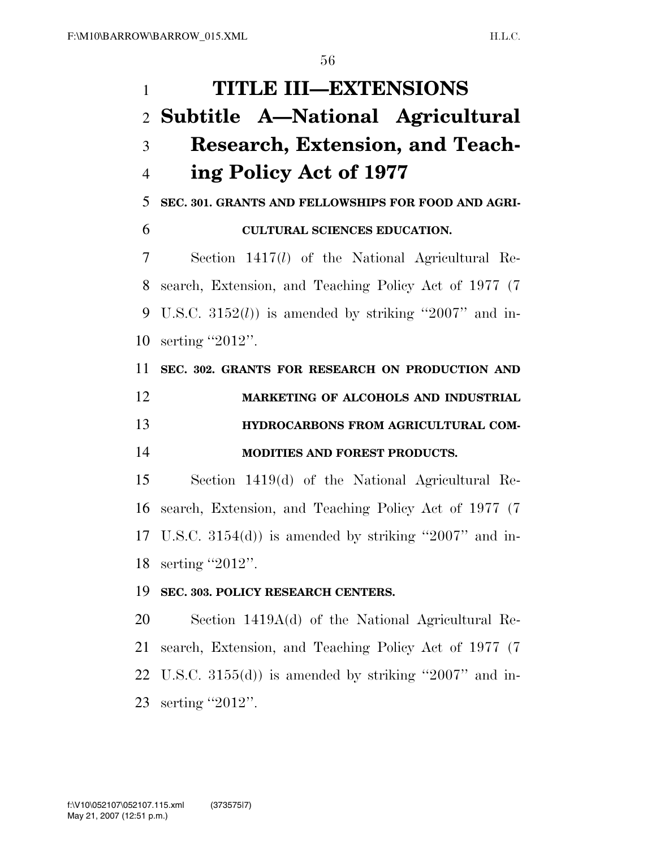| $\mathbf{1}$   | <b>TITLE III-EXTENSIONS</b>                               |
|----------------|-----------------------------------------------------------|
|                | 2 Subtitle A—National Agricultural                        |
| 3              | <b>Research, Extension, and Teach-</b>                    |
| $\overline{4}$ | ing Policy Act of 1977                                    |
| 5              | SEC. 301. GRANTS AND FELLOWSHIPS FOR FOOD AND AGRI-       |
| 6              | <b>CULTURAL SCIENCES EDUCATION.</b>                       |
| 7              | Section $1417(l)$ of the National Agricultural Re-        |
| 8              | search, Extension, and Teaching Policy Act of 1977 (7)    |
| 9              | U.S.C. $3152(l)$ is amended by striking "2007" and in-    |
| 10             | serting "2012".                                           |
| 11             | SEC. 302. GRANTS FOR RESEARCH ON PRODUCTION AND           |
| 12             | MARKETING OF ALCOHOLS AND INDUSTRIAL                      |
| 13             | HYDROCARBONS FROM AGRICULTURAL COM-                       |
| 14             | MODITIES AND FOREST PRODUCTS.                             |
| 15             | Section 1419(d) of the National Agricultural Re-          |
| 16             | search, Extension, and Teaching Policy Act of 1977 (7)    |
|                | 17 U.S.C. $3154(d)$ is amended by striking "2007" and in- |
| 18             | serting "2012".                                           |
| 19             | SEC. 303. POLICY RESEARCH CENTERS.                        |
| 20             | Section 1419A(d) of the National Agricultural Re-         |
| 21             | search, Extension, and Teaching Policy Act of 1977 (7)    |
| 22             | U.S.C. $3155(d)$ is amended by striking "2007" and in-    |
| 23             | serting "2012".                                           |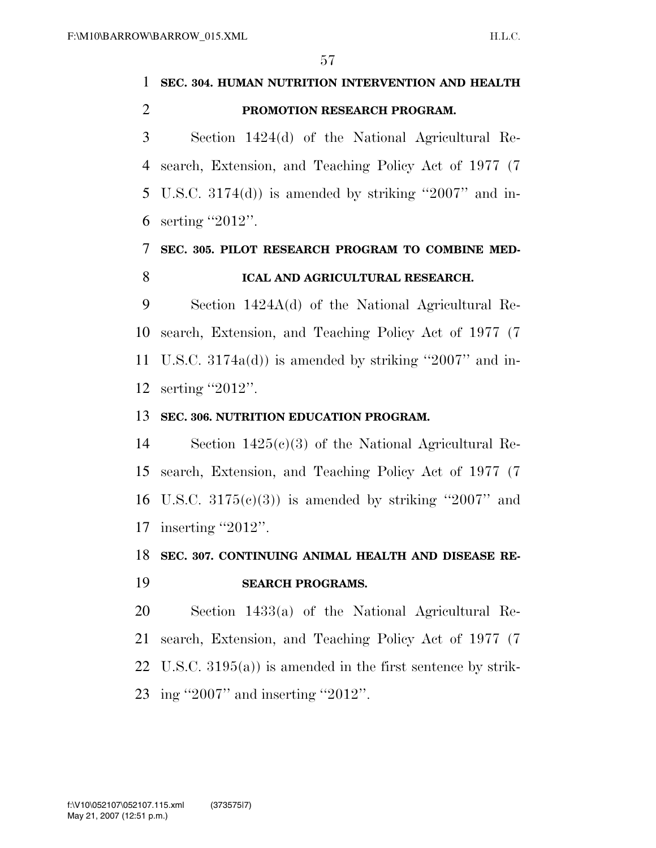### **SEC. 304. HUMAN NUTRITION INTERVENTION AND HEALTH PROMOTION RESEARCH PROGRAM.**

 Section 1424(d) of the National Agricultural Re- search, Extension, and Teaching Policy Act of 1977 (7 U.S.C. 3174(d)) is amended by striking ''2007'' and in-serting ''2012''.

### **SEC. 305. PILOT RESEARCH PROGRAM TO COMBINE MED-ICAL AND AGRICULTURAL RESEARCH.**

 Section 1424A(d) of the National Agricultural Re- search, Extension, and Teaching Policy Act of 1977 (7 U.S.C. 3174a(d)) is amended by striking ''2007'' and in-serting ''2012''.

#### **SEC. 306. NUTRITION EDUCATION PROGRAM.**

 Section 1425(c)(3) of the National Agricultural Re- search, Extension, and Teaching Policy Act of 1977 (7 16 U.S.C.  $3175(e)(3)$  is amended by striking "2007" and 17 inserting "2012".

### **SEC. 307. CONTINUING ANIMAL HEALTH AND DISEASE RE-**

#### **SEARCH PROGRAMS.**

 Section 1433(a) of the National Agricultural Re- search, Extension, and Teaching Policy Act of 1977 (7 U.S.C. 3195(a)) is amended in the first sentence by strik-ing ''2007'' and inserting ''2012''.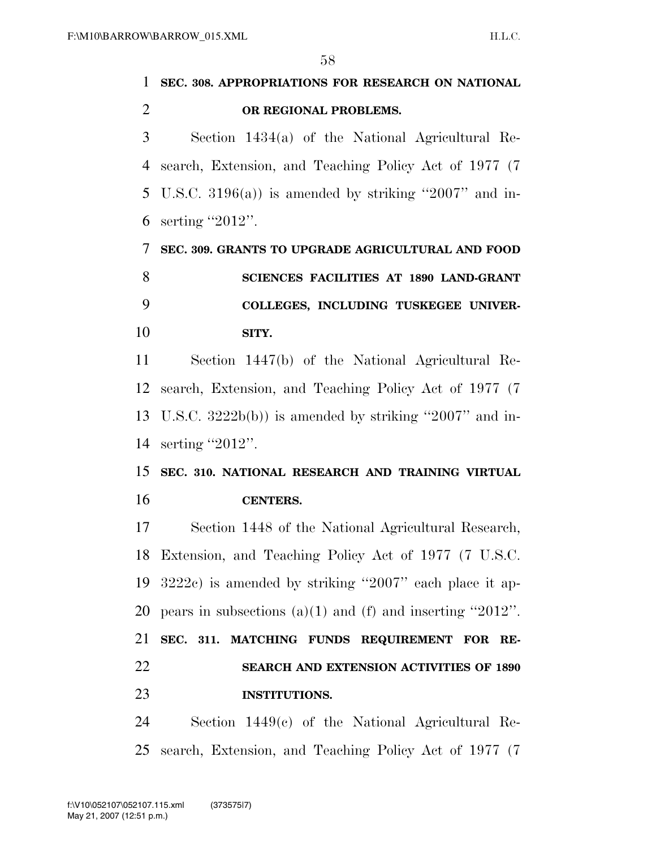|                | IJO                                                           |
|----------------|---------------------------------------------------------------|
| 1              | SEC. 308. APPROPRIATIONS FOR RESEARCH ON NATIONAL             |
| $\overline{2}$ | OR REGIONAL PROBLEMS.                                         |
| 3              | Section $1434(a)$ of the National Agricultural Re-            |
| 4              | search, Extension, and Teaching Policy Act of 1977 (7)        |
| 5              | U.S.C. 3196(a)) is amended by striking "2007" and in-         |
| 6              | serting "2012".                                               |
| 7              | SEC. 309. GRANTS TO UPGRADE AGRICULTURAL AND FOOD             |
| 8              | <b>SCIENCES FACILITIES AT 1890 LAND-GRANT</b>                 |
| 9              | COLLEGES, INCLUDING TUSKEGEE UNIVER-                          |
| 10             | SITY.                                                         |
| 11             | Section 1447(b) of the National Agricultural Re-              |
| 12             | search, Extension, and Teaching Policy Act of 1977 (7)        |
| 13             | U.S.C. $3222b(b)$ is amended by striking "2007" and in-       |
| 14             | serting "2012".                                               |
| 15             | SEC. 310. NATIONAL RESEARCH AND TRAINING VIRTUAL              |
| 16             | <b>CENTERS.</b>                                               |
| 17             | Section 1448 of the National Agricultural Research,           |
|                | 18 Extension, and Teaching Policy Act of 1977 (7 U.S.C.       |
| 19             | $3222c$ ) is amended by striking "2007" each place it ap-     |
| 20             | pears in subsections $(a)(1)$ and $(f)$ and inserting "2012". |
| 21             | SEC. 311. MATCHING FUNDS REQUIREMENT FOR RE-                  |
| 22             | SEARCH AND EXTENSION ACTIVITIES OF 1890                       |
| 23             | <b>INSTITUTIONS.</b>                                          |
| 24             | Section $1449(c)$ of the National Agricultural Re-            |
| 25             | search, Extension, and Teaching Policy Act of 1977 (7)        |
|                |                                                               |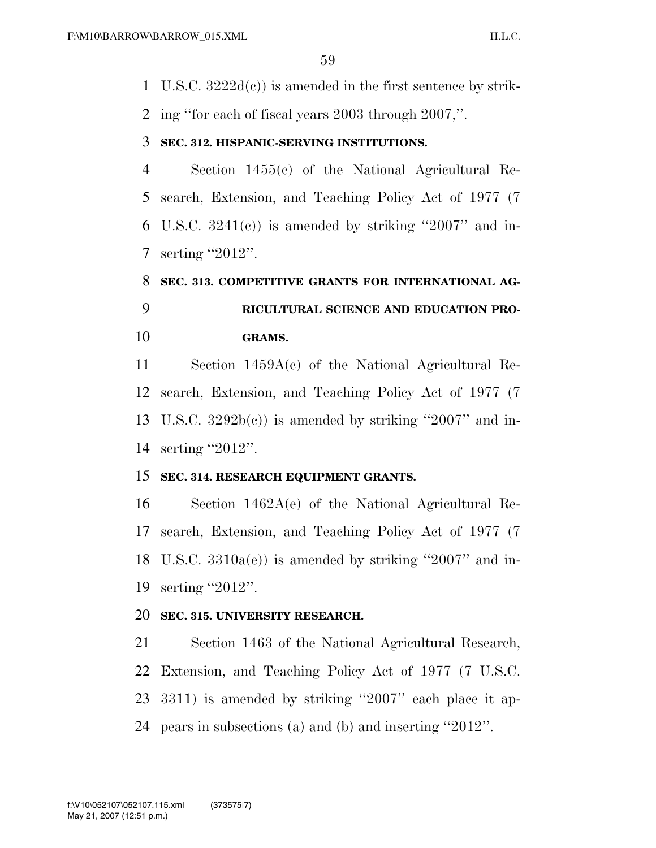U.S.C. 3222d(c)) is amended in the first sentence by strik-ing ''for each of fiscal years 2003 through 2007,''.

#### **SEC. 312. HISPANIC-SERVING INSTITUTIONS.**

 Section 1455(c) of the National Agricultural Re- search, Extension, and Teaching Policy Act of 1977 (7 6 U.S.C.  $3241(e)$  is amended by striking "2007" and in-serting ''2012''.

### **SEC. 313. COMPETITIVE GRANTS FOR INTERNATIONAL AG- RICULTURAL SCIENCE AND EDUCATION PRO-GRAMS.**

 Section 1459A(c) of the National Agricultural Re- search, Extension, and Teaching Policy Act of 1977 (7 13 U.S.C.  $3292b(c)$  is amended by striking "2007" and in-serting ''2012''.

#### **SEC. 314. RESEARCH EQUIPMENT GRANTS.**

 Section 1462A(e) of the National Agricultural Re- search, Extension, and Teaching Policy Act of 1977 (7 U.S.C. 3310a(e)) is amended by striking ''2007'' and in-serting ''2012''.

#### **SEC. 315. UNIVERSITY RESEARCH.**

 Section 1463 of the National Agricultural Research, Extension, and Teaching Policy Act of 1977 (7 U.S.C. 3311) is amended by striking ''2007'' each place it ap-pears in subsections (a) and (b) and inserting ''2012''.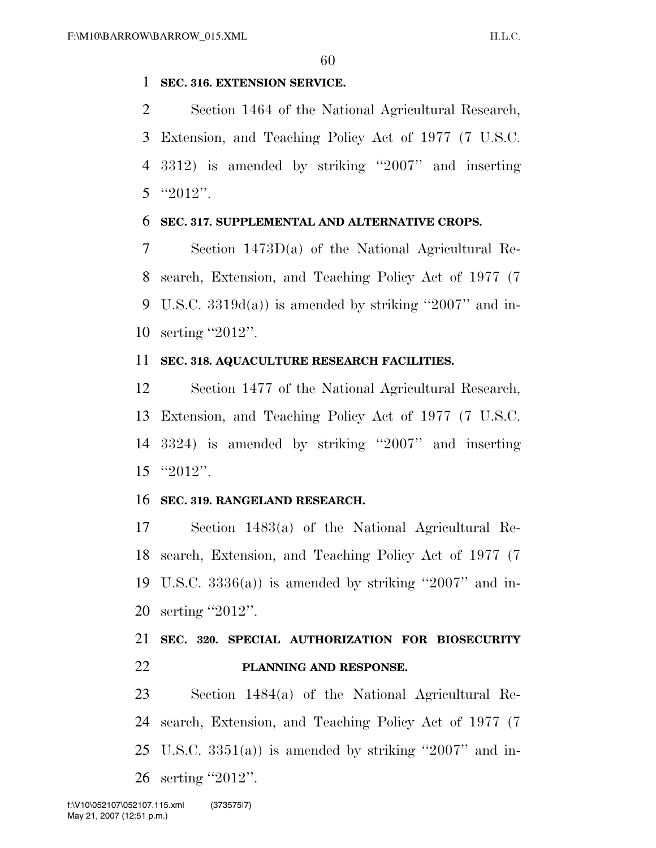#### **SEC. 316. EXTENSION SERVICE.**

 Section 1464 of the National Agricultural Research, Extension, and Teaching Policy Act of 1977 (7 U.S.C. 3312) is amended by striking ''2007'' and inserting 5  $"2012"$ .

#### **SEC. 317. SUPPLEMENTAL AND ALTERNATIVE CROPS.**

 Section 1473D(a) of the National Agricultural Re- search, Extension, and Teaching Policy Act of 1977 (7 U.S.C. 3319d(a)) is amended by striking ''2007'' and in-serting ''2012''.

#### **SEC. 318. AQUACULTURE RESEARCH FACILITIES.**

 Section 1477 of the National Agricultural Research, Extension, and Teaching Policy Act of 1977 (7 U.S.C. 3324) is amended by striking ''2007'' and inserting ''2012''.

#### **SEC. 319. RANGELAND RESEARCH.**

 Section 1483(a) of the National Agricultural Re- search, Extension, and Teaching Policy Act of 1977 (7 19 U.S.C.  $3336(a)$  is amended by striking "2007" and in-serting ''2012''.

### **SEC. 320. SPECIAL AUTHORIZATION FOR BIOSECURITY PLANNING AND RESPONSE.**

 Section 1484(a) of the National Agricultural Re- search, Extension, and Teaching Policy Act of 1977 (7 25 U.S.C.  $3351(a)$  is amended by striking "2007" and in-26 serting "2012".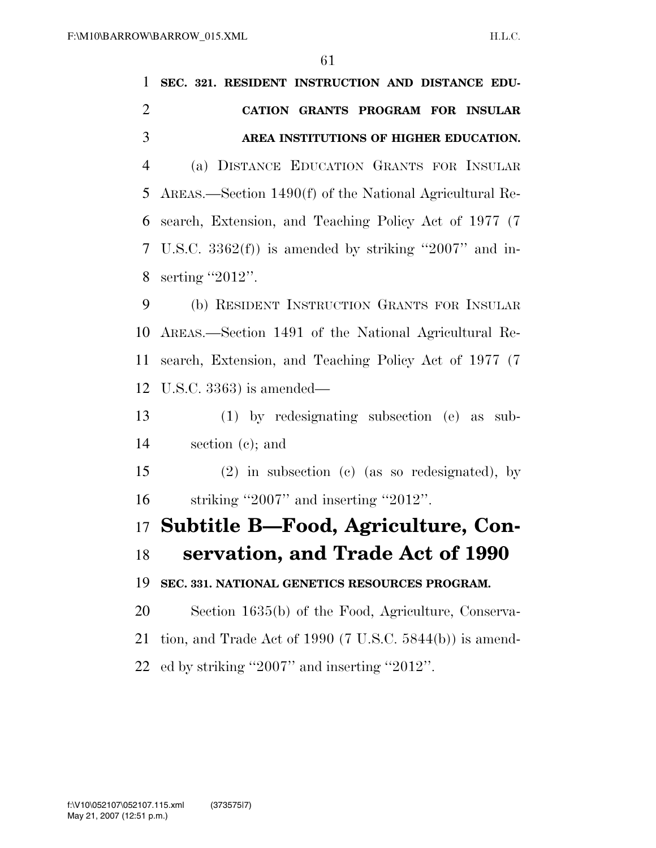| 1              | SEC. 321. RESIDENT INSTRUCTION AND DISTANCE EDU-            |
|----------------|-------------------------------------------------------------|
| $\overline{2}$ | CATION GRANTS PROGRAM FOR INSULAR                           |
| 3              | AREA INSTITUTIONS OF HIGHER EDUCATION.                      |
| $\overline{4}$ | (a) DISTANCE EDUCATION GRANTS FOR INSULAR                   |
| 5              | AREAS.—Section 1490(f) of the National Agricultural Re-     |
| 6              | search, Extension, and Teaching Policy Act of 1977 (7)      |
| 7              | U.S.C. $3362(f)$ ) is amended by striking "2007" and in-    |
| 8              | serting "2012".                                             |
| 9              | (b) RESIDENT INSTRUCTION GRANTS FOR INSULAR                 |
| 10             | AREAS.—Section 1491 of the National Agricultural Re-        |
| 11             | search, Extension, and Teaching Policy Act of 1977 (7)      |
| 12             | U.S.C. $3363$ ) is amended—                                 |
| 13             | $(1)$ by redesignating subsection (e) as sub-               |
| 14             | section $(c)$ ; and                                         |
| 15             | $(2)$ in subsection (c) (as so redesignated), by            |
| 16             | striking "2007" and inserting "2012".                       |
|                | 17 Subtitle B-Food, Agriculture, Con-                       |
|                | 18 servation, and Trade Act of 1990                         |
| 19             | SEC. 331. NATIONAL GENETICS RESOURCES PROGRAM.              |
| 20             | Section 1635(b) of the Food, Agriculture, Conserva-         |
| 21             | tion, and Trade Act of 1990 (7 U.S.C. $5844(b)$ ) is amend- |
| 22             | ed by striking "2007" and inserting "2012".                 |
|                |                                                             |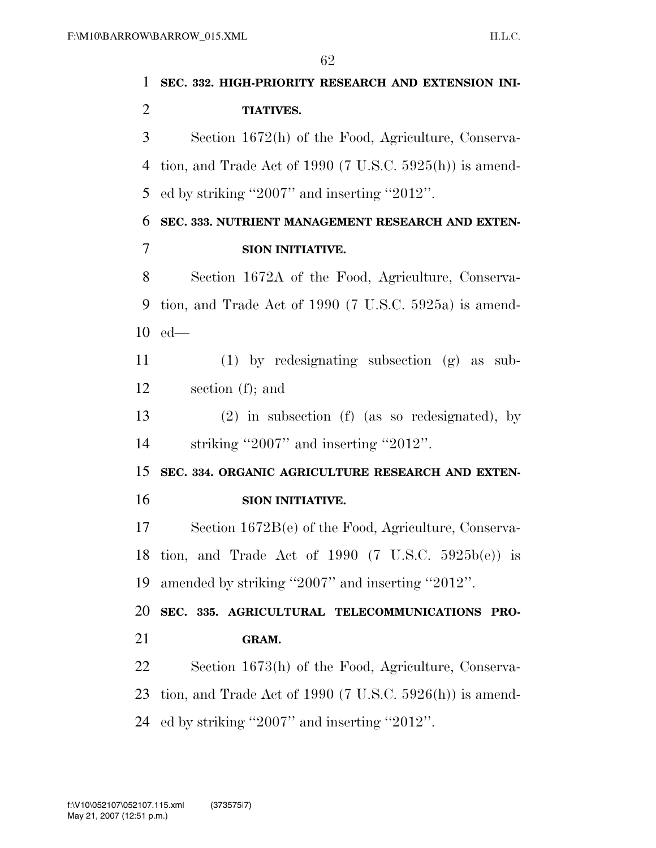**SEC. 332. HIGH-PRIORITY RESEARCH AND EXTENSION INI- TIATIVES.**  Section 1672(h) of the Food, Agriculture, Conserva- tion, and Trade Act of 1990 (7 U.S.C. 5925(h)) is amend- ed by striking ''2007'' and inserting ''2012''. **SEC. 333. NUTRIENT MANAGEMENT RESEARCH AND EXTEN- SION INITIATIVE.**  Section 1672A of the Food, Agriculture, Conserva- tion, and Trade Act of 1990 (7 U.S.C. 5925a) is amend- ed— (1) by redesignating subsection (g) as sub- section (f); and (2) in subsection (f) (as so redesignated), by striking ''2007'' and inserting ''2012''. **SEC. 334. ORGANIC AGRICULTURE RESEARCH AND EXTEN- SION INITIATIVE.**  Section 1672B(e) of the Food, Agriculture, Conserva- tion, and Trade Act of 1990 (7 U.S.C. 5925b(e)) is amended by striking ''2007'' and inserting ''2012''. **SEC. 335. AGRICULTURAL TELECOMMUNICATIONS PRO- GRAM.**  Section 1673(h) of the Food, Agriculture, Conserva- tion, and Trade Act of 1990 (7 U.S.C. 5926(h)) is amend-ed by striking ''2007'' and inserting ''2012''.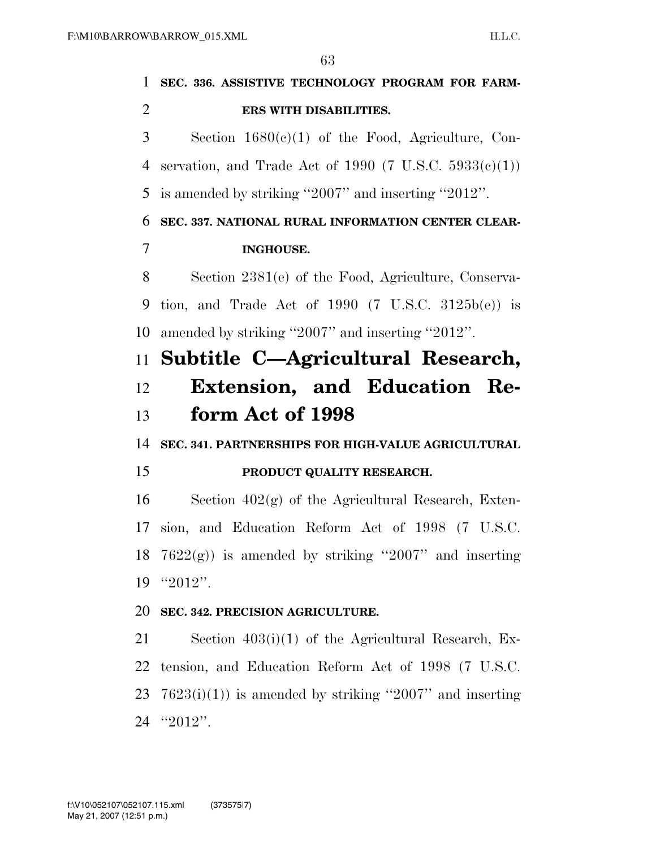| 1              | SEC. 336. ASSISTIVE TECHNOLOGY PROGRAM FOR FARM-              |
|----------------|---------------------------------------------------------------|
| $\overline{2}$ | ERS WITH DISABILITIES.                                        |
| 3              | Section $1680(c)(1)$ of the Food, Agriculture, Con-           |
| 4              | servation, and Trade Act of 1990 (7 U.S.C. $5933(e)(1)$ )     |
| 5              | is amended by striking "2007" and inserting "2012".           |
| 6              | SEC. 337. NATIONAL RURAL INFORMATION CENTER CLEAR-            |
| 7              | <b>INGHOUSE.</b>                                              |
| 8              | Section 2381(e) of the Food, Agriculture, Conserva-           |
| 9              | tion, and Trade Act of 1990 $(7 \text{ U.S.C. } 3125b(e))$ is |
| 10             | amended by striking "2007" and inserting "2012".              |
| 11             | Subtitle C-Agricultural Research,                             |
| 12             | Extension, and Education Re-                                  |
| 13             | form Act of 1998                                              |
| 14             | SEC. 341. PARTNERSHIPS FOR HIGH-VALUE AGRICULTURAL            |
| 15             | PRODUCT QUALITY RESEARCH.                                     |
| 16             | Section $402(g)$ of the Agricultural Research, Exten-         |
| 17             | sion, and Education Reform Act of 1998 (7 U.S.C.              |
| 18             | $7622(g)$ is amended by striking "2007" and inserting         |
| 19             | $"2012"$ .                                                    |
| 20             | SEC. 342. PRECISION AGRICULTURE.                              |
| 21             | Section $403(i)(1)$ of the Agricultural Research, Ex-         |
| 22             | tension, and Education Reform Act of 1998 (7 U.S.C.           |
| 23             | $7623(i)(1)$ is amended by striking "2007" and inserting      |
|                | 24 "2012".                                                    |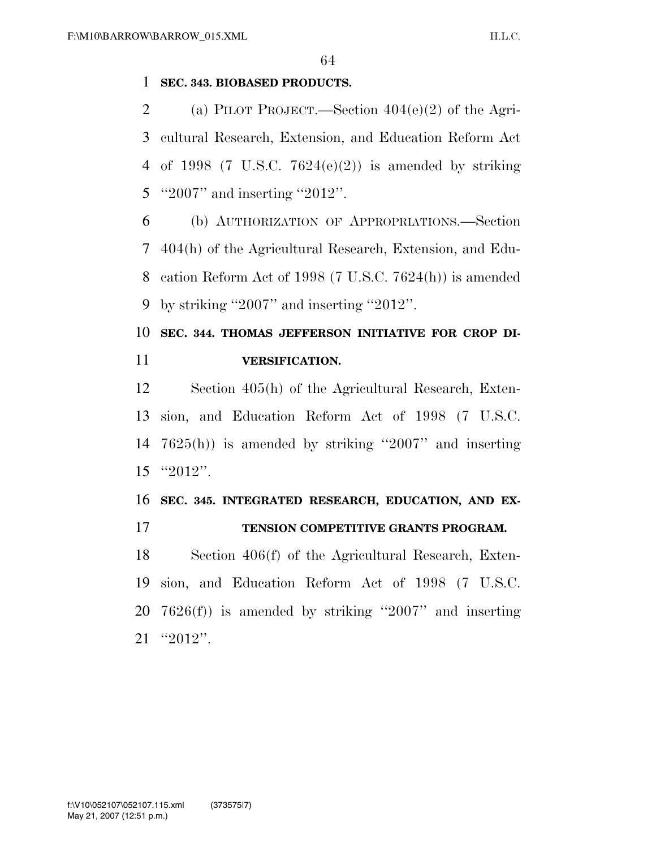#### **SEC. 343. BIOBASED PRODUCTS.**

2 (a) PILOT PROJECT.—Section  $404(e)(2)$  of the Agri- cultural Research, Extension, and Education Reform Act 4 of 1998 (7 U.S.C.  $7624(e)(2)$ ) is amended by striking ''2007'' and inserting ''2012''.

 (b) AUTHORIZATION OF APPROPRIATIONS.—Section 404(h) of the Agricultural Research, Extension, and Edu- cation Reform Act of 1998 (7 U.S.C. 7624(h)) is amended by striking ''2007'' and inserting ''2012''.

### **SEC. 344. THOMAS JEFFERSON INITIATIVE FOR CROP DI-VERSIFICATION.**

 Section 405(h) of the Agricultural Research, Exten- sion, and Education Reform Act of 1998 (7 U.S.C. 7625(h)) is amended by striking ''2007'' and inserting ''2012''.

### **SEC. 345. INTEGRATED RESEARCH, EDUCATION, AND EX-TENSION COMPETITIVE GRANTS PROGRAM.**

## Section 406(f) of the Agricultural Research, Exten-

 sion, and Education Reform Act of 1998 (7 U.S.C. 7626(f)) is amended by striking ''2007'' and inserting ''2012''.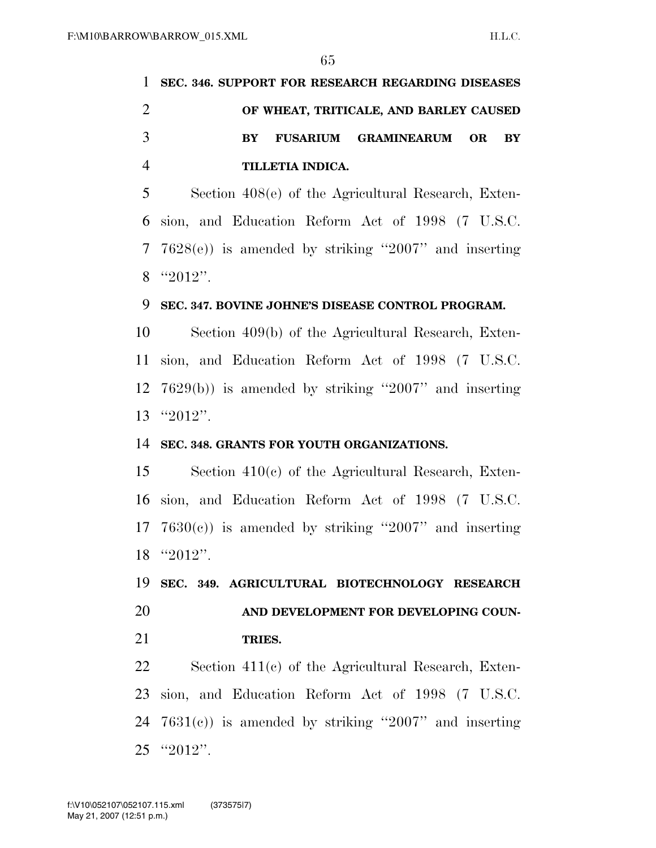|                             | SEC. 346. SUPPORT FOR RESEARCH REGARDING DISEASES                      |
|-----------------------------|------------------------------------------------------------------------|
| $\mathcal{D}_{\mathcal{L}}$ | OF WHEAT, TRITICALE, AND BARLEY CAUSED                                 |
|                             | <b>GRAMINEARUM</b><br><b>FUSARIUM</b><br>OR.<br><b>BY</b><br><b>RY</b> |
|                             | TILLETIA INDICA.                                                       |
| 5                           | Section 408(e) of the Agricultural Research, Exten-                    |
|                             | 6 sion, and Education Reform Act of 1998 (7 U.S.C.                     |

 7628(e)) is amended by striking ''2007'' and inserting ''2012''.

#### **SEC. 347. BOVINE JOHNE'S DISEASE CONTROL PROGRAM.**

 Section 409(b) of the Agricultural Research, Exten- sion, and Education Reform Act of 1998 (7 U.S.C. 7629(b)) is amended by striking ''2007'' and inserting ''2012''.

#### **SEC. 348. GRANTS FOR YOUTH ORGANIZATIONS.**

 Section 410(c) of the Agricultural Research, Exten- sion, and Education Reform Act of 1998 (7 U.S.C.  $7630(c)$  is amended by striking "2007" and inserting ''2012''.

 **SEC. 349. AGRICULTURAL BIOTECHNOLOGY RESEARCH AND DEVELOPMENT FOR DEVELOPING COUN-**

**TRIES.** 

 Section 411(c) of the Agricultural Research, Exten- sion, and Education Reform Act of 1998 (7 U.S.C. 7631(c)) is amended by striking ''2007'' and inserting ''2012''.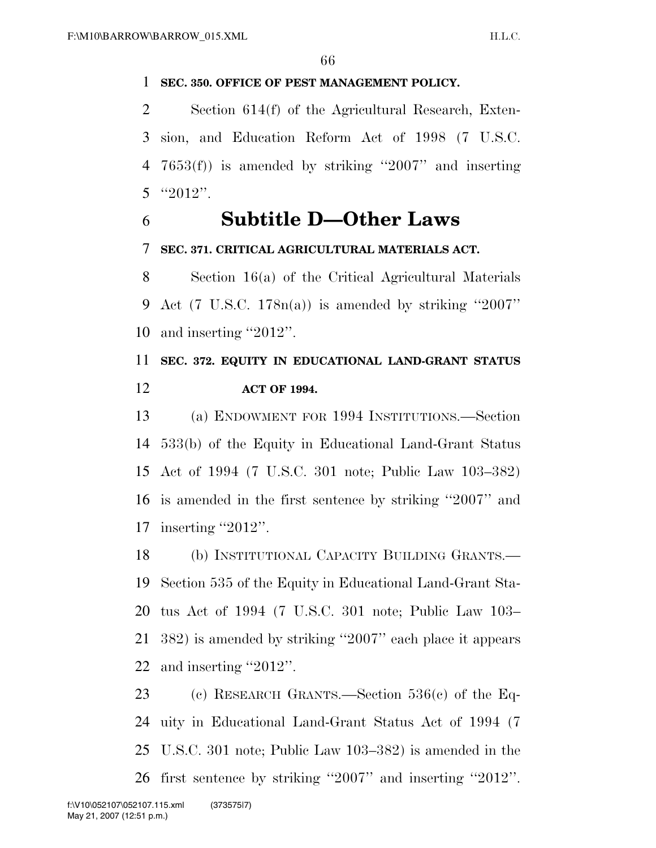#### **SEC. 350. OFFICE OF PEST MANAGEMENT POLICY.**

 Section 614(f) of the Agricultural Research, Exten- sion, and Education Reform Act of 1998 (7 U.S.C. 7653(f)) is amended by striking ''2007'' and inserting 5  $"2012"$ .

### **Subtitle D—Other Laws**

#### **SEC. 371. CRITICAL AGRICULTURAL MATERIALS ACT.**

 Section 16(a) of the Critical Agricultural Materials 9 Act (7 U.S.C.  $178n(a)$ ) is amended by striking "2007" and inserting ''2012''.

### **SEC. 372. EQUITY IN EDUCATIONAL LAND-GRANT STATUS ACT OF 1994.**

 (a) ENDOWMENT FOR 1994 INSTITUTIONS.—Section 533(b) of the Equity in Educational Land-Grant Status Act of 1994 (7 U.S.C. 301 note; Public Law 103–382) is amended in the first sentence by striking ''2007'' and 17 inserting "2012".

 (b) INSTITUTIONAL CAPACITY BUILDING GRANTS.— Section 535 of the Equity in Educational Land-Grant Sta- tus Act of 1994 (7 U.S.C. 301 note; Public Law 103– 382) is amended by striking ''2007'' each place it appears and inserting ''2012''.

 (c) RESEARCH GRANTS.—Section 536(c) of the Eq- uity in Educational Land-Grant Status Act of 1994 (7 U.S.C. 301 note; Public Law 103–382) is amended in the first sentence by striking ''2007'' and inserting ''2012''.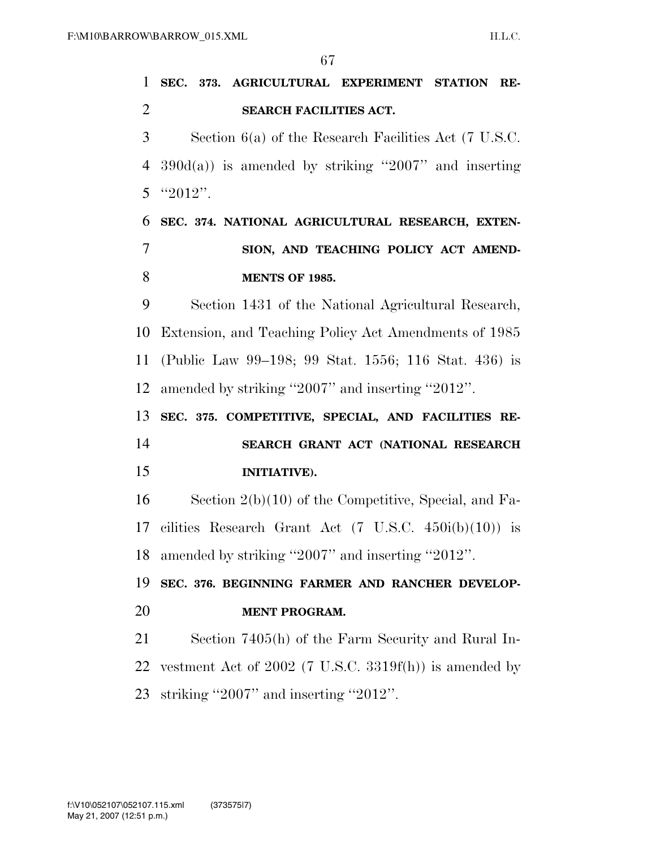**SEC. 373. AGRICULTURAL EXPERIMENT STATION RE- SEARCH FACILITIES ACT.**  Section 6(a) of the Research Facilities Act (7 U.S.C. 390d(a)) is amended by striking ''2007'' and inserting 5  $"2012"$ . **SEC. 374. NATIONAL AGRICULTURAL RESEARCH, EXTEN- SION, AND TEACHING POLICY ACT AMEND- MENTS OF 1985.**  Section 1431 of the National Agricultural Research, Extension, and Teaching Policy Act Amendments of 1985 (Public Law 99–198; 99 Stat. 1556; 116 Stat. 436) is amended by striking ''2007'' and inserting ''2012''. **SEC. 375. COMPETITIVE, SPECIAL, AND FACILITIES RE- SEARCH GRANT ACT (NATIONAL RESEARCH INITIATIVE).**  Section 2(b)(10) of the Competitive, Special, and Fa-17 cilities Research Grant Act  $(7 \text{ U.S.C. } 450i(b)(10))$  is amended by striking ''2007'' and inserting ''2012''. **SEC. 376. BEGINNING FARMER AND RANCHER DEVELOP- MENT PROGRAM.**  Section 7405(h) of the Farm Security and Rural In- vestment Act of 2002 (7 U.S.C. 3319f(h)) is amended by striking ''2007'' and inserting ''2012''.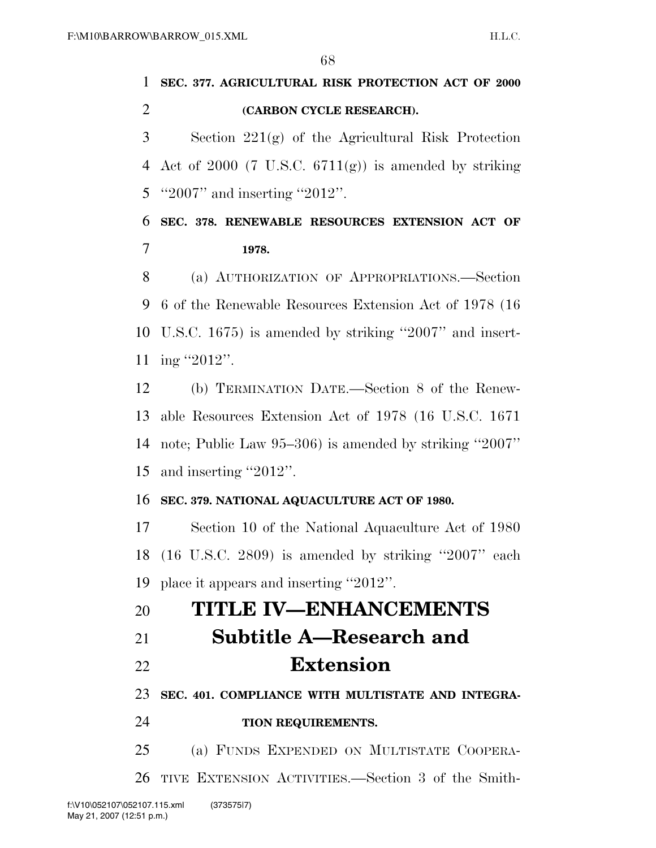|   | 1 SEC. 377. AGRICULTURAL RISK PROTECTION ACT OF 2000 |
|---|------------------------------------------------------|
| 2 | (CARBON CYCLE RESEARCH).                             |

 Section 221(g) of the Agricultural Risk Protection 4 Act of 2000 (7 U.S.C.  $6711(g)$ ) is amended by striking 5 "2007" and inserting "2012".

 **SEC. 378. RENEWABLE RESOURCES EXTENSION ACT OF 1978.** 

 (a) AUTHORIZATION OF APPROPRIATIONS.—Section 6 of the Renewable Resources Extension Act of 1978 (16 U.S.C. 1675) is amended by striking ''2007'' and insert-ing ''2012''.

 (b) TERMINATION DATE.—Section 8 of the Renew- able Resources Extension Act of 1978 (16 U.S.C. 1671 note; Public Law 95–306) is amended by striking ''2007'' and inserting ''2012''.

#### **SEC. 379. NATIONAL AQUACULTURE ACT OF 1980.**

 Section 10 of the National Aquaculture Act of 1980 (16 U.S.C. 2809) is amended by striking ''2007'' each place it appears and inserting ''2012''.

### **TITLE IV—ENHANCEMENTS**

- **Subtitle A—Research and**
- **Extension**

**SEC. 401. COMPLIANCE WITH MULTISTATE AND INTEGRA-**

**TION REQUIREMENTS.** 

(a) FUNDS EXPENDED ON MULTISTATE COOPERA-

TIVE EXTENSION ACTIVITIES.—Section 3 of the Smith-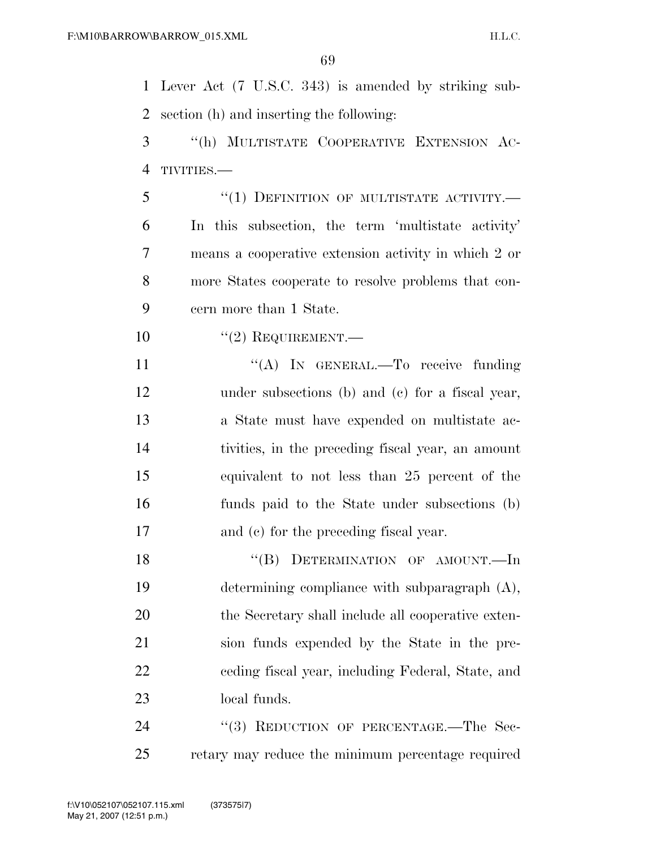Lever Act (7 U.S.C. 343) is amended by striking sub-section (h) and inserting the following:

 ''(h) MULTISTATE COOPERATIVE EXTENSION AC-TIVITIES.—

5 "(1) DEFINITION OF MULTISTATE ACTIVITY.— In this subsection, the term 'multistate activity' means a cooperative extension activity in which 2 or more States cooperate to resolve problems that con-cern more than 1 State.

 $(2)$  REQUIREMENT.—

11 "(A) In GENERAL.—To receive funding under subsections (b) and (c) for a fiscal year, a State must have expended on multistate ac- tivities, in the preceding fiscal year, an amount equivalent to not less than 25 percent of the funds paid to the State under subsections (b) and (c) for the preceding fiscal year.

18 "(B) DETERMINATION OF AMOUNT.—In determining compliance with subparagraph (A), 20 the Secretary shall include all cooperative exten- sion funds expended by the State in the pre- ceding fiscal year, including Federal, State, and local funds.

24 "(3) REDUCTION OF PERCENTAGE.—The Sec-retary may reduce the minimum percentage required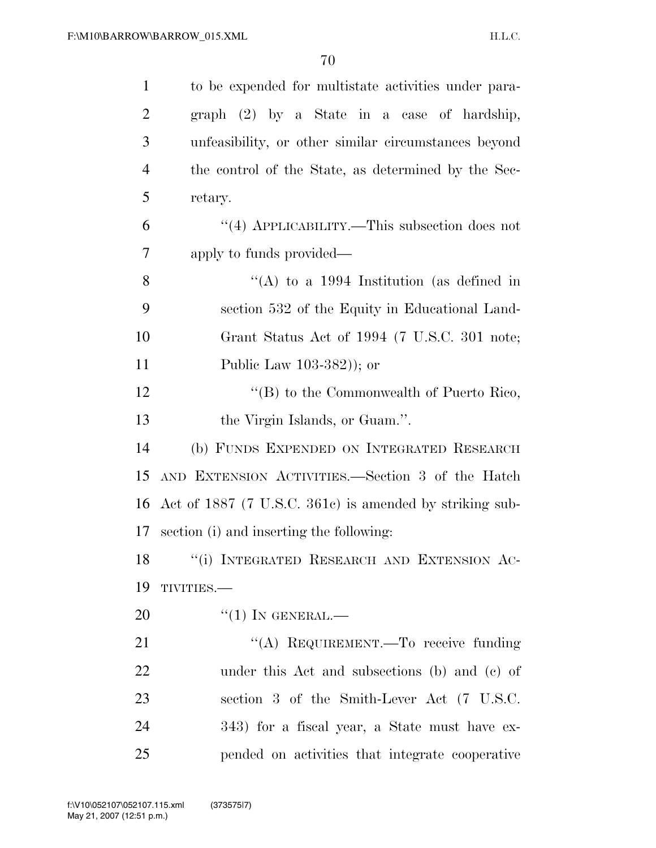| $\mathbf{1}$   | to be expended for multistate activities under para-    |
|----------------|---------------------------------------------------------|
| $\overline{2}$ | graph (2) by a State in a case of hardship,             |
| 3              | unfeasibility, or other similar circumstances beyond    |
| $\overline{4}$ | the control of the State, as determined by the Sec-     |
| 5              | retary.                                                 |
| 6              | "(4) APPLICABILITY.—This subsection does not            |
| 7              | apply to funds provided—                                |
| 8              | "(A) to a 1994 Institution (as defined in               |
| 9              | section 532 of the Equity in Educational Land-          |
| 10             | Grant Status Act of 1994 (7 U.S.C. 301 note;            |
| 11             | Public Law $103-382$ ); or                              |
| 12             | " $(B)$ to the Commonwealth of Puerto Rico,             |
| 13             | the Virgin Islands, or Guam.".                          |
| 14             | (b) FUNDS EXPENDED ON INTEGRATED RESEARCH               |
| 15             | AND EXTENSION ACTIVITIES.—Section 3 of the Hatch        |
| 16             | Act of 1887 (7 U.S.C. 361c) is amended by striking sub- |
| 17             | section (i) and inserting the following:                |
| 18             | "(i) INTEGRATED RESEARCH AND EXTENSION AC-              |
| 19             | TIVITIES.-                                              |
| 20             | $``(1)$ IN GENERAL.—                                    |
| 21             | "(A) REQUIREMENT.—To receive funding                    |
| 22             | under this Act and subsections (b) and (c) of           |
| 23             | section 3 of the Smith-Lever Act (7 U.S.C.              |
| 24             | 343) for a fiscal year, a State must have ex-           |
| 25             | pended on activities that integrate cooperative         |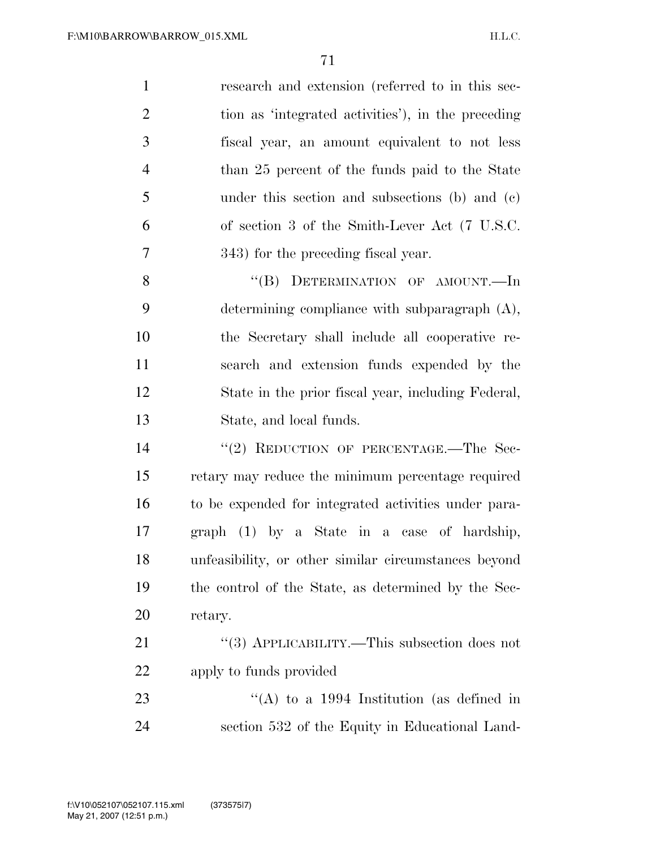| $\mathbf{1}$   | research and extension (referred to in this sec-   |
|----------------|----------------------------------------------------|
| 2              | tion as 'integrated activities'), in the preceding |
| 3              | fiscal year, an amount equivalent to not less      |
| $\overline{4}$ | than 25 percent of the funds paid to the State     |
| 5              | under this section and subsections (b) and (c)     |
| 6              | of section 3 of the Smith-Lever Act (7 U.S.C.      |
| 7              | 343) for the preceding fiscal year.                |
| 8              | "(B) DETERMINATION OF AMOUNT.—In                   |
| 9              | determining compliance with subparagraph $(A)$ ,   |
| 10             | the Secretary shall include all cooperative re-    |
|                |                                                    |

 search and extension funds expended by the State in the prior fiscal year, including Federal, State, and local funds.

14 "(2) REDUCTION OF PERCENTAGE.—The Sec- retary may reduce the minimum percentage required to be expended for integrated activities under para- graph (1) by a State in a case of hardship, unfeasibility, or other similar circumstances beyond the control of the State, as determined by the Sec-retary.

21 "(3) APPLICABILITY.—This subsection does not apply to funds provided

23 "(A) to a 1994 Institution (as defined in section 532 of the Equity in Educational Land-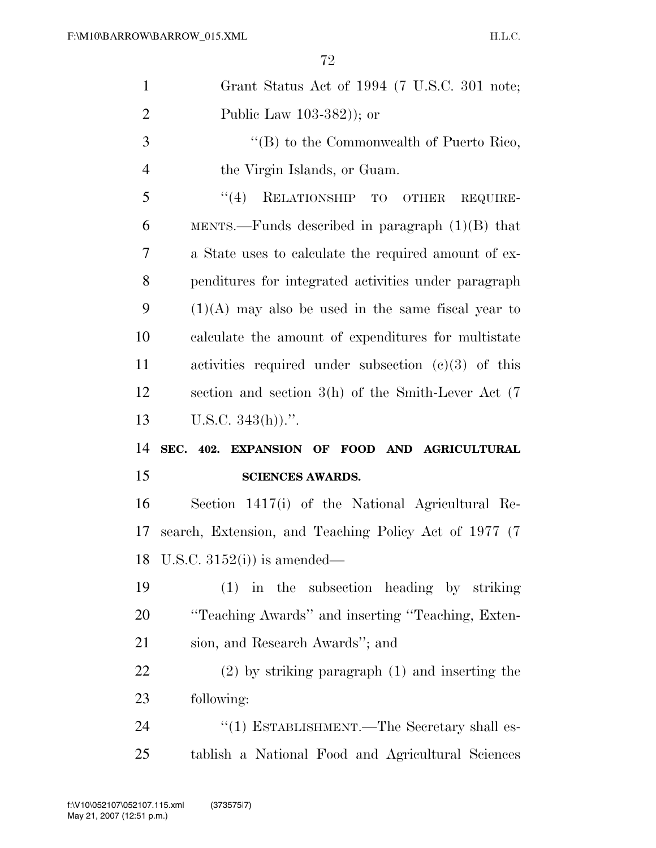| $\mathbf{1}$   | Grant Status Act of 1994 (7 U.S.C. 301 note;            |
|----------------|---------------------------------------------------------|
| $\overline{2}$ | Public Law $103-382$ ); or                              |
| 3              | " $(B)$ to the Commonwealth of Puerto Rico,             |
| $\overline{4}$ | the Virgin Islands, or Guam.                            |
| 5              | (4)<br>RELATIONSHIP TO OTHER<br>REQUIRE-                |
| 6              | MENTS.—Funds described in paragraph $(1)(B)$ that       |
| 7              | a State uses to calculate the required amount of ex-    |
| 8              | penditures for integrated activities under paragraph    |
| 9              | $(1)(A)$ may also be used in the same fiscal year to    |
| 10             | calculate the amount of expenditures for multistate     |
| 11             | activities required under subsection $(c)(3)$ of this   |
| 12             | section and section $3(h)$ of the Smith-Lever Act $(7)$ |
|                |                                                         |
| 13             | U.S.C. $343(h)$ .".                                     |
| 14             | SEC. 402. EXPANSION OF FOOD AND AGRICULTURAL            |
| 15             | <b>SCIENCES AWARDS.</b>                                 |
| 16             | Section 1417(i) of the National Agricultural Re-        |
| 17             | search, Extension, and Teaching Policy Act of 1977 (7)  |
| 18             | U.S.C. $3152(i)$ is amended—                            |
| 19             | $(1)$ in the subsection heading by striking             |
| 20             | "Teaching Awards" and inserting "Teaching, Exten-       |
| 21             | sion, and Research Awards"; and                         |
| 22             | $(2)$ by striking paragraph $(1)$ and inserting the     |
| 23             | following:                                              |
| 24             | "(1) ESTABLISHMENT.—The Secretary shall es-             |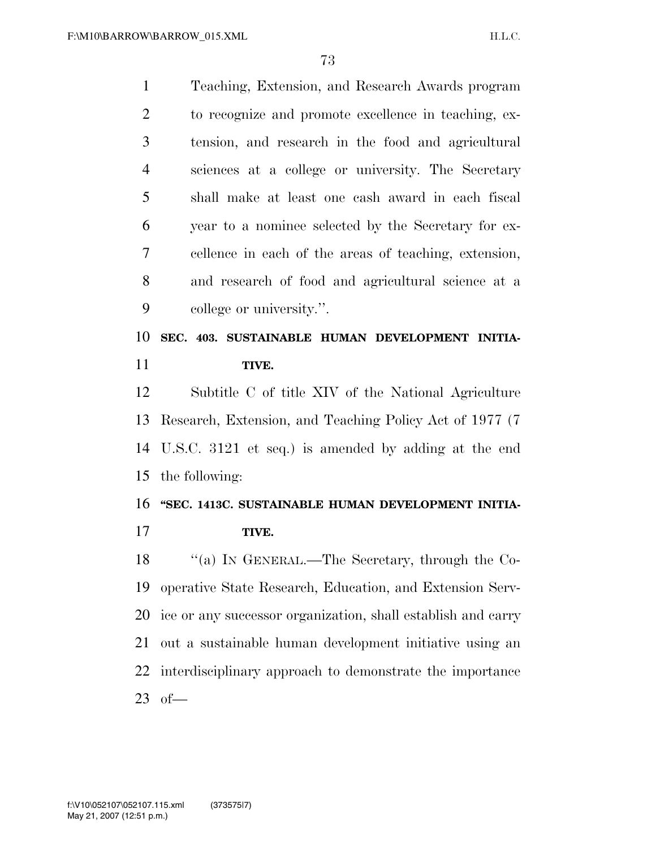| $\mathbf{1}$   | Teaching, Extension, and Research Awards program             |
|----------------|--------------------------------------------------------------|
| $\overline{2}$ | to recognize and promote excellence in teaching, ex-         |
| 3              | tension, and research in the food and agricultural           |
| $\overline{4}$ | sciences at a college or university. The Secretary           |
| 5              | shall make at least one cash award in each fiscal            |
| 6              | year to a nominee selected by the Secretary for ex-          |
| $\overline{7}$ | cellence in each of the areas of teaching, extension,        |
| 8              | and research of food and agricultural science at a           |
| 9              | college or university.".                                     |
| 10             | SEC. 403. SUSTAINABLE HUMAN DEVELOPMENT INITIA-              |
| 11             | TIVE.                                                        |
| 12             | Subtitle C of title XIV of the National Agriculture          |
| 13             | Research, Extension, and Teaching Policy Act of 1977 (7)     |
| 14             | U.S.C. 3121 et seq.) is amended by adding at the end         |
| 15             | the following:                                               |
| 16             | "SEC. 1413C. SUSTAINABLE HUMAN DEVELOPMENT INITIA-           |
| 17             | TIVE.                                                        |
| 18             | "(a) IN GENERAL.—The Secretary, through the Co-              |
| 19             | operative State Research, Education, and Extension Serv-     |
| 20             | ice or any successor organization, shall establish and carry |
| 21             | out a sustainable human development initiative using an      |
| 22             | interdisciplinary approach to demonstrate the importance     |
| 23             | $of$ —                                                       |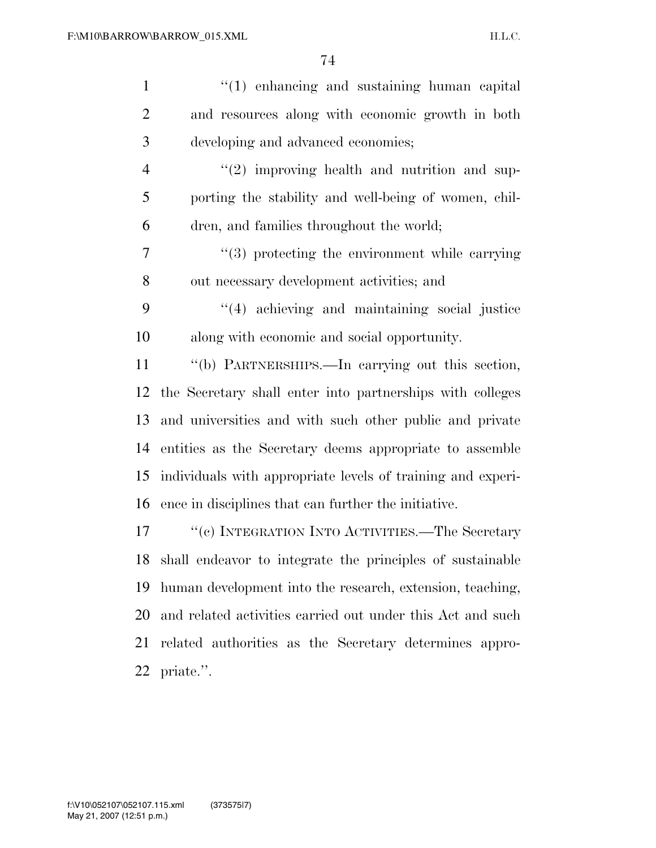| $\mathbf{1}$   | $\lq(1)$ enhancing and sustaining human capital              |
|----------------|--------------------------------------------------------------|
| $\overline{2}$ | and resources along with economic growth in both             |
| 3              | developing and advanced economies;                           |
| $\overline{4}$ | $(2)$ improving health and nutrition and sup-                |
| 5              | porting the stability and well-being of women, chil-         |
| 6              | dren, and families throughout the world;                     |
| 7              | $(3)$ protecting the environment while carrying              |
| $8\,$          | out necessary development activities; and                    |
| 9              | "(4) achieving and maintaining social justice                |
| 10             | along with economic and social opportunity.                  |
| 11             | "(b) PARTNERSHIPS.—In carrying out this section,             |
| 12             | the Secretary shall enter into partnerships with colleges    |
| 13             | and universities and with such other public and private      |
| 14             | entities as the Secretary deems appropriate to assemble      |
| 15             | individuals with appropriate levels of training and experi-  |
| 16             | ence in disciplines that can further the initiative.         |
| 17             | "(c) INTEGRATION INTO ACTIVITIES.—The Secretary              |
|                | 18 shall endeavor to integrate the principles of sustainable |
| 19             | human development into the research, extension, teaching,    |
| 20             | and related activities carried out under this Act and such   |
| 21             | related authorities as the Secretary determines appro-       |
| 22             | priate.".                                                    |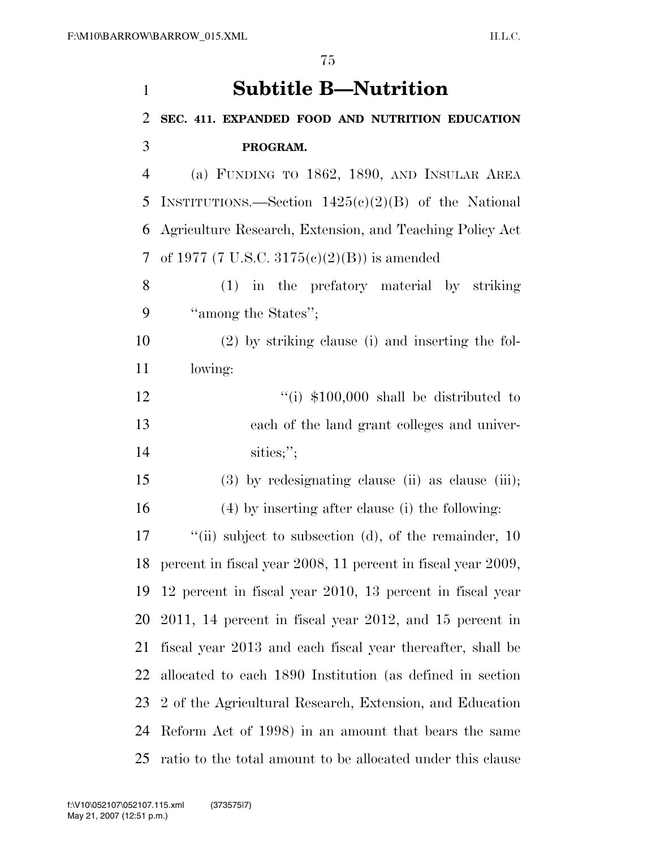| $\mathbf{1}$   | <b>Subtitle B-Nutrition</b>                                   |
|----------------|---------------------------------------------------------------|
| $\overline{2}$ | SEC. 411. EXPANDED FOOD AND NUTRITION EDUCATION               |
| 3              | PROGRAM.                                                      |
| $\overline{4}$ | (a) FUNDING TO 1862, 1890, AND INSULAR AREA                   |
| 5              | INSTITUTIONS.—Section $1425(e)(2)(B)$ of the National         |
| 6              | Agriculture Research, Extension, and Teaching Policy Act      |
| 7              | of 1977 (7 U.S.C. 3175(c)(2)(B)) is amended                   |
| 8              | (1) in the prefatory material by striking                     |
| 9              | "among the States";                                           |
| 10             | $(2)$ by striking clause (i) and inserting the fol-           |
| 11             | lowing:                                                       |
| 12             | "(i) $$100,000$ shall be distributed to                       |
| 13             | each of the land grant colleges and univer-                   |
| 14             | sities;";                                                     |
| 15             | $(3)$ by redesignating clause (ii) as clause (iii);           |
| 16             | $(4)$ by inserting after clause (i) the following:            |
| 17             | "(ii) subject to subsection (d), of the remainder, $10$       |
| 18             | percent in fiscal year 2008, 11 percent in fiscal year 2009,  |
| 19             | 12 percent in fiscal year 2010, 13 percent in fiscal year     |
| 20             | $2011$ , 14 percent in fiscal year $2012$ , and 15 percent in |
| 21             | fiscal year 2013 and each fiscal year thereafter, shall be    |
| 22             | allocated to each 1890 Institution (as defined in section     |
| 23             | 2 of the Agricultural Research, Extension, and Education      |
| 24             | Reform Act of 1998) in an amount that bears the same          |
| 25             | ratio to the total amount to be allocated under this clause   |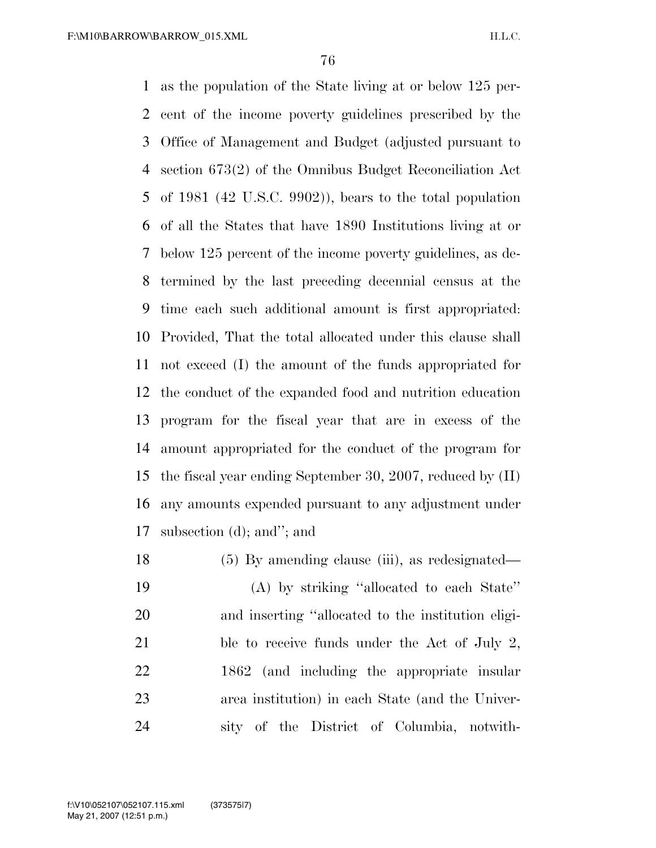as the population of the State living at or below 125 per- cent of the income poverty guidelines prescribed by the Office of Management and Budget (adjusted pursuant to section 673(2) of the Omnibus Budget Reconciliation Act of 1981 (42 U.S.C. 9902)), bears to the total population of all the States that have 1890 Institutions living at or below 125 percent of the income poverty guidelines, as de- termined by the last preceding decennial census at the time each such additional amount is first appropriated: Provided, That the total allocated under this clause shall not exceed (I) the amount of the funds appropriated for the conduct of the expanded food and nutrition education program for the fiscal year that are in excess of the amount appropriated for the conduct of the program for the fiscal year ending September 30, 2007, reduced by (II) any amounts expended pursuant to any adjustment under subsection (d); and''; and

18 (5) By amending clause (iii), as redesignated— (A) by striking ''allocated to each State'' and inserting ''allocated to the institution eligi-21 ble to receive funds under the Act of July 2, 1862 (and including the appropriate insular area institution) in each State (and the Univer-sity of the District of Columbia, notwith-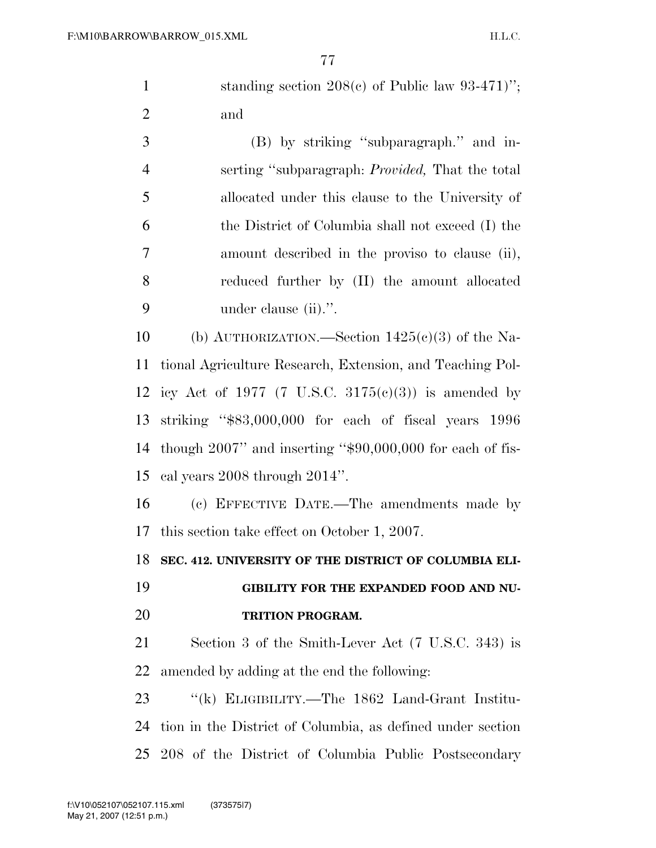1 standing section 208(c) of Public law 93-471)"; and

 (B) by striking ''subparagraph.'' and in- serting ''subparagraph: *Provided,* That the total allocated under this clause to the University of the District of Columbia shall not exceed (I) the amount described in the proviso to clause (ii), reduced further by (II) the amount allocated under clause (ii).''.

10 (b) AUTHORIZATION.—Section  $1425(c)(3)$  of the Na- tional Agriculture Research, Extension, and Teaching Pol-12 icy Act of 1977 (7 U.S.C.  $3175(c)(3)$ ) is amended by striking ''\$83,000,000 for each of fiscal years 1996 though 2007'' and inserting ''\$90,000,000 for each of fis-cal years 2008 through 2014''.

 (c) EFFECTIVE DATE.—The amendments made by this section take effect on October 1, 2007.

**SEC. 412. UNIVERSITY OF THE DISTRICT OF COLUMBIA ELI-**

 **GIBILITY FOR THE EXPANDED FOOD AND NU-TRITION PROGRAM.** 

 Section 3 of the Smith-Lever Act (7 U.S.C. 343) is amended by adding at the end the following:

 ''(k) ELIGIBILITY.—The 1862 Land-Grant Institu- tion in the District of Columbia, as defined under section 208 of the District of Columbia Public Postsecondary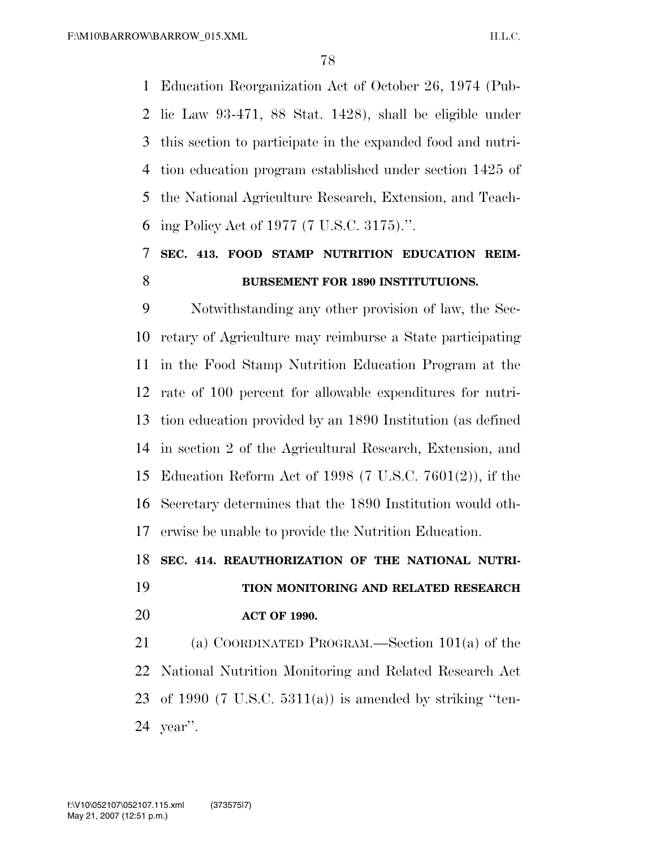Education Reorganization Act of October 26, 1974 (Pub- lic Law 93-471, 88 Stat. 1428), shall be eligible under this section to participate in the expanded food and nutri- tion education program established under section 1425 of the National Agriculture Research, Extension, and Teach-ing Policy Act of 1977 (7 U.S.C. 3175).''.

## **SEC. 413. FOOD STAMP NUTRITION EDUCATION REIM-BURSEMENT FOR 1890 INSTITUTUIONS.**

 Notwithstanding any other provision of law, the Sec- retary of Agriculture may reimburse a State participating in the Food Stamp Nutrition Education Program at the rate of 100 percent for allowable expenditures for nutri- tion education provided by an 1890 Institution (as defined in section 2 of the Agricultural Research, Extension, and Education Reform Act of 1998 (7 U.S.C. 7601(2)), if the Secretary determines that the 1890 Institution would oth-erwise be unable to provide the Nutrition Education.

**SEC. 414. REAUTHORIZATION OF THE NATIONAL NUTRI-**

## **TION MONITORING AND RELATED RESEARCH ACT OF 1990.**

 (a) COORDINATED PROGRAM.—Section 101(a) of the National Nutrition Monitoring and Related Research Act 23 of 1990 (7 U.S.C.  $5311(a)$ ) is amended by striking "ten-year''.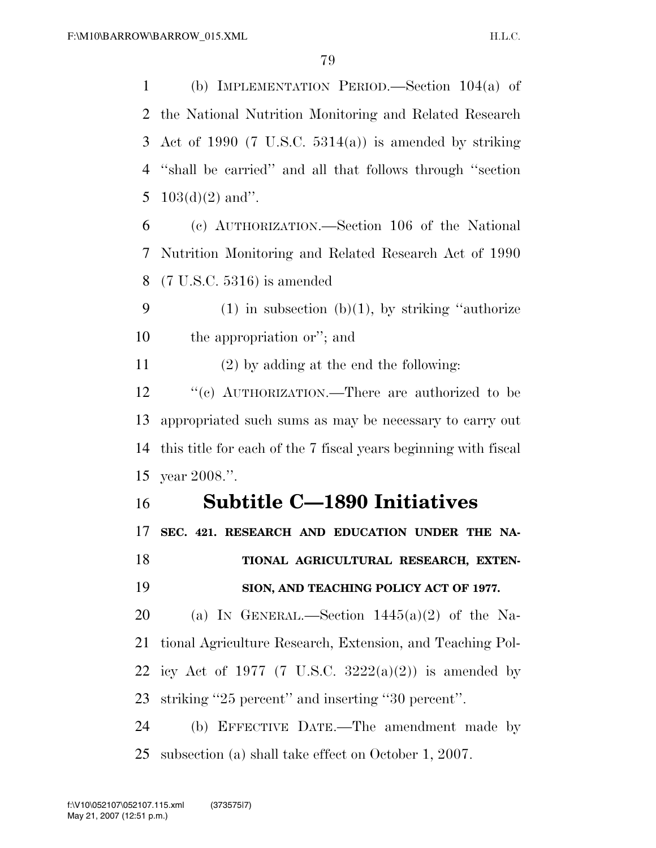(b) IMPLEMENTATION PERIOD.—Section 104(a) of the National Nutrition Monitoring and Related Research 3 Act of 1990 (7 U.S.C.  $5314(a)$ ) is amended by striking ''shall be carried'' and all that follows through ''section  $103(d)(2)$  and".

 (c) AUTHORIZATION.—Section 106 of the National Nutrition Monitoring and Related Research Act of 1990 (7 U.S.C. 5316) is amended

9 (1) in subsection (b)(1), by striking "authorize the appropriation or''; and

(2) by adding at the end the following:

12 "(c) AUTHORIZATION.—There are authorized to be appropriated such sums as may be necessary to carry out this title for each of the 7 fiscal years beginning with fiscal year 2008.''.

### **Subtitle C—1890 Initiatives**

**SEC. 421. RESEARCH AND EDUCATION UNDER THE NA-**

 **TIONAL AGRICULTURAL RESEARCH, EXTEN-SION, AND TEACHING POLICY ACT OF 1977.** 

20 (a) IN GENERAL.—Section  $1445(a)(2)$  of the Na- tional Agriculture Research, Extension, and Teaching Pol-22 icy Act of 1977 (7 U.S.C.  $3222(a)(2)$ ) is amended by striking ''25 percent'' and inserting ''30 percent''.

 (b) EFFECTIVE DATE.—The amendment made by subsection (a) shall take effect on October 1, 2007.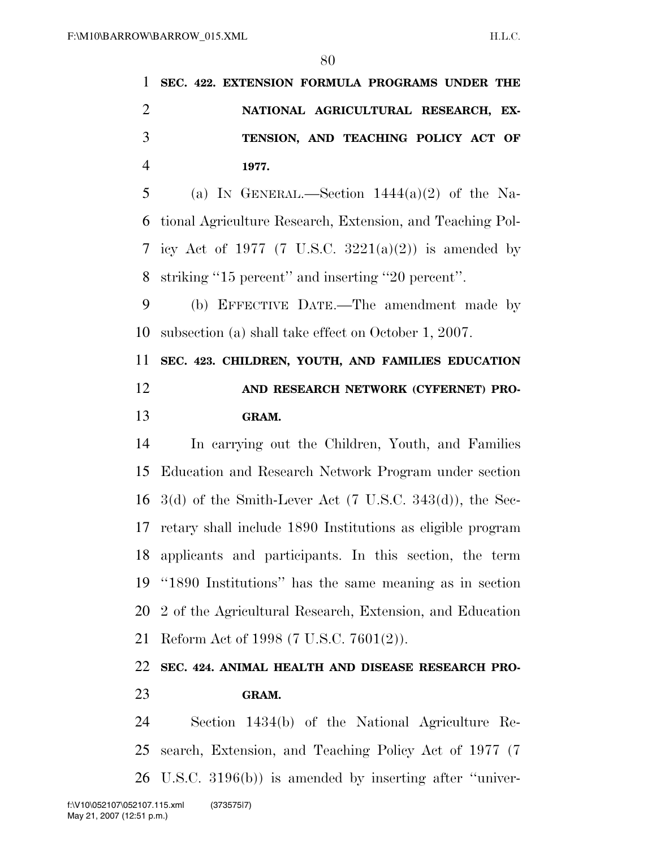**SEC. 422. EXTENSION FORMULA PROGRAMS UNDER THE NATIONAL AGRICULTURAL RESEARCH, EX- TENSION, AND TEACHING POLICY ACT OF 1977.** 

5 (a) IN GENERAL.—Section  $1444(a)(2)$  of the Na- tional Agriculture Research, Extension, and Teaching Pol-7 icy Act of 1977 (7 U.S.C.  $3221(a)(2)$ ) is amended by striking ''15 percent'' and inserting ''20 percent''.

 (b) EFFECTIVE DATE.—The amendment made by subsection (a) shall take effect on October 1, 2007.

 **SEC. 423. CHILDREN, YOUTH, AND FAMILIES EDUCATION AND RESEARCH NETWORK (CYFERNET) PRO-GRAM.** 

 In carrying out the Children, Youth, and Families Education and Research Network Program under section 3(d) of the Smith-Lever Act (7 U.S.C. 343(d)), the Sec- retary shall include 1890 Institutions as eligible program applicants and participants. In this section, the term ''1890 Institutions'' has the same meaning as in section 2 of the Agricultural Research, Extension, and Education Reform Act of 1998 (7 U.S.C. 7601(2)).

### **SEC. 424. ANIMAL HEALTH AND DISEASE RESEARCH PRO-GRAM.**

 Section 1434(b) of the National Agriculture Re- search, Extension, and Teaching Policy Act of 1977 (7 U.S.C. 3196(b)) is amended by inserting after ''univer-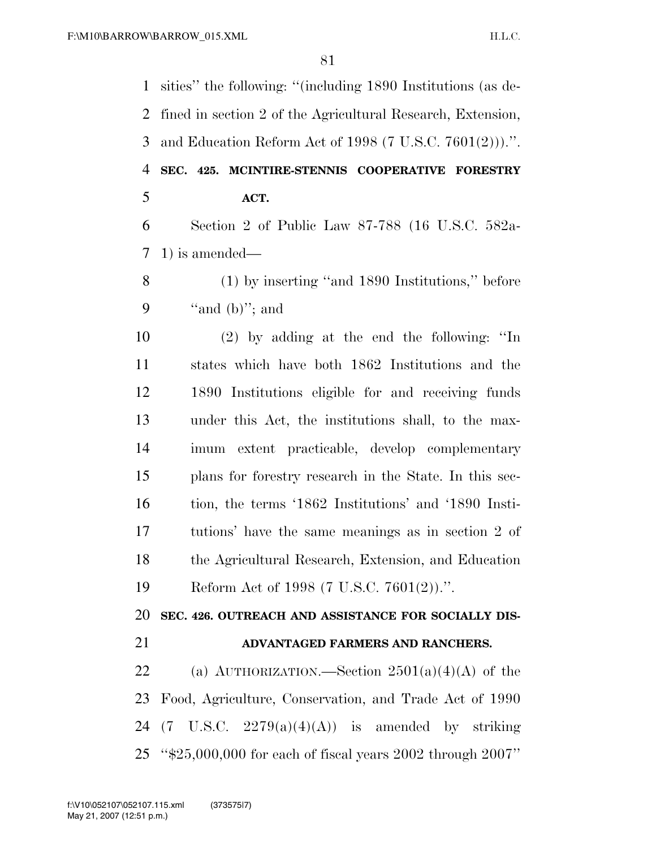sities'' the following: ''(including 1890 Institutions (as de- fined in section 2 of the Agricultural Research, Extension, and Education Reform Act of 1998 (7 U.S.C. 7601(2))).''. **SEC. 425. MCINTIRE-STENNIS COOPERATIVE FORESTRY ACT.**  Section 2 of Public Law 87-788 (16 U.S.C. 582a- 1) is amended— (1) by inserting ''and 1890 Institutions,'' before  $"and (b)"; and$  (2) by adding at the end the following: ''In states which have both 1862 Institutions and the 1890 Institutions eligible for and receiving funds under this Act, the institutions shall, to the max- imum extent practicable, develop complementary plans for forestry research in the State. In this sec- tion, the terms '1862 Institutions' and '1890 Insti- tutions' have the same meanings as in section 2 of the Agricultural Research, Extension, and Education Reform Act of 1998 (7 U.S.C. 7601(2)).''. **SEC. 426. OUTREACH AND ASSISTANCE FOR SOCIALLY DIS- ADVANTAGED FARMERS AND RANCHERS.**  22 (a) AUTHORIZATION.—Section  $2501(a)(4)(A)$  of the Food, Agriculture, Conservation, and Trade Act of 1990 24 (7 U.S.C.  $2279(a)(4)(A)$ ) is amended by striking ''\$25,000,000 for each of fiscal years 2002 through 2007''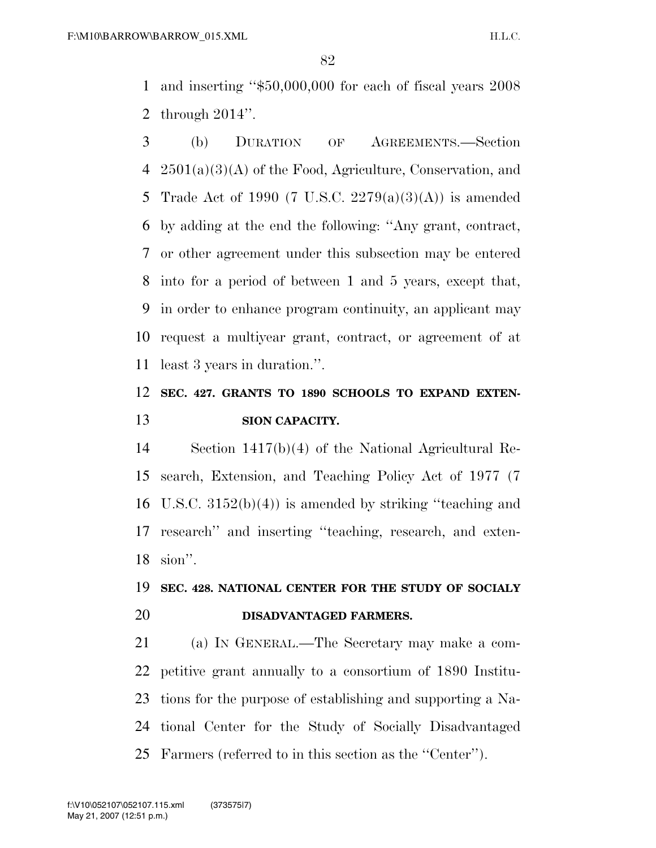and inserting ''\$50,000,000 for each of fiscal years 2008 through 2014''.

 (b) DURATION OF AGREEMENTS.—Section 2501(a)(3)(A) of the Food, Agriculture, Conservation, and Trade Act of 1990 (7 U.S.C. 2279(a)(3)(A)) is amended by adding at the end the following: ''Any grant, contract, or other agreement under this subsection may be entered into for a period of between 1 and 5 years, except that, in order to enhance program continuity, an applicant may request a multiyear grant, contract, or agreement of at least 3 years in duration.''.

### **SEC. 427. GRANTS TO 1890 SCHOOLS TO EXPAND EXTEN-SION CAPACITY.**

 Section 1417(b)(4) of the National Agricultural Re- search, Extension, and Teaching Policy Act of 1977 (7 U.S.C. 3152(b)(4)) is amended by striking ''teaching and research'' and inserting ''teaching, research, and exten-sion''.

### **SEC. 428. NATIONAL CENTER FOR THE STUDY OF SOCIALY DISADVANTAGED FARMERS.**

 (a) IN GENERAL.—The Secretary may make a com- petitive grant annually to a consortium of 1890 Institu- tions for the purpose of establishing and supporting a Na- tional Center for the Study of Socially Disadvantaged Farmers (referred to in this section as the ''Center'').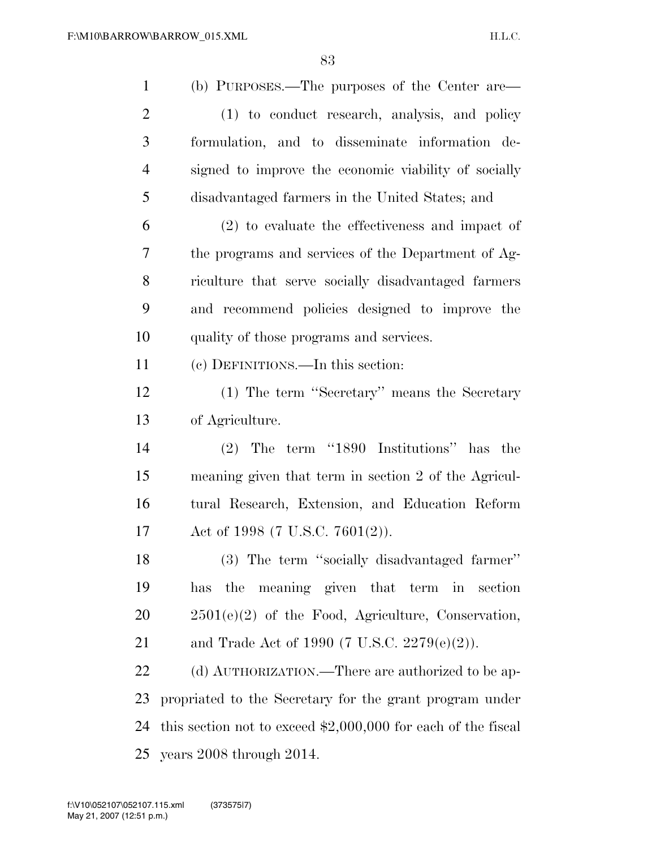| $\mathbf{1}$   | (b) PURPOSES.—The purposes of the Center are—                  |
|----------------|----------------------------------------------------------------|
| $\overline{2}$ | (1) to conduct research, analysis, and policy                  |
| 3              | formulation, and to disseminate information de-                |
| $\overline{4}$ | signed to improve the economic viability of socially           |
| 5              | disadvantaged farmers in the United States; and                |
| 6              | $(2)$ to evaluate the effectiveness and impact of              |
| 7              | the programs and services of the Department of Ag-             |
| 8              | riculture that serve socially disadvantaged farmers            |
| 9              | and recommend policies designed to improve the                 |
| 10             | quality of those programs and services.                        |
| 11             | (c) DEFINITIONS.—In this section:                              |
| 12             | (1) The term "Secretary" means the Secretary                   |
| 13             | of Agriculture.                                                |
| 14             | $(2)$ The term "1890 Institutions" has the                     |
| 15             | meaning given that term in section 2 of the Agricul-           |
| 16             | tural Research, Extension, and Education Reform                |
| 17             | Act of 1998 (7 U.S.C. 7601(2)).                                |
| 18             | (3) The term "socially disadvantaged farmer"                   |
| 19             | meaning given that term in<br>the<br>has<br>section            |
| 20             | $2501(e)(2)$ of the Food, Agriculture, Conservation,           |
| 21             | and Trade Act of 1990 (7 U.S.C. 2279(e)(2)).                   |
| 22             | (d) AUTHORIZATION.—There are authorized to be ap-              |
| 23             | propriated to the Secretary for the grant program under        |
| 24             | this section not to exceed $$2,000,000$ for each of the fiscal |
| 25             | years 2008 through 2014.                                       |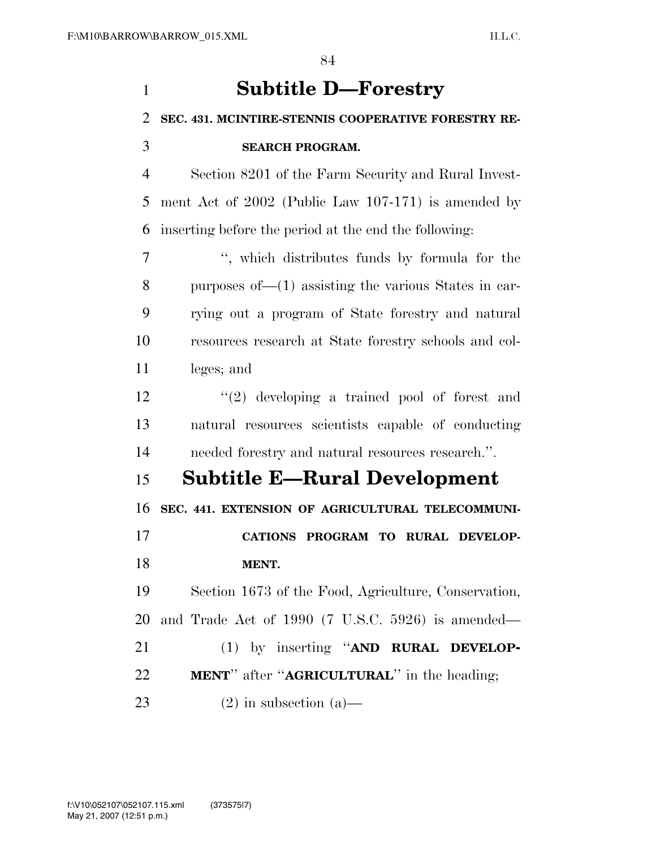| 1              | <b>Subtitle D-Forestry</b>                                  |
|----------------|-------------------------------------------------------------|
| 2              | SEC. 431. MCINTIRE-STENNIS COOPERATIVE FORESTRY RE-         |
| 3              | <b>SEARCH PROGRAM.</b>                                      |
| $\overline{4}$ | Section 8201 of the Farm Security and Rural Invest-         |
| 5              | ment Act of 2002 (Public Law 107-171) is amended by         |
| 6              | inserting before the period at the end the following:       |
| 7              | ", which distributes funds by formula for the               |
| 8              | purposes of $-(1)$ assisting the various States in car-     |
| 9              | rying out a program of State forestry and natural           |
| 10             | resources research at State forestry schools and col-       |
| 11             | leges; and                                                  |
| 12             | $(2)$ developing a trained pool of forest and               |
| 13             | natural resources scientists capable of conducting          |
| 14             | needed forestry and natural resources research.".           |
| 15             | <b>Subtitle E—Rural Development</b>                         |
| 16             | SEC. 441. EXTENSION OF AGRICULTURAL TELECOMMUNI-            |
| 17             | CATIONS PROGRAM TO RURAL DEVELOP-                           |
| 18             | MENT.                                                       |
| 19             | Section 1673 of the Food, Agriculture, Conservation,        |
| 20             | and Trade Act of 1990 (7 U.S.C. 5926) is amended—           |
| 21             | (1) by inserting "AND RURAL DEVELOP-                        |
| 22             | <b>MENT</b> " after " <b>AGRICULTURAL</b> " in the heading; |
| 23             | $(2)$ in subsection $(a)$ —                                 |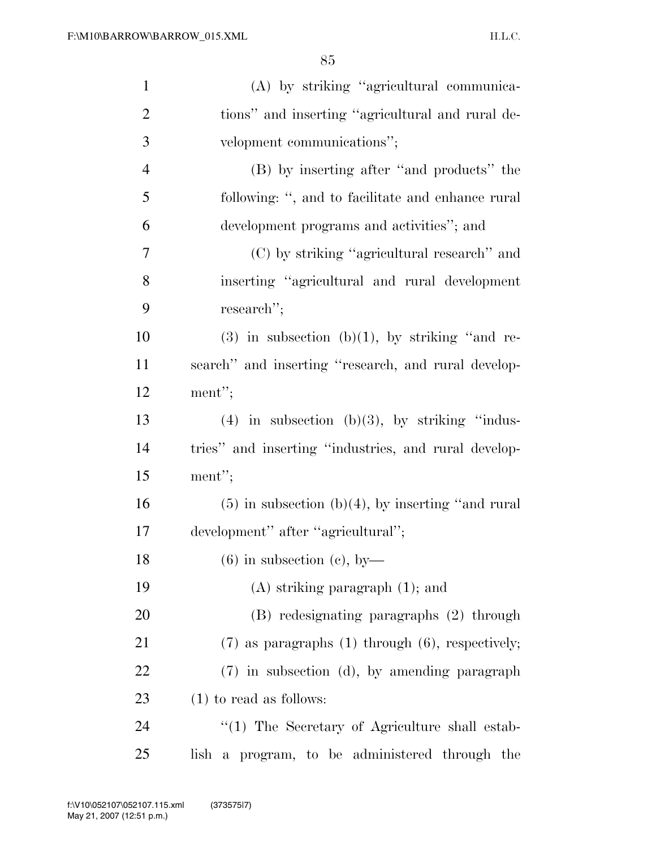| $\mathbf{1}$   | (A) by striking "agricultural communica-                |
|----------------|---------------------------------------------------------|
| $\overline{2}$ | tions" and inserting "agricultural and rural de-        |
| $\mathfrak{Z}$ | velopment communications";                              |
| $\overline{4}$ | (B) by inserting after "and products" the               |
| 5              | following: ", and to facilitate and enhance rural       |
| 6              | development programs and activities"; and               |
| $\tau$         | (C) by striking "agricultural research" and             |
| 8              | inserting "agricultural and rural development           |
| 9              | research";                                              |
| 10             | $(3)$ in subsection $(b)(1)$ , by striking "and re-     |
| 11             | search" and inserting "research, and rural develop-     |
| 12             | ment";                                                  |
| 13             | $(4)$ in subsection $(b)(3)$ , by striking "indus-      |
| 14             | tries" and inserting "industries, and rural develop-    |
| 15             | ment";                                                  |
| 16             | $(5)$ in subsection $(b)(4)$ , by inserting "and rural  |
| 17             | development" after "agricultural";                      |
| 18             | $(6)$ in subsection (c), by-                            |
| 19             | $(A)$ striking paragraph $(1)$ ; and                    |
| 20             | (B) redesignating paragraphs (2) through                |
| 21             | $(7)$ as paragraphs $(1)$ through $(6)$ , respectively; |
| 22             | (7) in subsection (d), by amending paragraph            |
| 23             | $(1)$ to read as follows:                               |
| 24             | $\lq(1)$ The Secretary of Agriculture shall estab-      |
| 25             | lish a program, to be administered through the          |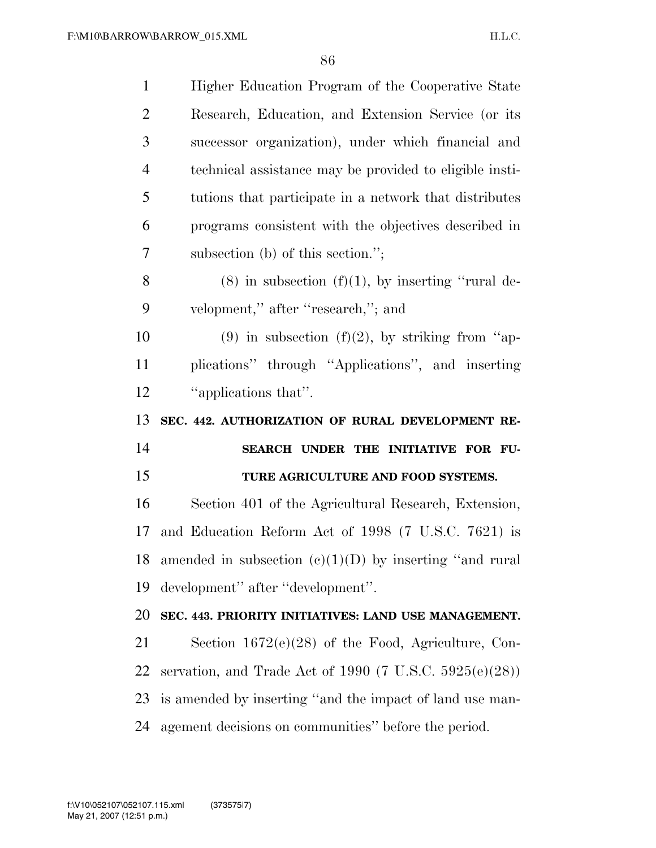| $\mathbf{1}$         | Higher Education Program of the Cooperative State             |
|----------------------|---------------------------------------------------------------|
| $\overline{2}$       | Research, Education, and Extension Service (or its            |
| 3                    | successor organization), under which financial and            |
| $\overline{4}$       | technical assistance may be provided to eligible insti-       |
| 5                    | tutions that participate in a network that distributes        |
| 6                    | programs consistent with the objectives described in          |
| 7                    | subsection (b) of this section.";                             |
| 8                    | $(8)$ in subsection $(f)(1)$ , by inserting "rural de-        |
| 9                    | velopment," after "research,"; and                            |
| 10                   | (9) in subsection (f)(2), by striking from "ap-               |
| 11                   | plications" through "Applications", and inserting             |
| 12                   | "applications that".                                          |
|                      |                                                               |
|                      | SEC. 442. AUTHORIZATION OF RURAL DEVELOPMENT RE-              |
|                      | SEARCH UNDER THE INITIATIVE FOR FU-                           |
|                      | TURE AGRICULTURE AND FOOD SYSTEMS.                            |
| 13<br>14<br>15<br>16 | Section 401 of the Agricultural Research, Extension,          |
|                      | and Education Reform Act of 1998 (7 U.S.C. 7621) is           |
| 17                   | 18 amended in subsection $(e)(1)(D)$ by inserting "and rural" |
| 19                   | development" after "development".                             |
| 20                   | SEC. 443. PRIORITY INITIATIVES: LAND USE MANAGEMENT.          |
| 21                   | Section $1672(e)(28)$ of the Food, Agriculture, Con-          |
| 22                   | servation, and Trade Act of 1990 (7 U.S.C. $5925(e)(28)$ )    |
| 23                   | is amended by inserting "and the impact of land use man-      |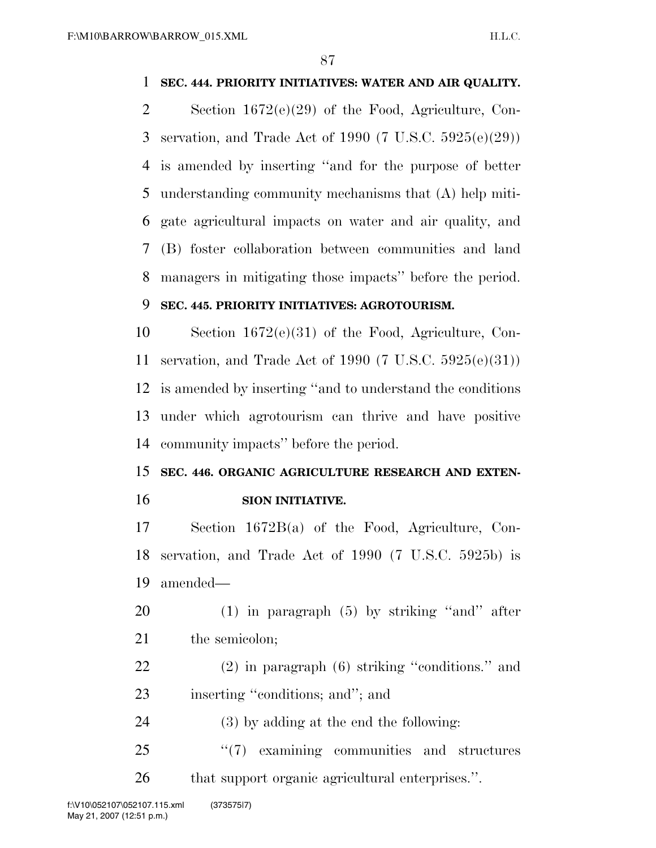### **SEC. 444. PRIORITY INITIATIVES: WATER AND AIR QUALITY.**

 Section 1672(e)(29) of the Food, Agriculture, Con- servation, and Trade Act of 1990 (7 U.S.C. 5925(e)(29)) is amended by inserting ''and for the purpose of better understanding community mechanisms that (A) help miti- gate agricultural impacts on water and air quality, and (B) foster collaboration between communities and land managers in mitigating those impacts'' before the period.

### **SEC. 445. PRIORITY INITIATIVES: AGROTOURISM.**

 Section 1672(e)(31) of the Food, Agriculture, Con- servation, and Trade Act of 1990 (7 U.S.C. 5925(e)(31)) is amended by inserting ''and to understand the conditions under which agrotourism can thrive and have positive community impacts'' before the period.

### **SEC. 446. ORGANIC AGRICULTURE RESEARCH AND EXTEN-SION INITIATIVE.**

 Section 1672B(a) of the Food, Agriculture, Con- servation, and Trade Act of 1990 (7 U.S.C. 5925b) is amended—

- (1) in paragraph (5) by striking ''and'' after 21 the semicolon:
- (2) in paragraph (6) striking ''conditions.'' and 23 inserting "conditions; and"; and
- (3) by adding at the end the following:
- 25 "(7) examining communities and structures that support organic agricultural enterprises.''.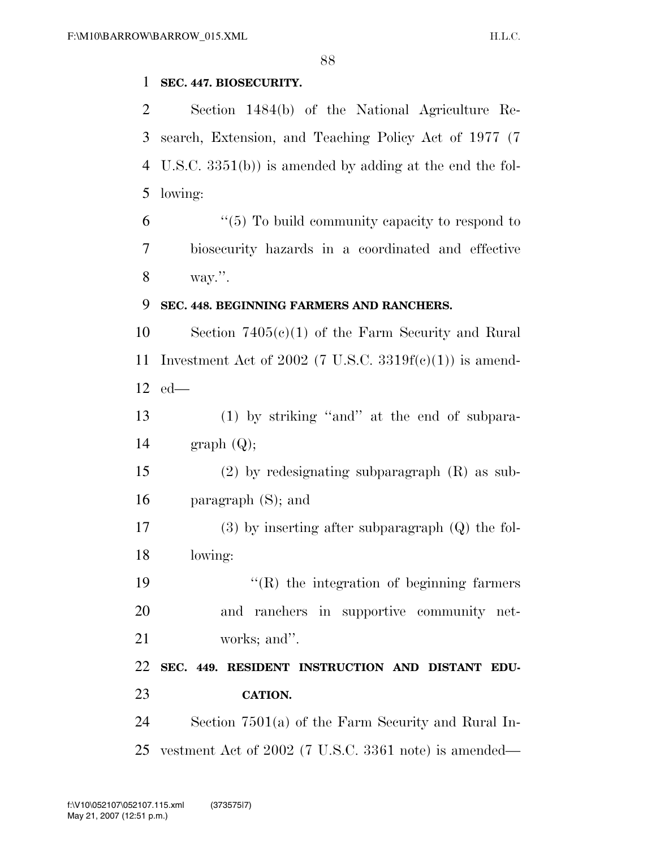### **SEC. 447. BIOSECURITY.**

 Section 1484(b) of the National Agriculture Re- search, Extension, and Teaching Policy Act of 1977 (7 U.S.C. 3351(b)) is amended by adding at the end the fol-lowing:

 "(5) To build community capacity to respond to biosecurity hazards in a coordinated and effective way.''.

#### **SEC. 448. BEGINNING FARMERS AND RANCHERS.**

 Section 7405(c)(1) of the Farm Security and Rural 11 Investment Act of 2002 (7 U.S.C.  $3319f(c)(1)$ ) is amend-ed—

 (1) by striking ''and'' at the end of subpara-14 graph  $(Q)$ ;

 (2) by redesignating subparagraph (R) as sub-paragraph (S); and

 (3) by inserting after subparagraph (Q) the fol-lowing:

19  $\langle \text{R} \rangle$  the integration of beginning farmers and ranchers in supportive community net-works; and''.

 **SEC. 449. RESIDENT INSTRUCTION AND DISTANT EDU-CATION.** 

 Section 7501(a) of the Farm Security and Rural In-vestment Act of 2002 (7 U.S.C. 3361 note) is amended—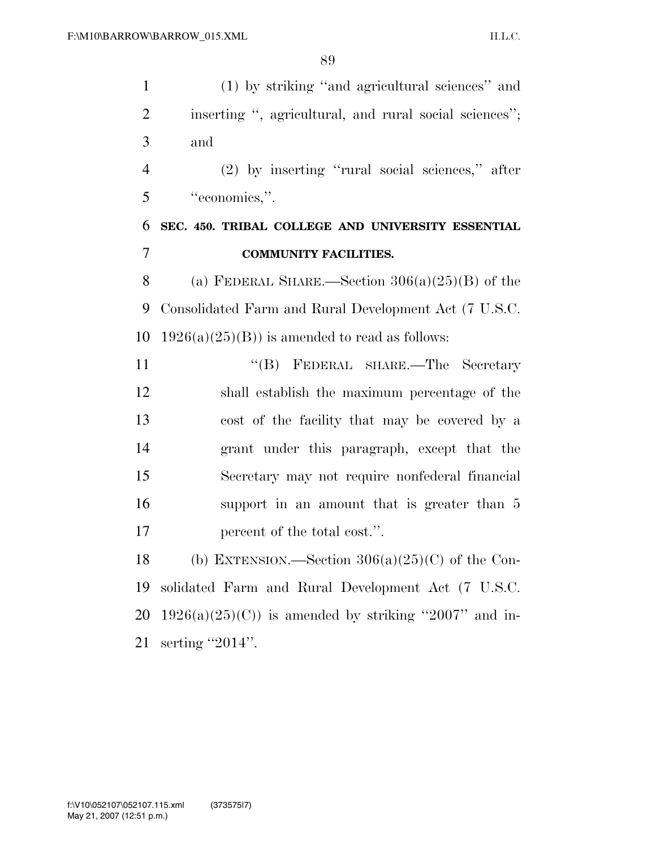| $\mathbf{1}$ | (1) by striking "and agricultural sciences" and        |
|--------------|--------------------------------------------------------|
| 2            | inserting ", agricultural, and rural social sciences"; |
| 3            | and                                                    |
| 4            | (2) by inserting "rural social sciences," after        |
| 5            | "economics,".                                          |
| 6            | SEC. 450. TRIBAL COLLEGE AND UNIVERSITY ESSENTIAL      |
| 7            | <b>COMMUNITY FACILITIES.</b>                           |
| 8            | (a) FEDERAL SHARE.—Section $306(a)(25)(B)$ of the      |
| 9            | Consolidated Farm and Rural Development Act (7 U.S.C.  |
| 10           | $1926(a)(25)(B)$ is amended to read as follows:        |
| 11           | "(B) FEDERAL SHARE.—The Secretary                      |
| 12           | shall establish the maximum percentage of the          |
| 13           | cost of the facility that may be covered by a          |
| 14           | grant under this paragraph, except that the            |
| 15           | Secretary may not require nonfederal financial         |
| 16           | support in an amount that is greater than 5            |
| 17           | percent of the total cost.".                           |
| 18           | (b) EXTENSION.—Section $306(a)(25)(C)$ of the Con-     |
| 19           | solidated Farm and Rural Development Act (7 U.S.C.     |
| 20           | $1926(a)(25)(C)$ is amended by striking "2007" and in- |
| 21           | serting "2014".                                        |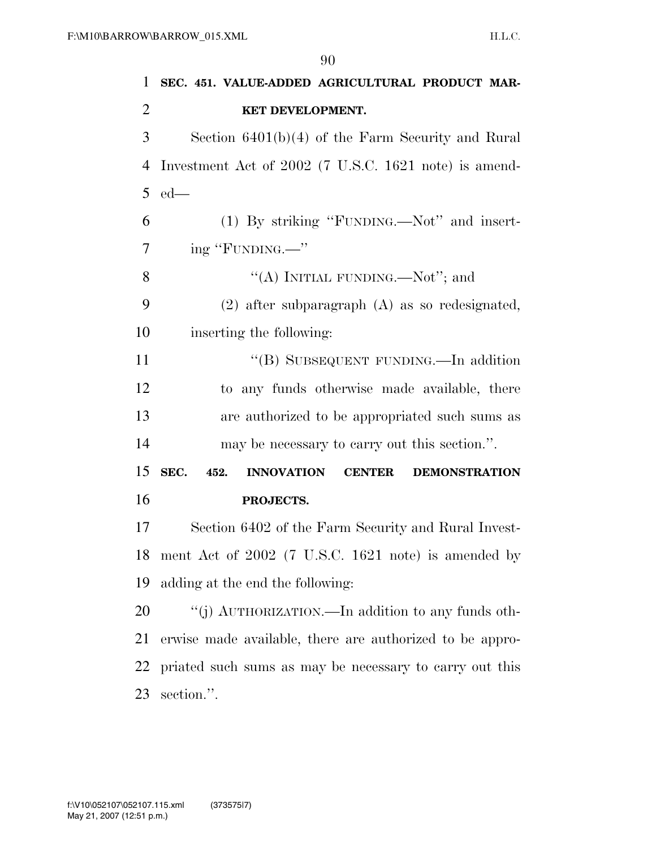| 1              | SEC. 451. VALUE-ADDED AGRICULTURAL PRODUCT MAR-                            |
|----------------|----------------------------------------------------------------------------|
| $\overline{2}$ | KET DEVELOPMENT.                                                           |
| 3              | Section $6401(b)(4)$ of the Farm Security and Rural                        |
| $\overline{4}$ | Investment Act of 2002 (7 U.S.C. 1621 note) is amend-                      |
| 5              | $ed$ —                                                                     |
| 6              | (1) By striking "FUNDING.—Not" and insert-                                 |
| 7              | ing "FUNDING.—"                                                            |
| 8              | "(A) INITIAL FUNDING.—Not"; and                                            |
| 9              | $(2)$ after subparagraph $(A)$ as so redesignated,                         |
| 10             | inserting the following:                                                   |
| 11             | "(B) SUBSEQUENT FUNDING.—In addition                                       |
| 12             | to any funds otherwise made available, there                               |
| 13             | are authorized to be appropriated such sums as                             |
| 14             | may be necessary to carry out this section.".                              |
| 15             | SEC.<br>452.<br><b>INNOVATION</b><br><b>DEMONSTRATION</b><br><b>CENTER</b> |
| 16             | PROJECTS.                                                                  |
| 17             | Section 6402 of the Farm Security and Rural Invest-                        |
| 18             | ment Act of 2002 (7 U.S.C. 1621 note) is amended by                        |
| 19             | adding at the end the following:                                           |
| 20             | "(j) AUTHORIZATION.—In addition to any funds oth-                          |
| 21             | erwise made available, there are authorized to be appro-                   |
| 22             | priated such sums as may be necessary to carry out this                    |
| 23             | section.".                                                                 |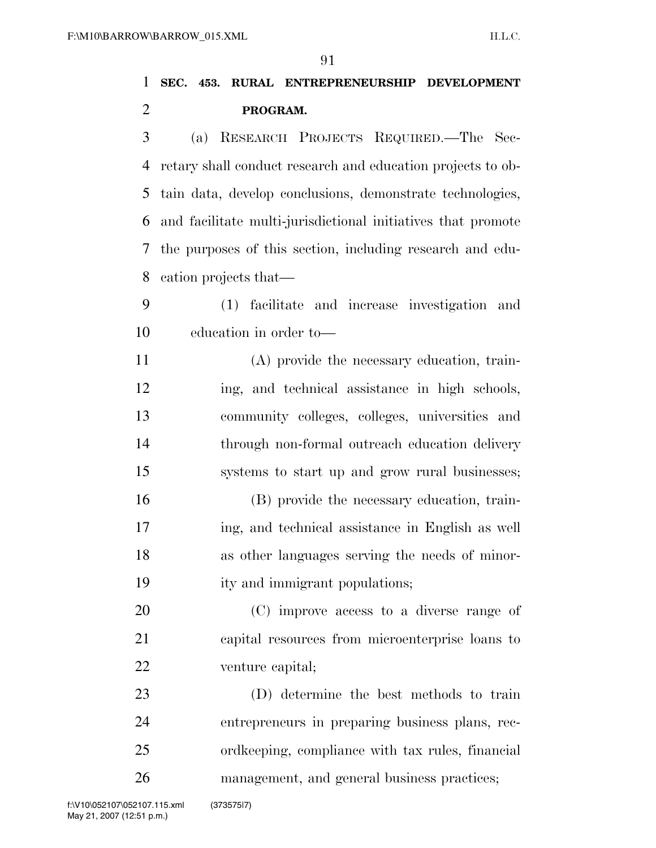## **SEC. 453. RURAL ENTREPRENEURSHIP DEVELOPMENT PROGRAM.**

 (a) RESEARCH PROJECTS REQUIRED.—The Sec- retary shall conduct research and education projects to ob- tain data, develop conclusions, demonstrate technologies, and facilitate multi-jurisdictional initiatives that promote the purposes of this section, including research and edu-cation projects that—

- (1) facilitate and increase investigation and education in order to—
- (A) provide the necessary education, train- ing, and technical assistance in high schools, community colleges, colleges, universities and through non-formal outreach education delivery systems to start up and grow rural businesses;
- (B) provide the necessary education, train- ing, and technical assistance in English as well as other languages serving the needs of minor-ity and immigrant populations;
- (C) improve access to a diverse range of capital resources from microenterprise loans to venture capital;
- (D) determine the best methods to train entrepreneurs in preparing business plans, rec- ordkeeping, compliance with tax rules, financial management, and general business practices;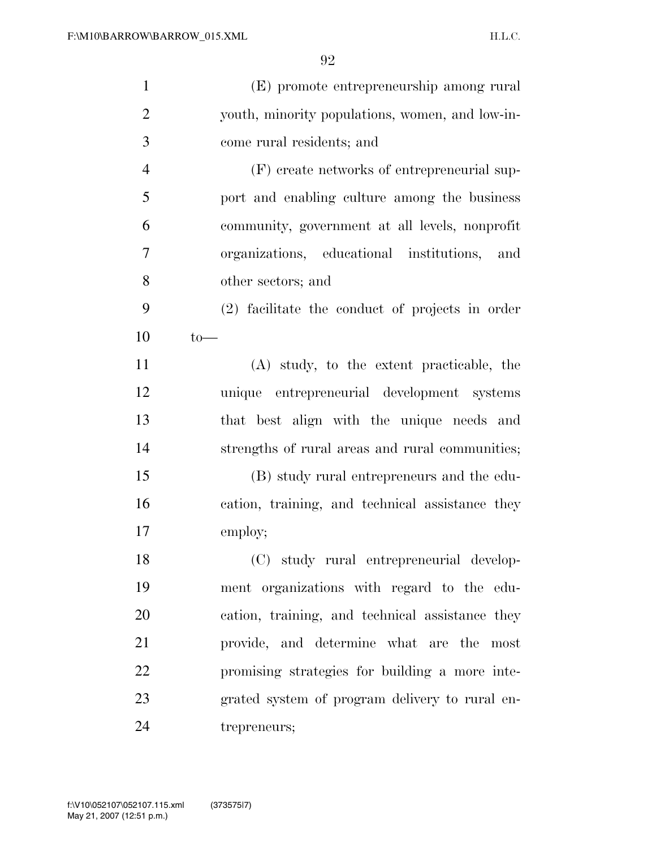| $\mathbf{1}$   | (E) promote entrepreneurship among rural        |
|----------------|-------------------------------------------------|
| $\overline{2}$ | youth, minority populations, women, and low-in- |
| 3              | come rural residents; and                       |
| $\overline{4}$ | (F) create networks of entrepreneurial sup-     |
| 5              | port and enabling culture among the business    |
| 6              | community, government at all levels, nonprofit  |
| $\overline{7}$ | organizations, educational institutions, and    |
| 8              | other sectors; and                              |
| 9              | (2) facilitate the conduct of projects in order |
| 10             | $to-$                                           |
| 11             | (A) study, to the extent practicable, the       |
| 12             | unique entrepreneurial development systems      |
| 13             | that best align with the unique needs and       |
| 14             | strengths of rural areas and rural communities; |
| 15             | (B) study rural entrepreneurs and the edu-      |
| 16             | cation, training, and technical assistance they |
| 17             | employ;                                         |
| 18             | (C) study rural entrepreneurial develop-        |
| 19             | ment organizations with regard to the edu-      |
| 20             | cation, training, and technical assistance they |
| 21             | provide, and determine what are the most        |
| 22             | promising strategies for building a more inte-  |
| 23             | grated system of program delivery to rural en-  |
| 24             | trepreneurs;                                    |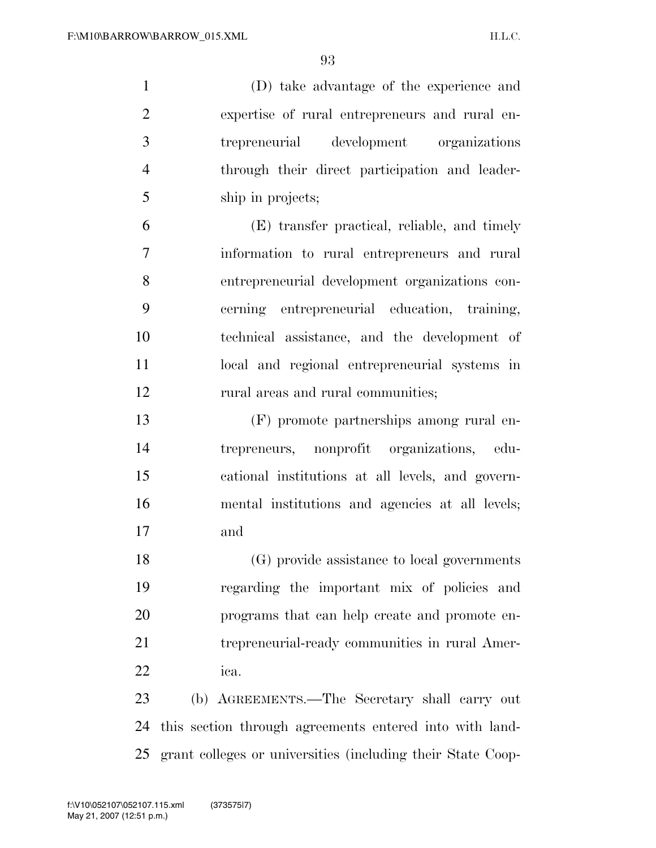(D) take advantage of the experience and expertise of rural entrepreneurs and rural en- trepreneurial development organizations through their direct participation and leader-ship in projects;

 (E) transfer practical, reliable, and timely information to rural entrepreneurs and rural entrepreneurial development organizations con- cerning entrepreneurial education, training, technical assistance, and the development of local and regional entrepreneurial systems in 12 rural areas and rural communities;

 (F) promote partnerships among rural en- trepreneurs, nonprofit organizations, edu- cational institutions at all levels, and govern- mental institutions and agencies at all levels; and

 (G) provide assistance to local governments regarding the important mix of policies and programs that can help create and promote en- trepreneurial-ready communities in rural Amer-ica.

 (b) AGREEMENTS.—The Secretary shall carry out this section through agreements entered into with land-grant colleges or universities (including their State Coop-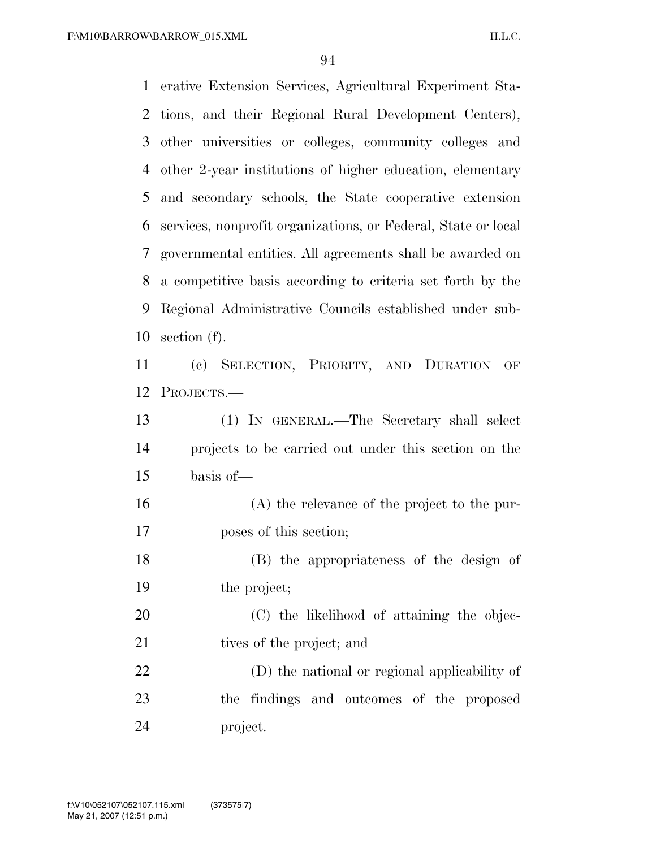| $\mathbf{1}$ | erative Extension Services, Agricultural Experiment Sta-      |
|--------------|---------------------------------------------------------------|
| 2            | tions, and their Regional Rural Development Centers),         |
| 3            | other universities or colleges, community colleges and        |
| 4            | other 2-year institutions of higher education, elementary     |
| 5            | and secondary schools, the State cooperative extension        |
| 6            | services, nonprofit organizations, or Federal, State or local |
| 7            | governmental entities. All agreements shall be awarded on     |
| 8            | a competitive basis according to criteria set forth by the    |
| 9            | Regional Administrative Councils established under sub-       |
| 10           | section $(f)$ .                                               |
| 11           | (c) SELECTION, PRIORITY, AND DURATION<br>OF                   |
| 12           | PROJECTS.-                                                    |
| 13           | (1) IN GENERAL.—The Secretary shall select                    |
| 14           | projects to be carried out under this section on the          |
| 15           | basis of-                                                     |
| 16           | $(A)$ the relevance of the project to the pur-                |
| 17           | poses of this section;                                        |
| 18           | (B) the appropriateness of the design of                      |
| 19           | the project;                                                  |
| 20           | (C) the likelihood of attaining the objec-                    |
| 21           | tives of the project; and                                     |
| 22           | (D) the national or regional applicability of                 |
| 23           | the findings and outcomes of the proposed                     |
| 24           | project.                                                      |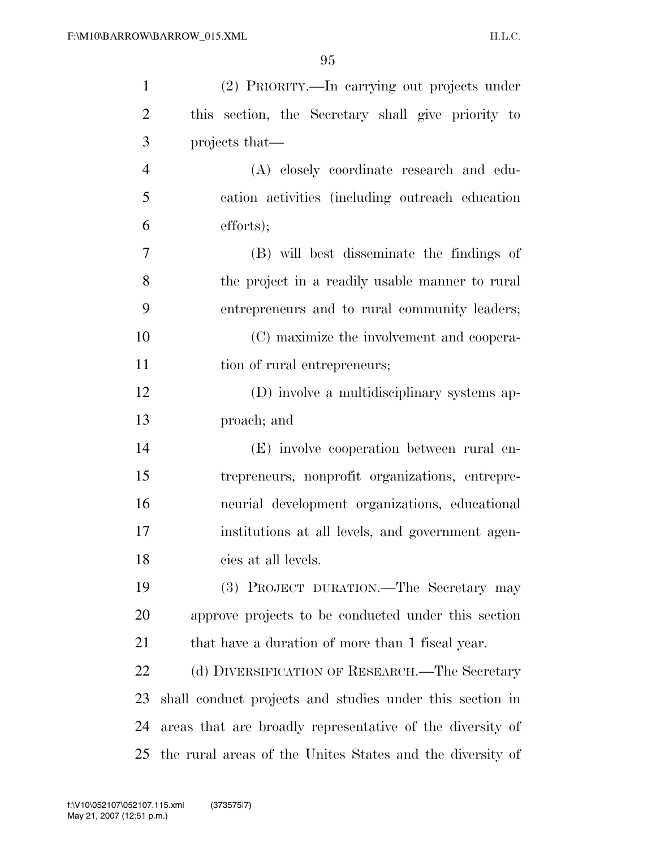| $\mathbf{1}$   | (2) PRIORITY.—In carrying out projects under              |
|----------------|-----------------------------------------------------------|
| $\overline{2}$ | this section, the Secretary shall give priority to        |
| 3              | projects that—                                            |
| $\overline{4}$ | (A) closely coordinate research and edu-                  |
| 5              | cation activities (including outreach education           |
| 6              | efforts);                                                 |
| 7              | (B) will best disseminate the findings of                 |
| 8              | the project in a readily usable manner to rural           |
| 9              | entrepreneurs and to rural community leaders;             |
| 10             | (C) maximize the involvement and coopera-                 |
| 11             | tion of rural entrepreneurs;                              |
| 12             | (D) involve a multidisciplinary systems ap-               |
| 13             | proach; and                                               |
| 14             | (E) involve cooperation between rural en-                 |
| 15             | trepreneurs, nonprofit organizations, entrepre-           |
| 16             | neurial development organizations, educational            |
| 17             | institutions at all levels, and government agen-          |
| 18             | cies at all levels.                                       |
| 19             | (3) PROJECT DURATION.—The Secretary may                   |
| 20             | approve projects to be conducted under this section       |
| 21             | that have a duration of more than 1 fiscal year.          |
| 22             | (d) DIVERSIFICATION OF RESEARCH.—The Secretary            |
| 23             | shall conduct projects and studies under this section in  |
| 24             | areas that are broadly representative of the diversity of |
| 25             | the rural areas of the Unites States and the diversity of |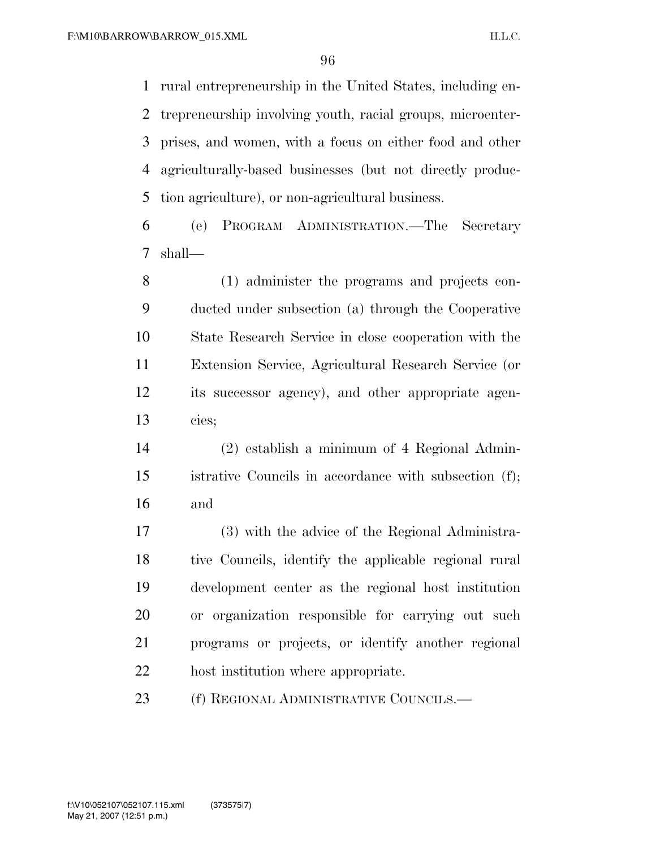rural entrepreneurship in the United States, including en- trepreneurship involving youth, racial groups, microenter- prises, and women, with a focus on either food and other agriculturally-based businesses (but not directly produc-tion agriculture), or non-agricultural business.

 (e) PROGRAM ADMINISTRATION.—The Secretary shall—

 (1) administer the programs and projects con- ducted under subsection (a) through the Cooperative State Research Service in close cooperation with the Extension Service, Agricultural Research Service (or its successor agency), and other appropriate agen-cies;

 (2) establish a minimum of 4 Regional Admin- istrative Councils in accordance with subsection (f); and

 (3) with the advice of the Regional Administra- tive Councils, identify the applicable regional rural development center as the regional host institution or organization responsible for carrying out such programs or projects, or identify another regional host institution where appropriate.

23 (f) REGIONAL ADMINISTRATIVE COUNCILS.—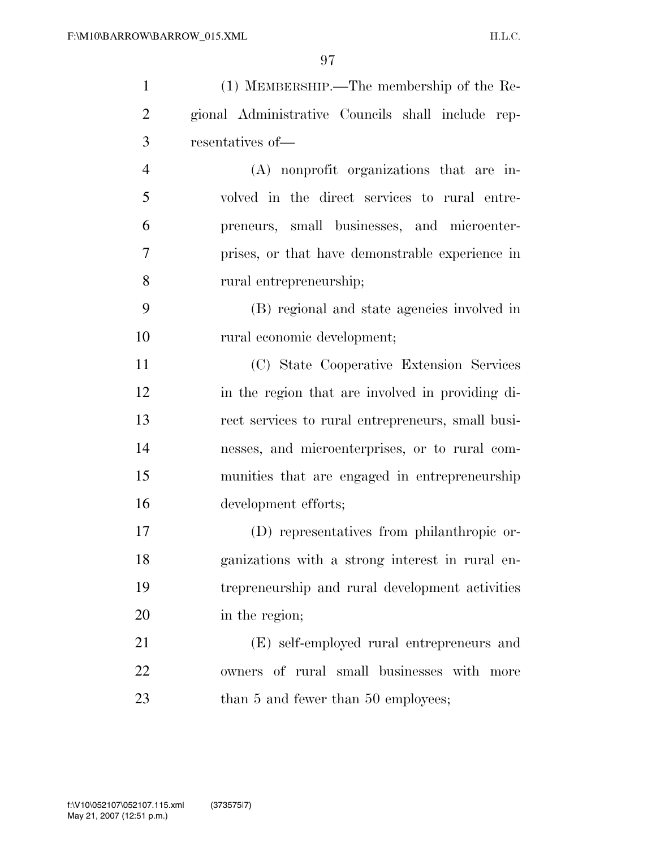| $\mathbf{1}$   | $(1)$ MEMBERSHIP.—The membership of the Re-       |
|----------------|---------------------------------------------------|
| $\overline{2}$ | gional Administrative Councils shall include rep- |
| 3              | resentatives of-                                  |
| $\overline{4}$ | (A) nonprofit organizations that are in-          |
| 5              | volved in the direct services to rural entre-     |
| 6              | preneurs, small businesses, and microenter-       |
| $\overline{7}$ | prises, or that have demonstrable experience in   |
| 8              | rural entrepreneurship;                           |
| 9              | (B) regional and state agencies involved in       |
| 10             | rural economic development;                       |
| 11             | (C) State Cooperative Extension Services          |
| 12             | in the region that are involved in providing di-  |
| 13             | rect services to rural entrepreneurs, small busi- |
| 14             | nesses, and microenterprises, or to rural com-    |
| 15             | munities that are engaged in entrepreneurship     |
| 16             | development efforts;                              |
| 17             | (D) representatives from philanthropic or-        |
| 18             | ganizations with a strong interest in rural en-   |
| 19             | trepreneurship and rural development activities   |
| 20             | in the region;                                    |
| 21             | (E) self-employed rural entrepreneurs and         |
| 22             | owners of rural small businesses with more        |
| 23             | than 5 and fewer than 50 employees;               |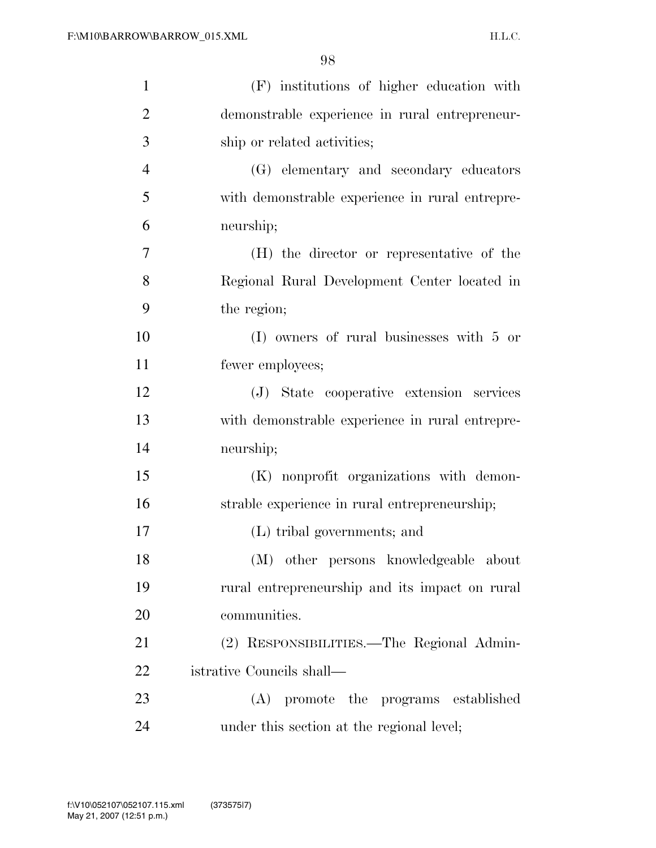| $\mathbf{1}$   | (F) institutions of higher education with       |
|----------------|-------------------------------------------------|
| $\overline{2}$ | demonstrable experience in rural entrepreneur-  |
| 3              | ship or related activities;                     |
| $\overline{4}$ | (G) elementary and secondary educators          |
| 5              | with demonstrable experience in rural entrepre- |
| 6              | neurship;                                       |
| 7              | (H) the director or representative of the       |
| 8              | Regional Rural Development Center located in    |
| 9              | the region;                                     |
| 10             | $(I)$ owners of rural businesses with 5 or      |
| 11             | fewer employees;                                |
| 12             | (J) State cooperative extension services        |
| 13             | with demonstrable experience in rural entrepre- |
| 14             | neurship;                                       |
| 15             | (K) nonprofit organizations with demon-         |
| 16             | strable experience in rural entrepreneurship;   |
| 17             | (L) tribal governments; and                     |
| 18             | (M) other persons knowledgeable about           |
| 19             | rural entrepreneurship and its impact on rural  |
| 20             | communities.                                    |
| 21             | (2) RESPONSIBILITIES.—The Regional Admin-       |
| 22             | istrative Councils shall—                       |
| 23             | (A) promote the programs established            |
| 24             | under this section at the regional level;       |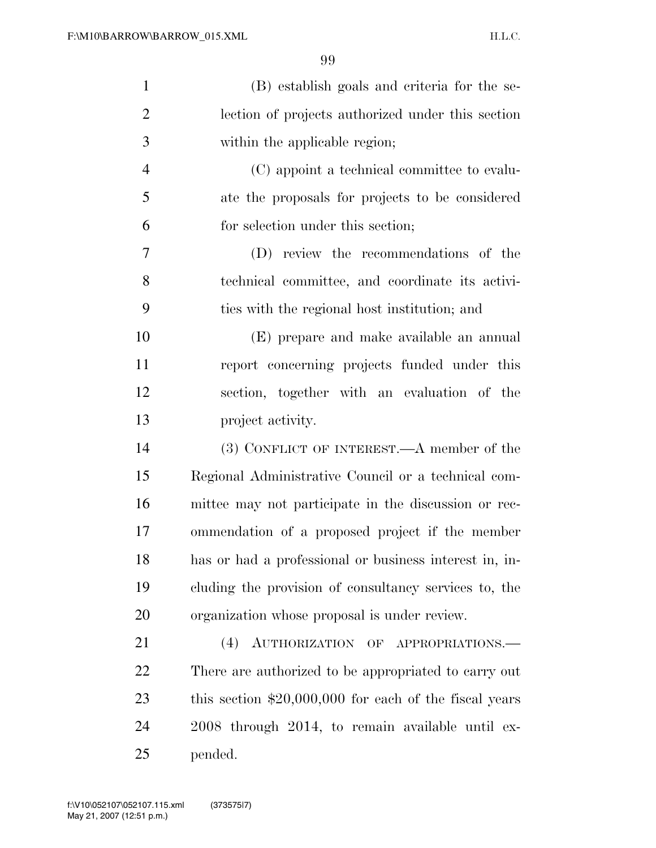| $\mathbf{1}$   | (B) establish goals and criteria for the se-            |
|----------------|---------------------------------------------------------|
| $\overline{2}$ | lection of projects authorized under this section       |
| 3              | within the applicable region;                           |
| $\overline{4}$ | (C) appoint a technical committee to evalu-             |
| 5              | ate the proposals for projects to be considered         |
| 6              | for selection under this section;                       |
| 7              | (D) review the recommendations of the                   |
| 8              | technical committee, and coordinate its activi-         |
| 9              | ties with the regional host institution; and            |
| 10             | (E) prepare and make available an annual                |
| 11             | report concerning projects funded under this            |
| 12             | section, together with an evaluation of the             |
| 13             | project activity.                                       |
| 14             | (3) CONFLICT OF INTEREST.—A member of the               |
| 15             | Regional Administrative Council or a technical com-     |
| 16             | mittee may not participate in the discussion or rec-    |
| 17             | ommendation of a proposed project if the member         |
| 18             | has or had a professional or business interest in, in-  |
| 19             | cluding the provision of consultancy services to, the   |
| 20             | organization whose proposal is under review.            |
| 21             | (4)<br>AUTHORIZATION OF APPROPRIATIONS.                 |
| 22             | There are authorized to be appropriated to carry out    |
| 23             | this section $$20,000,000$ for each of the fiscal years |
| 24             | 2008 through 2014, to remain available until ex-        |
| 25             | pended.                                                 |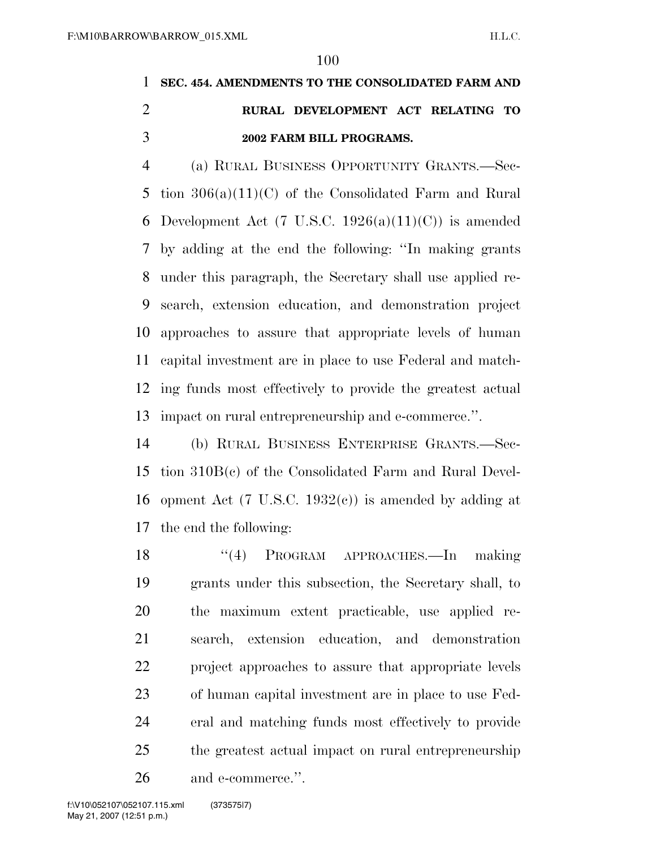# **SEC. 454. AMENDMENTS TO THE CONSOLIDATED FARM AND RURAL DEVELOPMENT ACT RELATING TO 2002 FARM BILL PROGRAMS.**

 (a) RURAL BUSINESS OPPORTUNITY GRANTS.—Sec- tion 306(a)(11)(C) of the Consolidated Farm and Rural 6 Development Act (7 U.S.C. 1926(a)(11)(C)) is amended by adding at the end the following: ''In making grants under this paragraph, the Secretary shall use applied re- search, extension education, and demonstration project approaches to assure that appropriate levels of human capital investment are in place to use Federal and match- ing funds most effectively to provide the greatest actual impact on rural entrepreneurship and e-commerce.''.

 (b) RURAL BUSINESS ENTERPRISE GRANTS.—Sec- tion 310B(c) of the Consolidated Farm and Rural Devel-16 opment Act (7 U.S.C. 1932 $(e)$ ) is amended by adding at the end the following:

 ''(4) PROGRAM APPROACHES.—In making grants under this subsection, the Secretary shall, to the maximum extent practicable, use applied re- search, extension education, and demonstration project approaches to assure that appropriate levels of human capital investment are in place to use Fed- eral and matching funds most effectively to provide the greatest actual impact on rural entrepreneurship and e-commerce.''.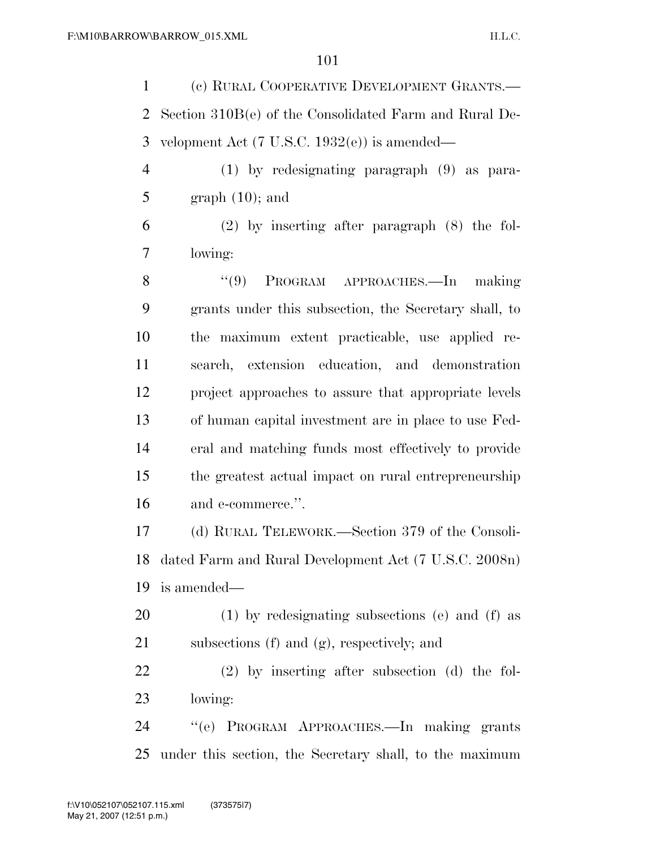| $\mathbf{1}$   | (c) RURAL COOPERATIVE DEVELOPMENT GRANTS.—              |
|----------------|---------------------------------------------------------|
| $\overline{2}$ | Section 310B(e) of the Consolidated Farm and Rural De-  |
| 3              | velopment Act $(7 \text{ U.S.C. } 1932(e))$ is amended— |
| $\overline{4}$ | $(1)$ by redesignating paragraph $(9)$ as para-         |
| 5              | $graph(10)$ ; and                                       |
| 6              | $(2)$ by inserting after paragraph $(8)$ the fol-       |
| 7              | lowing:                                                 |
| 8              | PROGRAM APPROACHES.-In making<br>(9)                    |
| 9              | grants under this subsection, the Secretary shall, to   |
| 10             | the maximum extent practicable, use applied re-         |
| 11             | search, extension education, and demonstration          |
| 12             | project approaches to assure that appropriate levels    |
| 13             | of human capital investment are in place to use Fed-    |
| 14             | eral and matching funds most effectively to provide     |
| 15             | the greatest actual impact on rural entrepreneurship    |
| 16             | and e-commerce.".                                       |
| 17             | (d) RURAL TELEWORK.—Section 379 of the Consoli-         |
| 18             | dated Farm and Rural Development Act (7 U.S.C. 2008n)   |
| 19             | is amended—                                             |
| 20             | (1) by redesignating subsections (e) and (f) as         |
| 21             | subsections (f) and (g), respectively; and              |
| 22             | $(2)$ by inserting after subsection $(d)$ the fol-      |
| 23             | lowing:                                                 |
| 24             | "(e) PROGRAM APPROACHES.—In making grants               |
| 25             | under this section, the Secretary shall, to the maximum |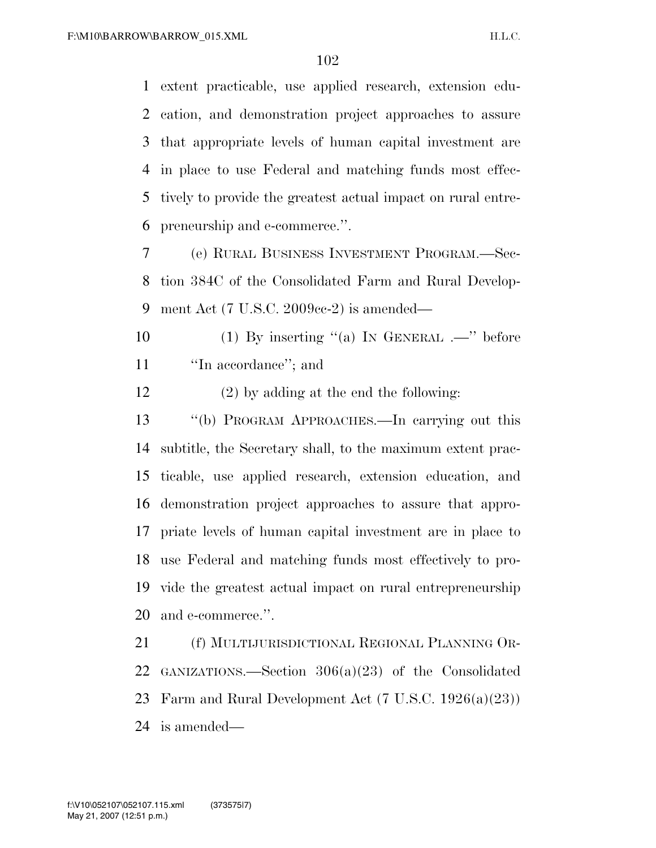extent practicable, use applied research, extension edu- cation, and demonstration project approaches to assure that appropriate levels of human capital investment are in place to use Federal and matching funds most effec- tively to provide the greatest actual impact on rural entre-preneurship and e-commerce.''.

 (e) RURAL BUSINESS INVESTMENT PROGRAM.—Sec- tion 384C of the Consolidated Farm and Rural Develop-ment Act (7 U.S.C. 2009cc-2) is amended—

 (1) By inserting ''(a) IN GENERAL .—'' before ''In accordance''; and

(2) by adding at the end the following:

 ''(b) PROGRAM APPROACHES.—In carrying out this subtitle, the Secretary shall, to the maximum extent prac- ticable, use applied research, extension education, and demonstration project approaches to assure that appro- priate levels of human capital investment are in place to use Federal and matching funds most effectively to pro- vide the greatest actual impact on rural entrepreneurship and e-commerce.''.

 (f) MULTIJURISDICTIONAL REGIONAL PLANNING OR- GANIZATIONS.—Section 306(a)(23) of the Consolidated Farm and Rural Development Act (7 U.S.C. 1926(a)(23)) is amended—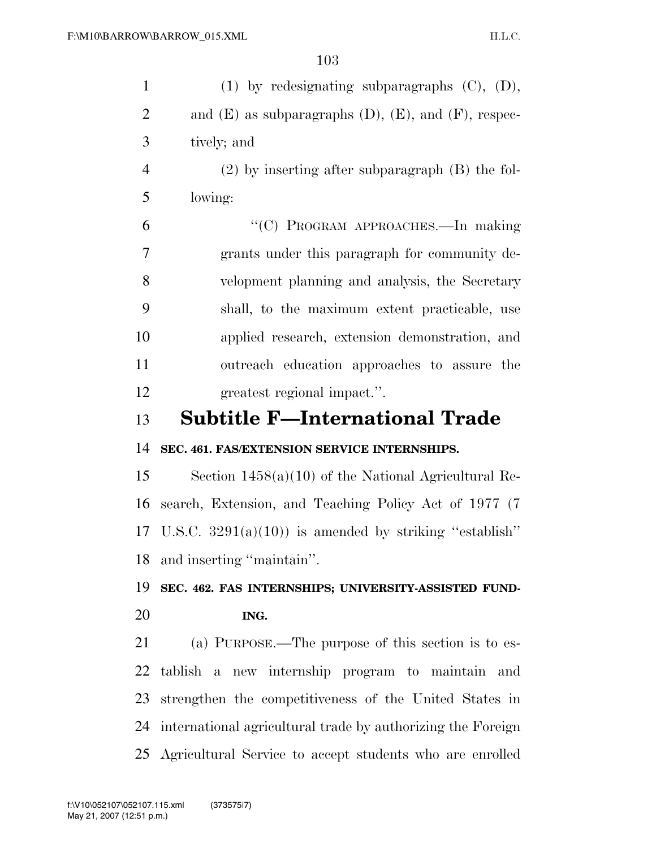| $\mathbf{1}$   | $(1)$ by redesignating subparagraphs $(C)$ , $(D)$ ,           |
|----------------|----------------------------------------------------------------|
| $\overline{2}$ | and $(E)$ as subparagraphs $(D)$ , $(E)$ , and $(F)$ , respec- |
| 3              | tively; and                                                    |
| $\overline{4}$ | $(2)$ by inserting after subparagraph $(B)$ the fol-           |
| 5              | lowing:                                                        |
| 6              | "(C) PROGRAM APPROACHES.-In making                             |
| 7              | grants under this paragraph for community de-                  |
| 8              | velopment planning and analysis, the Secretary                 |
| 9              | shall, to the maximum extent practicable, use                  |
| 10             | applied research, extension demonstration, and                 |
| 11             | outreach education approaches to assure the                    |
| 12             | greatest regional impact.".                                    |
| 13             | <b>Subtitle F-International Trade</b>                          |
|                |                                                                |
| 14             | SEC. 461. FAS/EXTENSION SERVICE INTERNSHIPS.                   |
| 15             | Section $1458(a)(10)$ of the National Agricultural Re-         |
| 16             | search, Extension, and Teaching Policy Act of 1977 (7)         |
| 17             | U.S.C. $3291(a)(10)$ is amended by striking "establish"        |
| 18             | and inserting "maintain".                                      |
| 19             | SEC. 462. FAS INTERNSHIPS; UNIVERSITY-ASSISTED FUND-           |
| 20             | ING.                                                           |
| 21             | (a) PURPOSE.—The purpose of this section is to es-             |
| 22             | tablish a new internship program to maintain and               |
| 23             | strengthen the competitiveness of the United States in         |
| 24             | international agricultural trade by authorizing the Foreign    |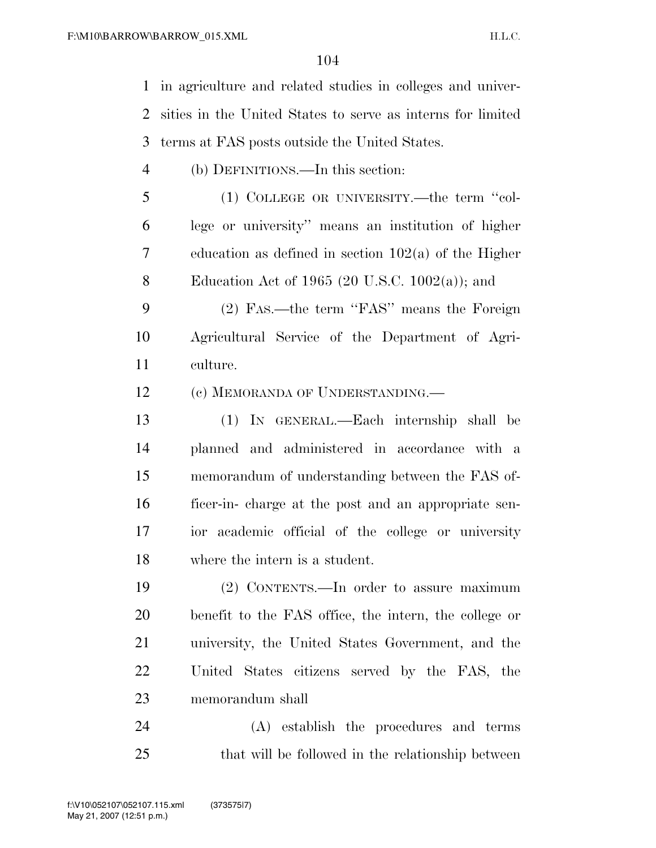in agriculture and related studies in colleges and univer- sities in the United States to serve as interns for limited terms at FAS posts outside the United States.

- (b) DEFINITIONS.—In this section:
- (1) COLLEGE OR UNIVERSITY.—the term ''col- lege or university'' means an institution of higher education as defined in section 102(a) of the Higher Education Act of 1965 (20 U.S.C. 1002(a)); and
- (2) FAS.—the term ''FAS'' means the Foreign Agricultural Service of the Department of Agri-culture.

12 (c) MEMORANDA OF UNDERSTANDING.

 (1) IN GENERAL.—Each internship shall be planned and administered in accordance with a memorandum of understanding between the FAS of- ficer-in- charge at the post and an appropriate sen- ior academic official of the college or university where the intern is a student.

 (2) CONTENTS.—In order to assure maximum benefit to the FAS office, the intern, the college or university, the United States Government, and the United States citizens served by the FAS, the memorandum shall

 (A) establish the procedures and terms that will be followed in the relationship between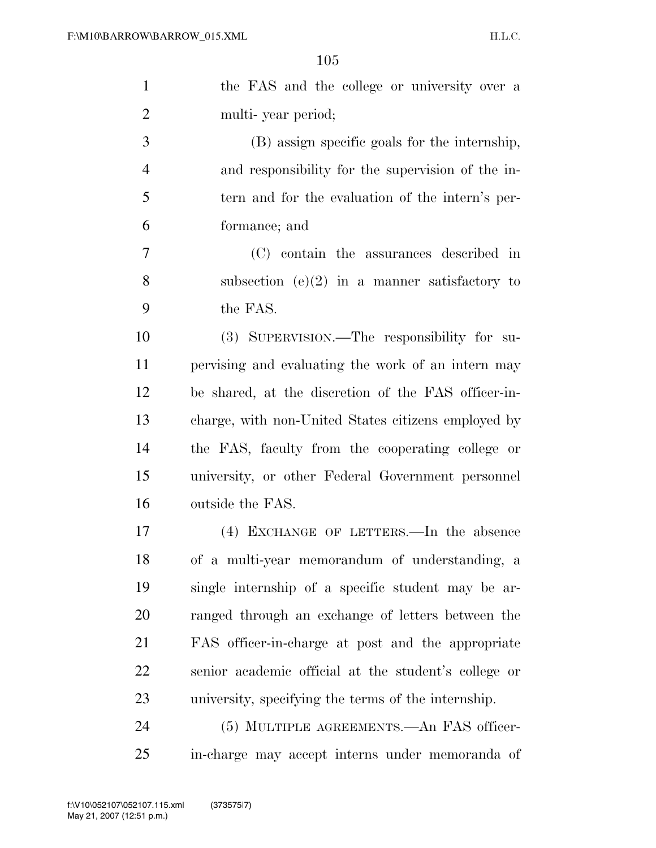| $\mathbf{1}$   | the FAS and the college or university over a         |
|----------------|------------------------------------------------------|
| $\overline{2}$ | multi-year period;                                   |
| 3              | (B) assign specific goals for the internship,        |
| $\overline{4}$ | and responsibility for the supervision of the in-    |
| 5              | tern and for the evaluation of the intern's per-     |
| 6              | formance; and                                        |
| 7              | (C) contain the assurances described in              |
| 8              | subsection $(e)(2)$ in a manner satisfactory to      |
| 9              | the FAS.                                             |
| 10             | (3) SUPERVISION.—The responsibility for su-          |
| 11             | pervising and evaluating the work of an intern may   |
| 12             | be shared, at the discretion of the FAS officer-in-  |
| 13             | charge, with non-United States citizens employed by  |
| 14             | the FAS, faculty from the cooperating college or     |
| 15             | university, or other Federal Government personnel    |
| 16             | outside the FAS.                                     |
| 17             | (4) EXCHANGE OF LETTERS.—In the absence              |
| 18             | of a multi-year memorandum of understanding, a       |
| 19             | single internship of a specific student may be ar-   |
| 20             | ranged through an exchange of letters between the    |
| 21             | FAS officer-in-charge at post and the appropriate    |
| 22             | senior academic official at the student's college or |
| 23             | university, specifying the terms of the internship.  |
| 24             | (5) MULTIPLE AGREEMENTS.—An FAS officer-             |
| 25             | in-charge may accept interns under memoranda of      |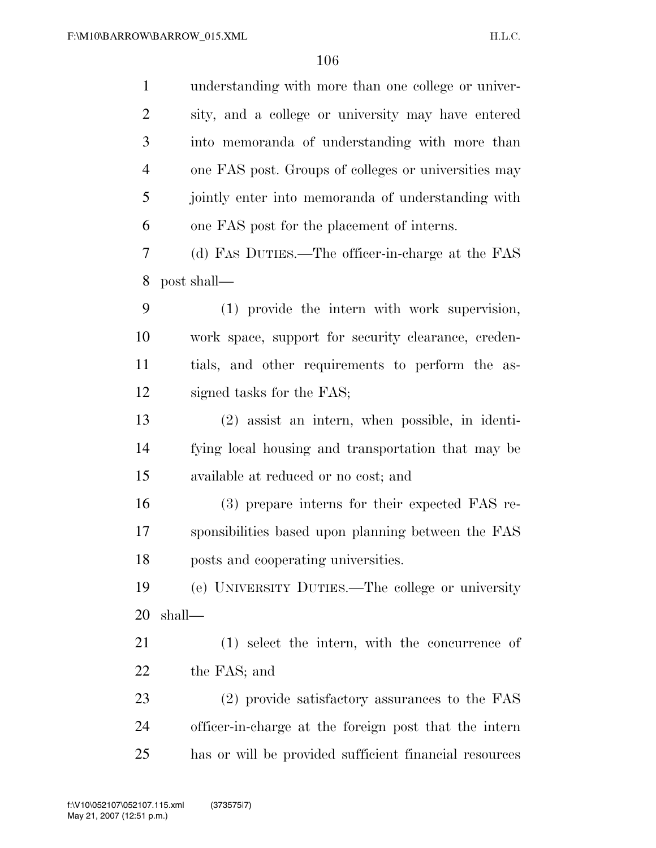| $\mathbf{1}$   | understanding with more than one college or univer-    |
|----------------|--------------------------------------------------------|
| $\overline{2}$ | sity, and a college or university may have entered     |
| 3              | into memoranda of understanding with more than         |
| $\overline{4}$ | one FAS post. Groups of colleges or universities may   |
| 5              | jointly enter into memoranda of understanding with     |
| 6              | one FAS post for the placement of interns.             |
| 7              | (d) FAS DUTIES.—The officer-in-charge at the FAS       |
| 8              | post shall—                                            |
| 9              | (1) provide the intern with work supervision,          |
| 10             | work space, support for security clearance, creden-    |
| 11             | tials, and other requirements to perform the as-       |
| 12             | signed tasks for the FAS;                              |
| 13             | $(2)$ assist an intern, when possible, in identi-      |
| 14             | fying local housing and transportation that may be     |
| 15             | available at reduced or no cost; and                   |
| 16             | (3) prepare interns for their expected FAS re-         |
| 17             | sponsibilities based upon planning between the FAS     |
| 18             | posts and cooperating universities.                    |
| 19             | (e) UNIVERSITY DUTIES.—The college or university       |
| 20             | shall—                                                 |
| 21             | (1) select the intern, with the concurrence of         |
| 22             | the FAS; and                                           |
| 23             | (2) provide satisfactory assurances to the FAS         |
| 24             | officer-in-charge at the foreign post that the intern  |
| 25             | has or will be provided sufficient financial resources |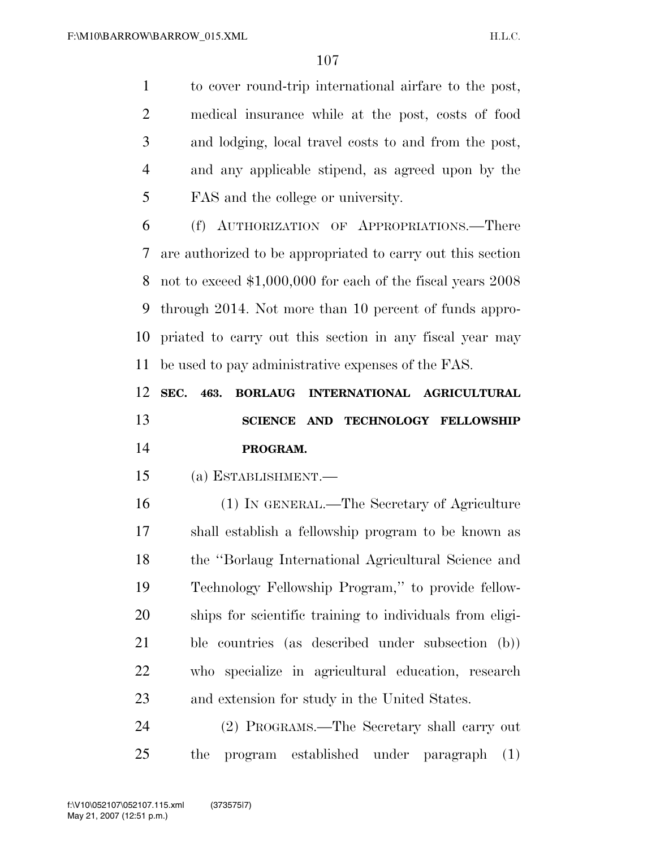to cover round-trip international airfare to the post, medical insurance while at the post, costs of food and lodging, local travel costs to and from the post, and any applicable stipend, as agreed upon by the FAS and the college or university.

 (f) AUTHORIZATION OF APPROPRIATIONS.—There are authorized to be appropriated to carry out this section not to exceed \$1,000,000 for each of the fiscal years 2008 through 2014. Not more than 10 percent of funds appro- priated to carry out this section in any fiscal year may be used to pay administrative expenses of the FAS.

 **SEC. 463. BORLAUG INTERNATIONAL AGRICULTURAL SCIENCE AND TECHNOLOGY FELLOWSHIP PROGRAM.** 

(a) ESTABLISHMENT.—

 (1) IN GENERAL.—The Secretary of Agriculture shall establish a fellowship program to be known as the ''Borlaug International Agricultural Science and Technology Fellowship Program,'' to provide fellow- ships for scientific training to individuals from eligi- ble countries (as described under subsection (b)) who specialize in agricultural education, research and extension for study in the United States.

 (2) PROGRAMS.—The Secretary shall carry out the program established under paragraph (1)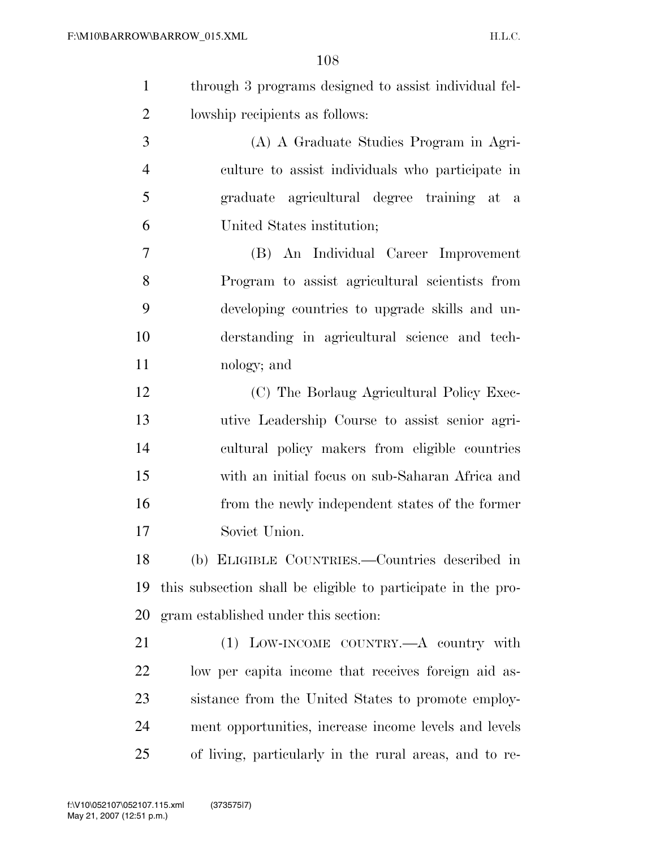- through 3 programs designed to assist individual fel-lowship recipients as follows:
- (A) A Graduate Studies Program in Agri- culture to assist individuals who participate in graduate agricultural degree training at a United States institution;
- (B) An Individual Career Improvement Program to assist agricultural scientists from developing countries to upgrade skills and un- derstanding in agricultural science and tech-nology; and
- (C) The Borlaug Agricultural Policy Exec- utive Leadership Course to assist senior agri- cultural policy makers from eligible countries with an initial focus on sub-Saharan Africa and from the newly independent states of the former Soviet Union.

 (b) ELIGIBLE COUNTRIES.—Countries described in this subsection shall be eligible to participate in the pro-gram established under this section:

 (1) LOW-INCOME COUNTRY.—A country with low per capita income that receives foreign aid as- sistance from the United States to promote employ- ment opportunities, increase income levels and levels of living, particularly in the rural areas, and to re-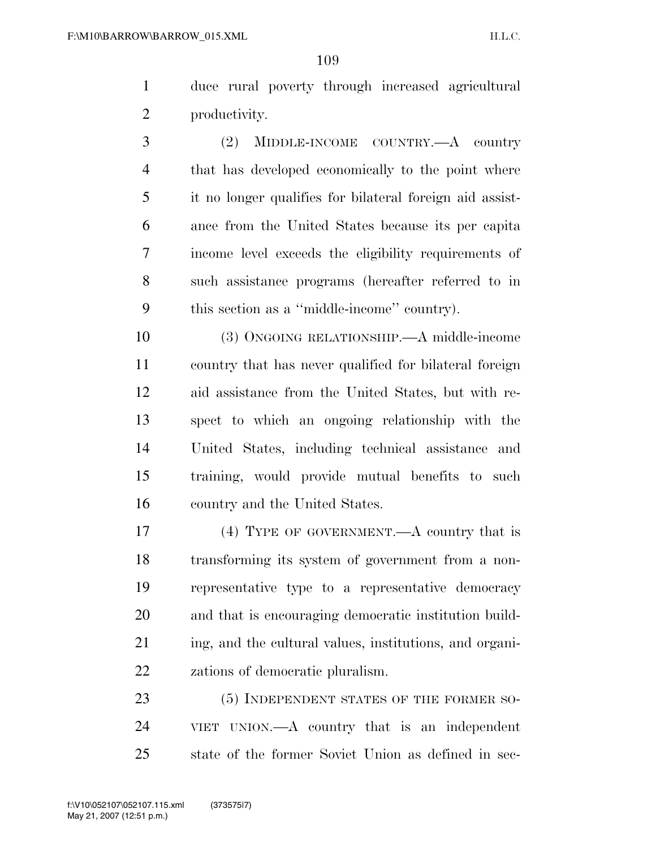duce rural poverty through increased agricultural productivity.

 (2) MIDDLE-INCOME COUNTRY.—A country that has developed economically to the point where it no longer qualifies for bilateral foreign aid assist- ance from the United States because its per capita income level exceeds the eligibility requirements of such assistance programs (hereafter referred to in this section as a ''middle-income'' country).

 (3) ONGOING RELATIONSHIP.—A middle-income country that has never qualified for bilateral foreign aid assistance from the United States, but with re- spect to which an ongoing relationship with the United States, including technical assistance and training, would provide mutual benefits to such country and the United States.

 (4) TYPE OF GOVERNMENT.—A country that is transforming its system of government from a non- representative type to a representative democracy and that is encouraging democratic institution build- ing, and the cultural values, institutions, and organi-zations of democratic pluralism.

23 (5) INDEPENDENT STATES OF THE FORMER SO- VIET UNION.—A country that is an independent state of the former Soviet Union as defined in sec-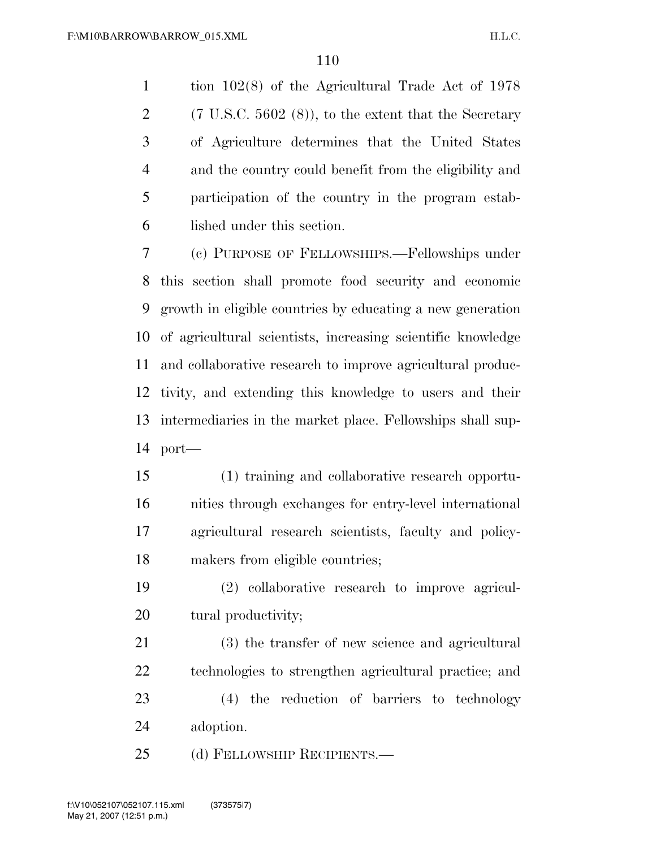tion 102(8) of the Agricultural Trade Act of 1978 2 (7 U.S.C. 5602  $(8)$ ), to the extent that the Secretary of Agriculture determines that the United States and the country could benefit from the eligibility and participation of the country in the program estab-lished under this section.

 (c) PURPOSE OF FELLOWSHIPS.—Fellowships under this section shall promote food security and economic growth in eligible countries by educating a new generation of agricultural scientists, increasing scientific knowledge and collaborative research to improve agricultural produc- tivity, and extending this knowledge to users and their intermediaries in the market place. Fellowships shall sup-port—

 (1) training and collaborative research opportu- nities through exchanges for entry-level international agricultural research scientists, faculty and policy-makers from eligible countries;

 (2) collaborative research to improve agricul-20 tural productivity;

 (3) the transfer of new science and agricultural technologies to strengthen agricultural practice; and (4) the reduction of barriers to technology adoption.

25 (d) FELLOWSHIP RECIPIENTS.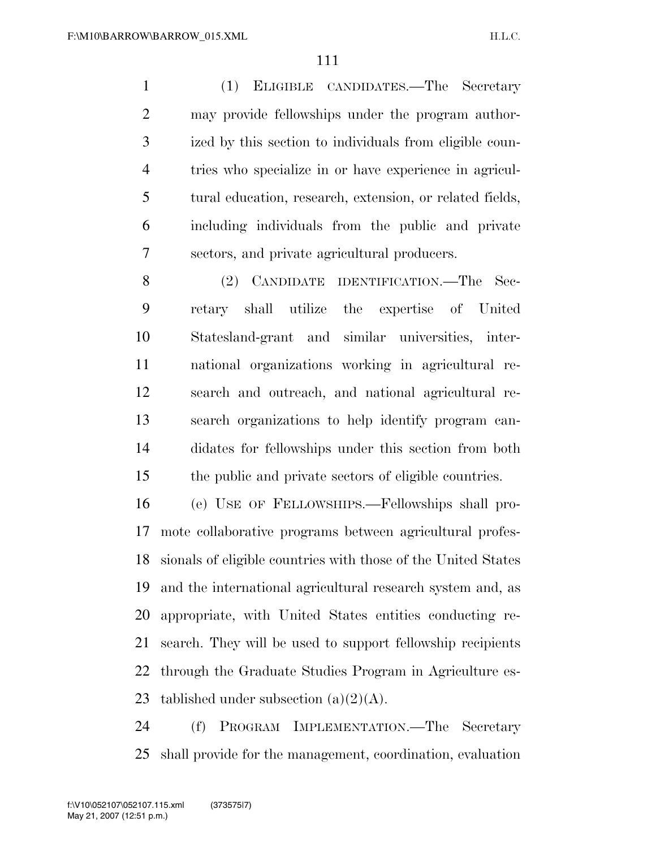(1) ELIGIBLE CANDIDATES.—The Secretary may provide fellowships under the program author- ized by this section to individuals from eligible coun- tries who specialize in or have experience in agricul- tural education, research, extension, or related fields, including individuals from the public and private sectors, and private agricultural producers.

 (2) CANDIDATE IDENTIFICATION.—The Sec- retary shall utilize the expertise of United Statesland-grant and similar universities, inter- national organizations working in agricultural re- search and outreach, and national agricultural re- search organizations to help identify program can- didates for fellowships under this section from both the public and private sectors of eligible countries.

 (e) USE OF FELLOWSHIPS.—Fellowships shall pro- mote collaborative programs between agricultural profes- sionals of eligible countries with those of the United States and the international agricultural research system and, as appropriate, with United States entities conducting re- search. They will be used to support fellowship recipients through the Graduate Studies Program in Agriculture es-23 tablished under subsection  $(a)(2)(A)$ .

 (f) PROGRAM IMPLEMENTATION.—The Secretary shall provide for the management, coordination, evaluation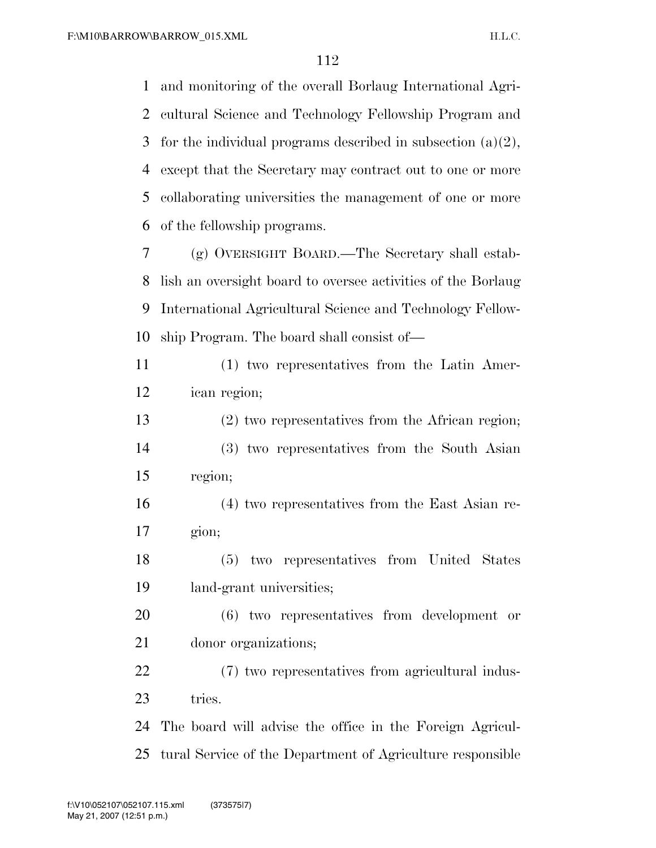and monitoring of the overall Borlaug International Agri- cultural Science and Technology Fellowship Program and 3 for the individual programs described in subsection  $(a)(2)$ , except that the Secretary may contract out to one or more collaborating universities the management of one or more of the fellowship programs.

 (g) OVERSIGHT BOARD.—The Secretary shall estab- lish an oversight board to oversee activities of the Borlaug International Agricultural Science and Technology Fellow-ship Program. The board shall consist of—

 (1) two representatives from the Latin Amer-ican region;

 (2) two representatives from the African region; (3) two representatives from the South Asian region;

 (4) two representatives from the East Asian re-gion;

 (5) two representatives from United States land-grant universities;

 (6) two representatives from development or donor organizations;

 (7) two representatives from agricultural indus-23 tries.

 The board will advise the office in the Foreign Agricul-tural Service of the Department of Agriculture responsible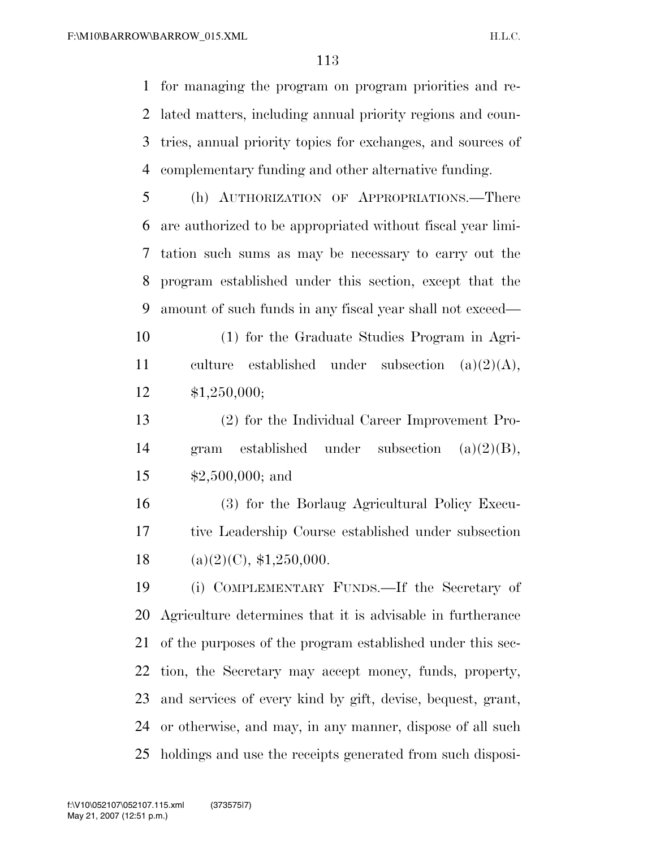for managing the program on program priorities and re- lated matters, including annual priority regions and coun- tries, annual priority topics for exchanges, and sources of complementary funding and other alternative funding.

 (h) AUTHORIZATION OF APPROPRIATIONS.—There are authorized to be appropriated without fiscal year limi- tation such sums as may be necessary to carry out the program established under this section, except that the amount of such funds in any fiscal year shall not exceed—

 (1) for the Graduate Studies Program in Agri- culture established under subsection (a)(2)(A), \$1,250,000;

 (2) for the Individual Career Improvement Pro- gram established under subsection (a)(2)(B), \$2,500,000; and

 (3) for the Borlaug Agricultural Policy Execu- tive Leadership Course established under subsection 18 (a)(2)(C),  $$1,250,000$ .

 (i) COMPLEMENTARY FUNDS.—If the Secretary of Agriculture determines that it is advisable in furtherance of the purposes of the program established under this sec- tion, the Secretary may accept money, funds, property, and services of every kind by gift, devise, bequest, grant, or otherwise, and may, in any manner, dispose of all such holdings and use the receipts generated from such disposi-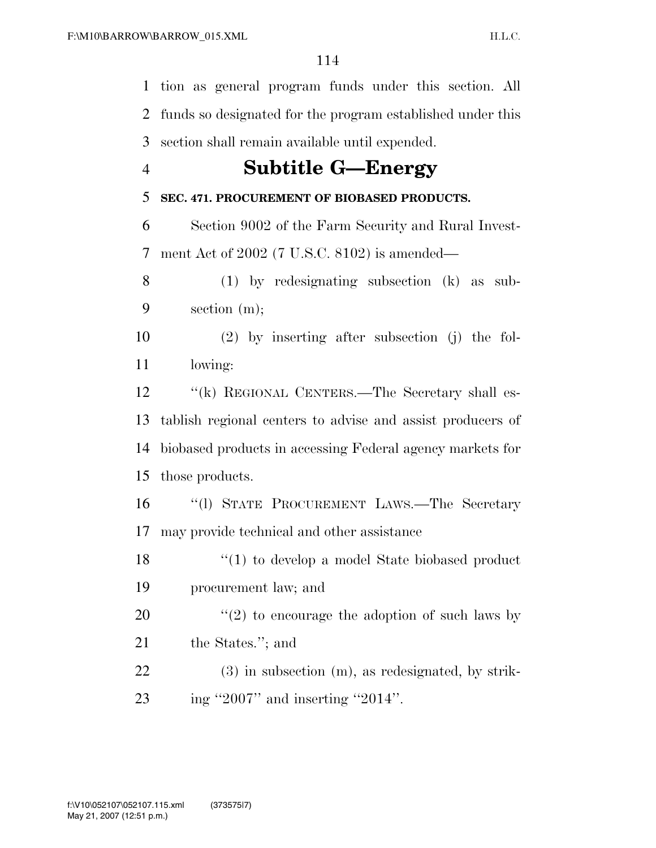tion as general program funds under this section. All funds so designated for the program established under this section shall remain available until expended.

## **Subtitle G—Energy**

#### **SEC. 471. PROCUREMENT OF BIOBASED PRODUCTS.**

 Section 9002 of the Farm Security and Rural Invest-ment Act of 2002 (7 U.S.C. 8102) is amended—

 (1) by redesignating subsection (k) as sub-section (m);

 (2) by inserting after subsection (j) the fol-lowing:

12 "(k) REGIONAL CENTERS.—The Secretary shall es- tablish regional centers to advise and assist producers of biobased products in accessing Federal agency markets for those products.

 ''(l) STATE PROCUREMENT LAWS.—The Secretary may provide technical and other assistance

18 ''(1) to develop a model State biobased product procurement law; and

20  $\frac{1}{2}$  to encourage the adoption of such laws by the States.''; and

 (3) in subsection (m), as redesignated, by strik-ing ''2007'' and inserting ''2014''.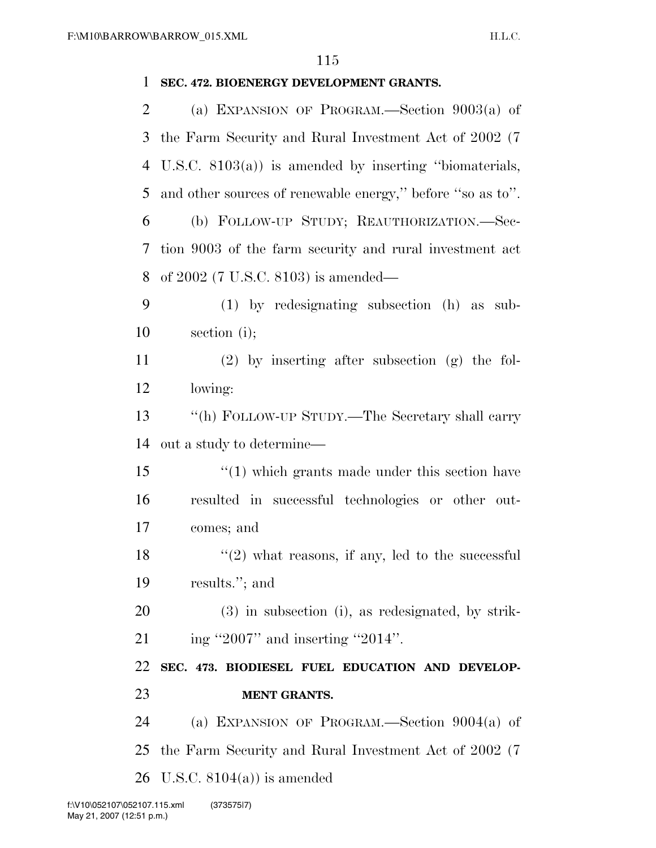| 1  | SEC. 472. BIOENERGY DEVELOPMENT GRANTS.                    |
|----|------------------------------------------------------------|
| 2  | (a) EXPANSION OF PROGRAM.—Section $9003(a)$ of             |
| 3  | the Farm Security and Rural Investment Act of 2002 (7      |
| 4  | U.S.C. $8103(a)$ is amended by inserting "biomaterials,    |
| 5  | and other sources of renewable energy," before "so as to". |
| 6  | (b) FOLLOW-UP STUDY; REAUTHORIZATION.-Sec-                 |
| 7  | tion 9003 of the farm security and rural investment act    |
| 8  | of $2002$ (7 U.S.C. 8103) is amended—                      |
| 9  | $(1)$ by redesignating subsection $(h)$ as sub-            |
| 10 | section $(i)$ ;                                            |
| 11 | $(2)$ by inserting after subsection $(g)$ the fol-         |
| 12 | lowing:                                                    |
| 13 | "(h) FOLLOW-UP STUDY.—The Secretary shall carry            |
| 14 | out a study to determine—                                  |
| 15 | $\cdot$ (1) which grants made under this section have      |
| 16 | resulted in successful technologies or other out-          |
| 17 | comes; and                                                 |
| 18 | $\lq(2)$ what reasons, if any, led to the successful       |
|    |                                                            |
| 19 | results."; and                                             |
| 20 | $(3)$ in subsection (i), as redesignated, by strik-        |
| 21 | ing "2007" and inserting "2014".                           |
| 22 | SEC. 473. BIODIESEL FUEL EDUCATION AND DEVELOP-            |
| 23 | <b>MENT GRANTS.</b>                                        |
| 24 | (a) EXPANSION OF PROGRAM.—Section $9004(a)$ of             |
| 25 | the Farm Security and Rural Investment Act of 2002 (7)     |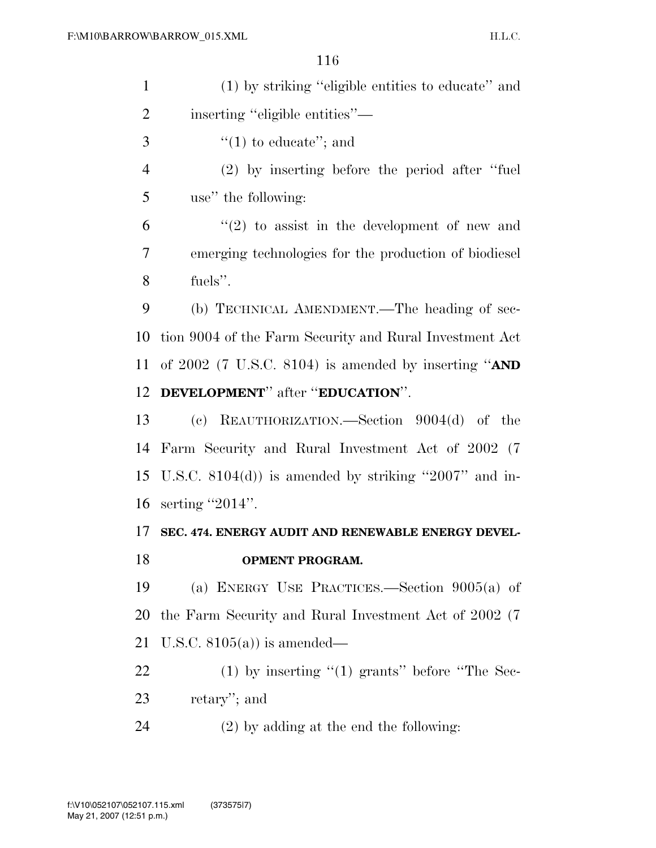| $\mathbf{1}$   | (1) by striking "eligible entities to educate" and         |
|----------------|------------------------------------------------------------|
| $\overline{2}$ | inserting "eligible entities"—                             |
| 3              | "(1) to educate"; and                                      |
| $\overline{4}$ | $(2)$ by inserting before the period after "fuel"          |
| 5              | use" the following:                                        |
| 6              | $f'(2)$ to assist in the development of new and            |
| 7              | emerging technologies for the production of biodiesel      |
| 8              | fuels".                                                    |
| 9              | (b) TECHNICAL AMENDMENT.—The heading of sec-               |
|                | 10 tion 9004 of the Farm Security and Rural Investment Act |
|                | 11 of 2002 (7 U.S.C. 8104) is amended by inserting " $AND$ |
|                | 12 DEVELOPMENT" after "EDUCATION".                         |
| 13             | (c) REAUTHORIZATION.—Section $9004(d)$ of the              |

 Farm Security and Rural Investment Act of 2002 (7 U.S.C. 8104(d)) is amended by striking ''2007'' and in-serting ''2014''.

## **SEC. 474. ENERGY AUDIT AND RENEWABLE ENERGY DEVEL-OPMENT PROGRAM.**

 (a) ENERGY USE PRACTICES.—Section 9005(a) of the Farm Security and Rural Investment Act of 2002 (7 U.S.C. 8105(a)) is amended—

22 (1) by inserting "(1) grants" before "The Sec-retary''; and

(2) by adding at the end the following: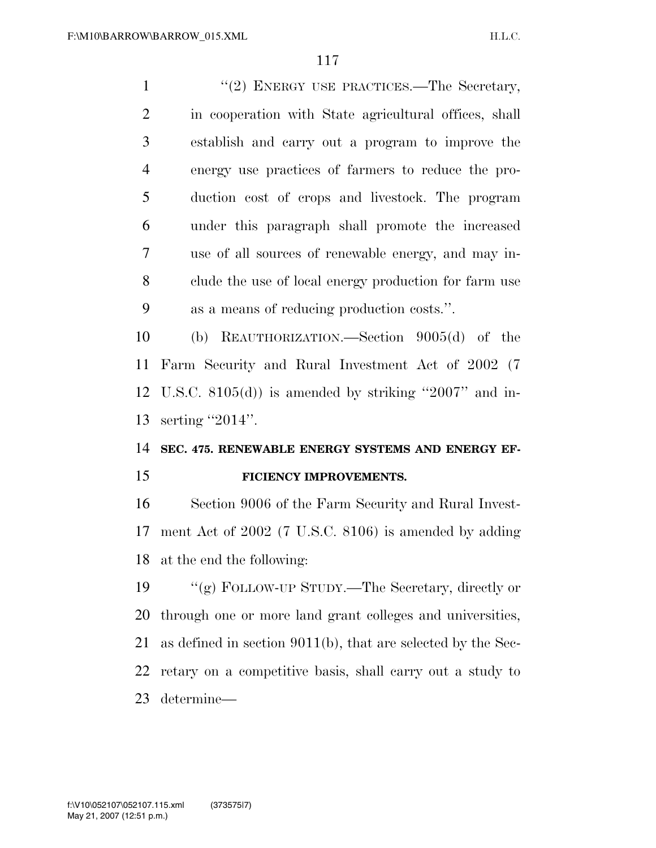1 ''(2) ENERGY USE PRACTICES.—The Secretary, in cooperation with State agricultural offices, shall establish and carry out a program to improve the energy use practices of farmers to reduce the pro- duction cost of crops and livestock. The program under this paragraph shall promote the increased use of all sources of renewable energy, and may in- clude the use of local energy production for farm use as a means of reducing production costs.''. (b) REAUTHORIZATION.—Section 9005(d) of the Farm Security and Rural Investment Act of 2002 (7 U.S.C. 8105(d)) is amended by striking ''2007'' and in-

serting ''2014''.

### **SEC. 475. RENEWABLE ENERGY SYSTEMS AND ENERGY EF-FICIENCY IMPROVEMENTS.**

 Section 9006 of the Farm Security and Rural Invest- ment Act of 2002 (7 U.S.C. 8106) is amended by adding at the end the following:

 ''(g) FOLLOW-UP STUDY.—The Secretary, directly or through one or more land grant colleges and universities, as defined in section 9011(b), that are selected by the Sec- retary on a competitive basis, shall carry out a study to determine—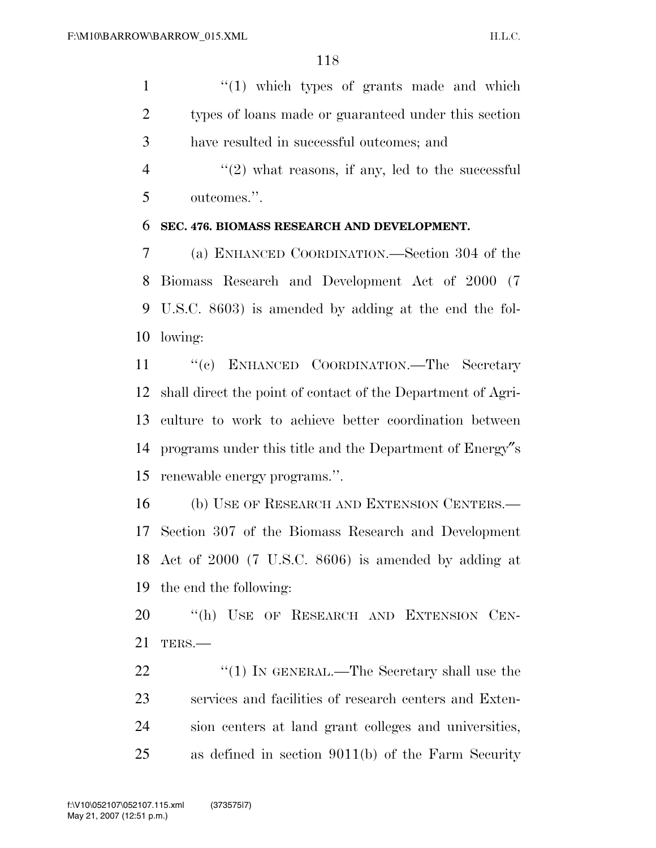1 ''(1) which types of grants made and which types of loans made or guaranteed under this section have resulted in successful outcomes; and

 $\frac{4}{2}$  ''(2) what reasons, if any, led to the successful outcomes.''.

#### **SEC. 476. BIOMASS RESEARCH AND DEVELOPMENT.**

 (a) ENHANCED COORDINATION.—Section 304 of the Biomass Research and Development Act of 2000 (7 U.S.C. 8603) is amended by adding at the end the fol-lowing:

11 "(c) ENHANCED COORDINATION.—The Secretary shall direct the point of contact of the Department of Agri- culture to work to achieve better coordination between programs under this title and the Department of Energy″s renewable energy programs.''.

 (b) USE OF RESEARCH AND EXTENSION CENTERS.— Section 307 of the Biomass Research and Development Act of 2000 (7 U.S.C. 8606) is amended by adding at the end the following:

20 "(h) USE OF RESEARCH AND EXTENSION CEN-TERS.—

22 "(1) IN GENERAL.—The Secretary shall use the services and facilities of research centers and Exten- sion centers at land grant colleges and universities, as defined in section 9011(b) of the Farm Security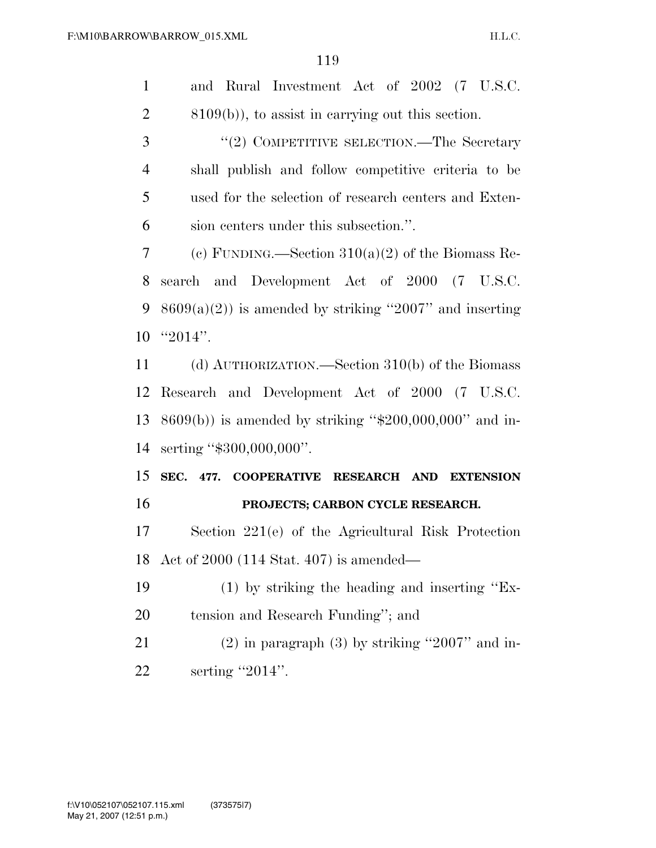| 1              | and Rural Investment Act of 2002 (7 U.S.C.                 |
|----------------|------------------------------------------------------------|
| $\overline{2}$ | $(8109(b))$ , to assist in carrying out this section.      |
| 3              | "(2) COMPETITIVE SELECTION.—The Secretary                  |
| $\overline{4}$ | shall publish and follow competitive criteria to be        |
| 5              | used for the selection of research centers and Exten-      |
| 6              | sion centers under this subsection.".                      |
| 7              | (c) FUNDING.—Section $310(a)(2)$ of the Biomass Re-        |
| 8              | search and Development Act of 2000 (7 U.S.C.               |
| 9              | $8609(a)(2)$ ) is amended by striking "2007" and inserting |
| 10             | " $2014$ ".                                                |
| 11             | (d) AUTHORIZATION.—Section 310(b) of the Biomass           |
| 12             | Research and Development Act of 2000 (7 U.S.C.             |
| 13             | $8609(b)$ ) is amended by striking "\$200,000,000" and in- |
| 14             | serting "\$300,000,000".                                   |
| 15             | SEC. 477. COOPERATIVE RESEARCH AND EXTENSION               |
| 16             | PROJECTS; CARBON CYCLE RESEARCH.                           |
| 17             | Section $221(e)$ of the Agricultural Risk Protection       |
|                | 18 Act of 2000 (114 Stat. 407) is amended—                 |
| 19             | $(1)$ by striking the heading and inserting "Ex-           |
| 20             | tension and Research Funding"; and                         |
| 21             | $(2)$ in paragraph $(3)$ by striking "2007" and in-        |
| 22             | serting $"2014"$ .                                         |
|                |                                                            |
|                |                                                            |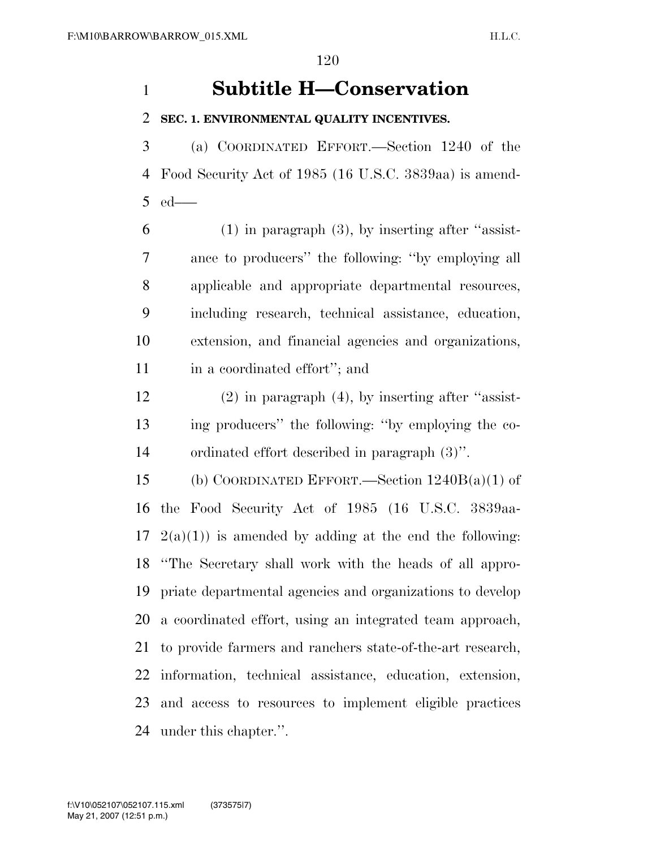# **Subtitle H—Conservation**

#### **SEC. 1. ENVIRONMENTAL QUALITY INCENTIVES.**

 (a) COORDINATED EFFORT.—Section 1240 of the Food Security Act of 1985 (16 U.S.C. 3839aa) is amend-ed—

 (1) in paragraph (3), by inserting after "assist- ance to producers'' the following: ''by employing all applicable and appropriate departmental resources, including research, technical assistance, education, extension, and financial agencies and organizations, 11 in a coordinated effort"; and

 (2) in paragraph (4), by inserting after ''assist- ing producers'' the following: ''by employing the co-ordinated effort described in paragraph (3)''.

 (b) COORDINATED EFFORT.—Section 1240B(a)(1) of the Food Security Act of 1985 (16 U.S.C. 3839aa- $17 \text{ } 2(a)(1)$  is amended by adding at the end the following: ''The Secretary shall work with the heads of all appro- priate departmental agencies and organizations to develop a coordinated effort, using an integrated team approach, to provide farmers and ranchers state-of-the-art research, information, technical assistance, education, extension, and access to resources to implement eligible practices under this chapter.''.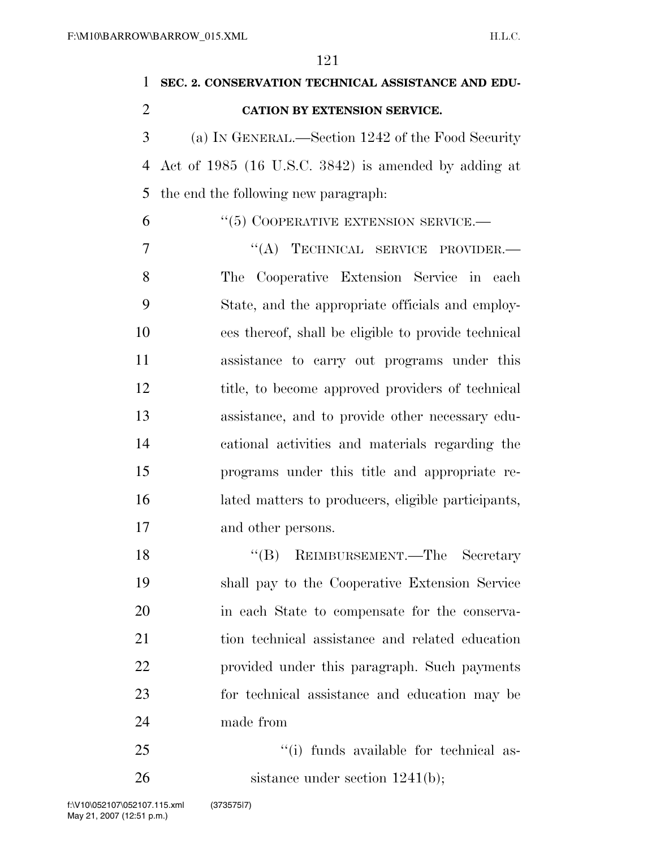| 1              | SEC. 2. CONSERVATION TECHNICAL ASSISTANCE AND EDU-   |
|----------------|------------------------------------------------------|
| $\overline{2}$ | CATION BY EXTENSION SERVICE.                         |
| 3              | (a) IN GENERAL.—Section 1242 of the Food Security    |
| $\overline{4}$ | Act of 1985 (16 U.S.C. 3842) is amended by adding at |
| 5              | the end the following new paragraph:                 |
| 6              | $``(5)$ COOPERATIVE EXTENSION SERVICE.—              |
| 7              | "(A) TECHNICAL SERVICE PROVIDER.-                    |
| 8              | The Cooperative Extension Service in each            |
| 9              | State, and the appropriate officials and employ-     |
| 10             | ees thereof, shall be eligible to provide technical  |
| 11             | assistance to carry out programs under this          |
| 12             | title, to become approved providers of technical     |
| 13             | assistance, and to provide other necessary edu-      |
| 14             | cational activities and materials regarding the      |
| 15             | programs under this title and appropriate re-        |
| 16             | lated matters to producers, eligible participants,   |
| 17             | and other persons.                                   |
| 18             | REIMBURSEMENT.—The Secretary<br>$\lq\lq (B)$         |
| 19             | shall pay to the Cooperative Extension Service       |
| 20             | in each State to compensate for the conserva-        |
| 21             | tion technical assistance and related education      |
| 22             | provided under this paragraph. Such payments         |
| 23             | for technical assistance and education may be        |
| 24             | made from                                            |
| 25             | "(i) funds available for technical as-               |
| 26             | sistance under section $1241(b)$ ;                   |

May 21, 2007 (12:51 p.m.) f:\V10\052107\052107.115.xml (373575|7)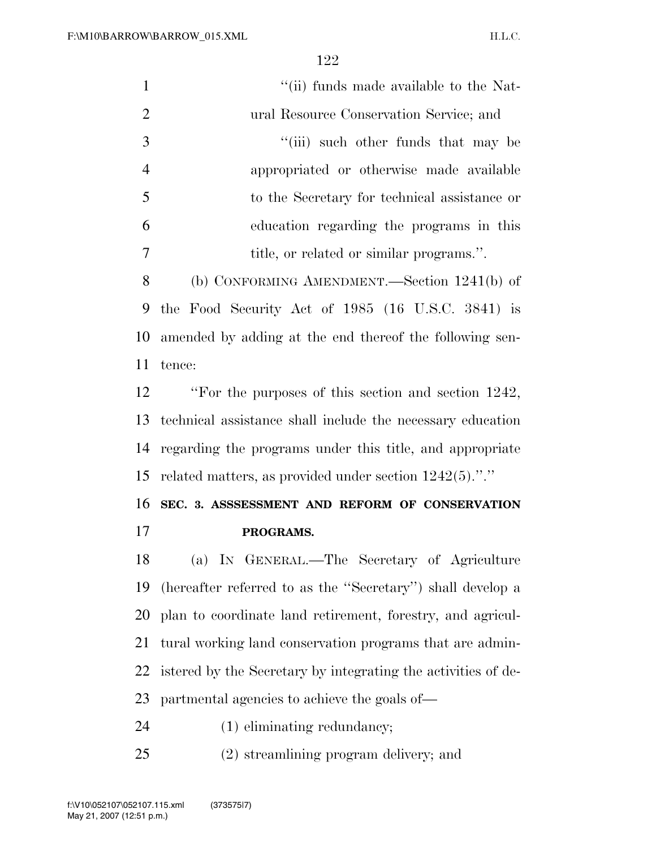| $\mathbf{1}$   | "(ii) funds made available to the Nat-                        |
|----------------|---------------------------------------------------------------|
| $\overline{2}$ | ural Resource Conservation Service; and                       |
| 3              | "(iii) such other funds that may be                           |
| $\overline{4}$ | appropriated or otherwise made available                      |
| 5              | to the Secretary for technical assistance or                  |
| 6              | education regarding the programs in this                      |
| $\tau$         | title, or related or similar programs.".                      |
| 8              | (b) CONFORMING AMENDMENT.—Section $1241(b)$ of                |
| 9              | the Food Security Act of 1985 (16 U.S.C. 3841) is             |
| 10             | amended by adding at the end thereof the following sen-       |
| 11             | tence:                                                        |
| 12             | "For the purposes of this section and section 1242,           |
| 13             | technical assistance shall include the necessary education    |
| 14             | regarding the programs under this title, and appropriate      |
| 15             | related matters, as provided under section $1242(5)$ ."."     |
| 16             | SEC. 3. ASSSESSMENT AND REFORM OF CONSERVATION                |
| 17             | PROGRAMS.                                                     |
| 18             | (a) IN GENERAL.—The Secretary of Agriculture                  |
| 19             | (hereafter referred to as the "Secretary") shall develop a    |
| 20             | plan to coordinate land retirement, forestry, and agricul-    |
| 21             | tural working land conservation programs that are admin-      |
| 22             | istered by the Secretary by integrating the activities of de- |
| 23             | partmental agencies to achieve the goals of—                  |
| 24             | $(1)$ eliminating redundancy;                                 |
| 25             | (2) streamlining program delivery; and                        |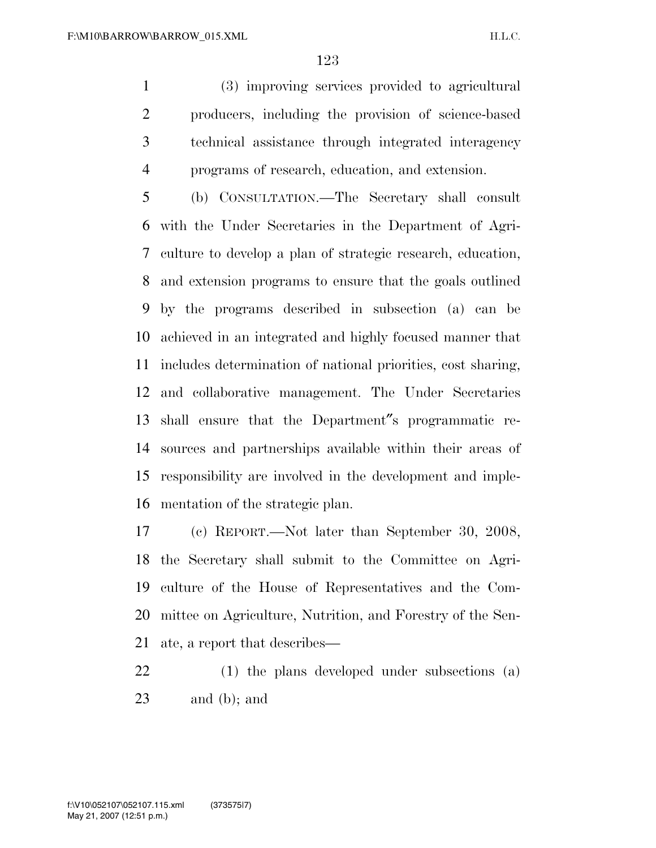(3) improving services provided to agricultural producers, including the provision of science-based technical assistance through integrated interagency programs of research, education, and extension.

 (b) CONSULTATION.—The Secretary shall consult with the Under Secretaries in the Department of Agri- culture to develop a plan of strategic research, education, and extension programs to ensure that the goals outlined by the programs described in subsection (a) can be achieved in an integrated and highly focused manner that includes determination of national priorities, cost sharing, and collaborative management. The Under Secretaries shall ensure that the Department″s programmatic re- sources and partnerships available within their areas of responsibility are involved in the development and imple-mentation of the strategic plan.

 (c) REPORT.—Not later than September 30, 2008, the Secretary shall submit to the Committee on Agri- culture of the House of Representatives and the Com- mittee on Agriculture, Nutrition, and Forestry of the Sen-ate, a report that describes—

 (1) the plans developed under subsections (a) and (b); and